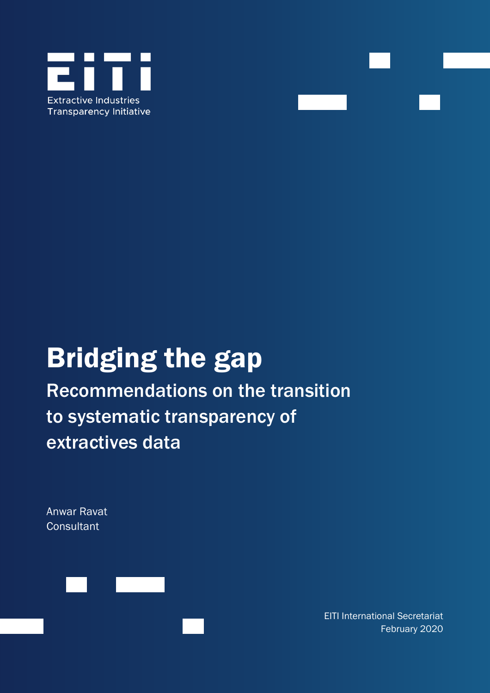



# Bridging the gap

Recommendations on the transition to systematic transparency of extractives data

Anwar Ravat **Consultant** 



EITI International Secretariat February 2020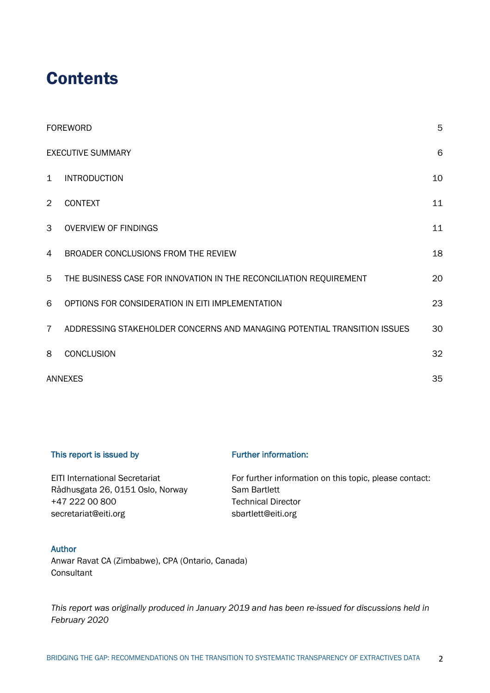# **Contents**

|                | <b>FOREWORD</b>                                                          | 5  |  |
|----------------|--------------------------------------------------------------------------|----|--|
|                | <b>EXECUTIVE SUMMARY</b>                                                 |    |  |
| $\mathbf{1}$   | <b>INTRODUCTION</b>                                                      | 10 |  |
| $\overline{2}$ | <b>CONTEXT</b>                                                           | 11 |  |
| 3              | <b>OVERVIEW OF FINDINGS</b>                                              | 11 |  |
| 4              | BROADER CONCLUSIONS FROM THE REVIEW                                      | 18 |  |
| 5              | THE BUSINESS CASE FOR INNOVATION IN THE RECONCILIATION REQUIREMENT       | 20 |  |
| 6              | OPTIONS FOR CONSIDERATION IN EITI IMPLEMENTATION                         | 23 |  |
| $\overline{7}$ | ADDRESSING STAKEHOLDER CONCERNS AND MANAGING POTENTIAL TRANSITION ISSUES | 30 |  |
| 8              | <b>CONCLUSION</b>                                                        | 32 |  |
|                | <b>ANNEXES</b>                                                           |    |  |

#### This report is issued by

#### Further information:

| <b>EITI International Secretariat</b> | For further information on this topic, please contact: |
|---------------------------------------|--------------------------------------------------------|
| Rådhusgata 26, 0151 Oslo, Norway      | Sam Bartlett                                           |
| +47 222 00 800                        | <b>Technical Director</b>                              |
| secretariat@eiti.org                  | sbartlett@eiti.org                                     |

#### Author

Anwar Ravat CA (Zimbabwe), CPA (Ontario, Canada) **Consultant** 

*This report was originally produced in January 2019 and has been re-issued for discussions held in February 2020*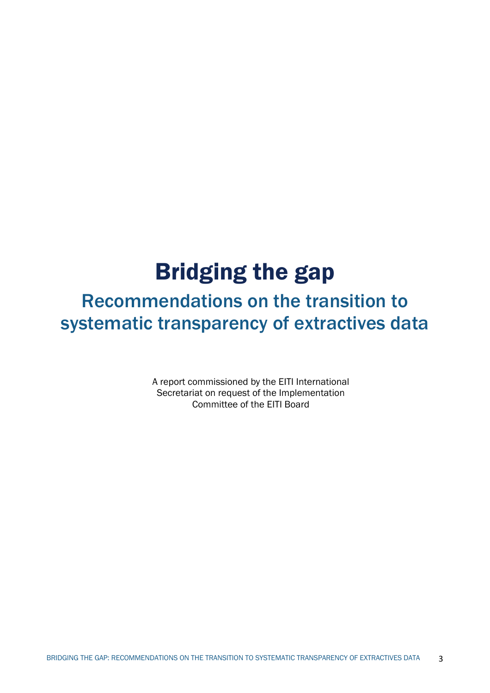# Bridging the gap

# Recommendations on the transition to systematic transparency of extractives data

A report commissioned by the EITI International Secretariat on request of the Implementation Committee of the EITI Board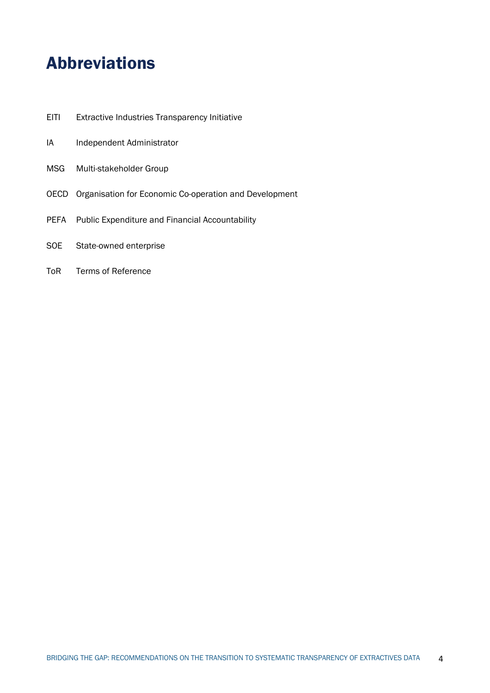# Abbreviations

- EITI Extractive Industries Transparency Initiative
- IA Independent Administrator
- MSG Multi-stakeholder Group
- OECD Organisation for Economic Co-operation and Development
- PEFA Public Expenditure and Financial Accountability
- SOE State-owned enterprise
- ToR Terms of Reference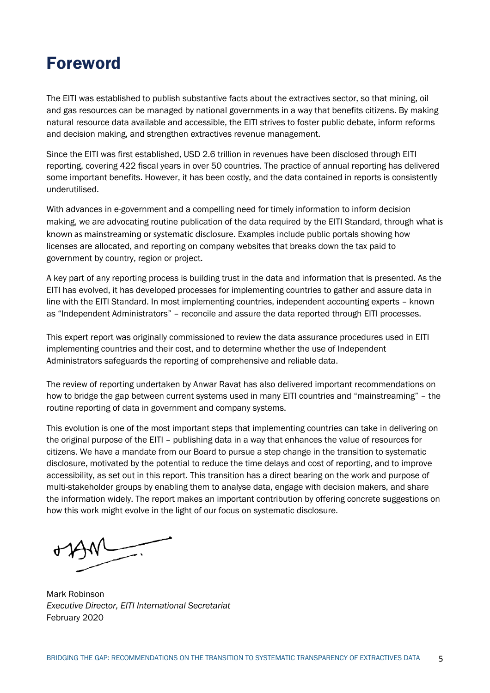# Foreword

The EITI was established to publish substantive facts about the extractives sector, so that mining, oil and gas resources can be managed by national governments in a way that benefits citizens. By making natural resource data available and accessible, the EITI strives to foster public debate, inform reforms and decision making, and strengthen extractives revenue management.

Since the EITI was first established, USD 2.6 trillion in revenues have been disclosed through EITI reporting, covering 422 fiscal years in over 50 countries. The practice of annual reporting has delivered some important benefits. However, it has been costly, and the data contained in reports is consistently underutilised.

With advances in e-government and a compelling need for timely information to inform decision making, we are advocating routine publication of the data required by the EITI Standard, through what is known as mainstreaming or systematic disclosure. Examples include public portals showing how licenses are allocated, and reporting on company websites that breaks down the tax paid to government by country, region or project.

A key part of any reporting process is building trust in the data and information that is presented. As the EITI has evolved, it has developed processes for implementing countries to gather and assure data in line with the EITI Standard. In most implementing countries, independent accounting experts – known as "Independent Administrators" – reconcile and assure the data reported through EITI processes.

This expert report was originally commissioned to review the data assurance procedures used in EITI implementing countries and their cost, and to determine whether the use of Independent Administrators safeguards the reporting of comprehensive and reliable data.

The review of reporting undertaken by Anwar Ravat has also delivered important recommendations on how to bridge the gap between current systems used in many EITI countries and "mainstreaming" – the routine reporting of data in government and company systems.

This evolution is one of the most important steps that implementing countries can take in delivering on the original purpose of the EITI – publishing data in a way that enhances the value of resources for citizens. We have a mandate from our Board to pursue a step change in the transition to systematic disclosure, motivated by the potential to reduce the time delays and cost of reporting, and to improve accessibility, as set out in this report. This transition has a direct bearing on the work and purpose of multi-stakeholder groups by enabling them to analyse data, engage with decision makers, and share the information widely. The report makes an important contribution by offering concrete suggestions on how this work might evolve in the light of our focus on systematic disclosure.

Mark Robinson *Executive Director, EITI International Secretariat* February 2020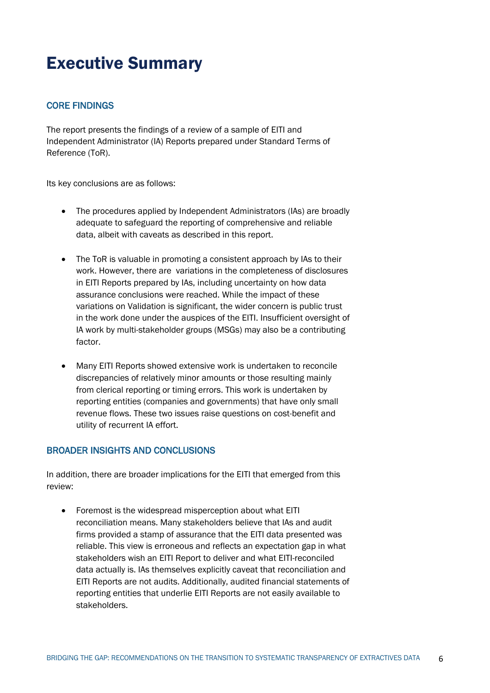# Executive Summary

#### CORE FINDINGS

The report presents the findings of a review of a sample of EITI and Independent Administrator (IA) Reports prepared under Standard Terms of Reference (ToR).

Its key conclusions are as follows:

- The procedures applied by Independent Administrators (IAs) are broadly adequate to safeguard the reporting of comprehensive and reliable data, albeit with caveats as described in this report.
- The ToR is valuable in promoting a consistent approach by IAs to their work. However, there are variations in the completeness of disclosures in EITI Reports prepared by IAs, including uncertainty on how data assurance conclusions were reached. While the impact of these variations on Validation is significant, the wider concern is public trust in the work done under the auspices of the EITI. Insufficient oversight of IA work by multi-stakeholder groups (MSGs) may also be a contributing factor.
- Many EITI Reports showed extensive work is undertaken to reconcile discrepancies of relatively minor amounts or those resulting mainly from clerical reporting or timing errors. This work is undertaken by reporting entities (companies and governments) that have only small revenue flows. These two issues raise questions on cost-benefit and utility of recurrent IA effort.

#### BROADER INSIGHTS AND CONCLUSIONS

In addition, there are broader implications for the EITI that emerged from this review:

• Foremost is the widespread misperception about what EITI reconciliation means. Many stakeholders believe that IAs and audit firms provided a stamp of assurance that the EITI data presented was reliable. This view is erroneous and reflects an expectation gap in what stakeholders wish an EITI Report to deliver and what EITI-reconciled data actually is. IAs themselves explicitly caveat that reconciliation and EITI Reports are not audits. Additionally, audited financial statements of reporting entities that underlie EITI Reports are not easily available to stakeholders.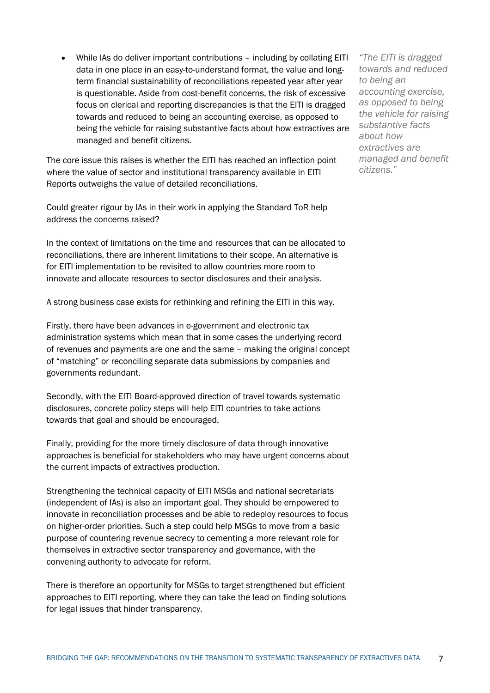• While IAs do deliver important contributions – including by collating EITI data in one place in an easy-to-understand format, the value and longterm financial sustainability of reconciliations repeated year after year is questionable. Aside from cost-benefit concerns, the risk of excessive focus on clerical and reporting discrepancies is that the EITI is dragged towards and reduced to being an accounting exercise, as opposed to being the vehicle for raising substantive facts about how extractives are managed and benefit citizens.

The core issue this raises is whether the EITI has reached an inflection point where the value of sector and institutional transparency available in EITI Reports outweighs the value of detailed reconciliations.

Could greater rigour by IAs in their work in applying the Standard ToR help address the concerns raised?

In the context of limitations on the time and resources that can be allocated to reconciliations, there are inherent limitations to their scope. An alternative is for EITI implementation to be revisited to allow countries more room to innovate and allocate resources to sector disclosures and their analysis.

A strong business case exists for rethinking and refining the EITI in this way.

Firstly, there have been advances in e-government and electronic tax administration systems which mean that in some cases the underlying record of revenues and payments are one and the same – making the original concept of "matching" or reconciling separate data submissions by companies and governments redundant.

Secondly, with the EITI Board-approved direction of travel towards systematic disclosures, concrete policy steps will help EITI countries to take actions towards that goal and should be encouraged.

Finally, providing for the more timely disclosure of data through innovative approaches is beneficial for stakeholders who may have urgent concerns about the current impacts of extractives production.

Strengthening the technical capacity of EITI MSGs and national secretariats (independent of IAs) is also an important goal. They should be empowered to innovate in reconciliation processes and be able to redeploy resources to focus on higher-order priorities. Such a step could help MSGs to move from a basic purpose of countering revenue secrecy to cementing a more relevant role for themselves in extractive sector transparency and governance, with the convening authority to advocate for reform.

There is therefore an opportunity for MSGs to target strengthened but efficient approaches to EITI reporting, where they can take the lead on finding solutions for legal issues that hinder transparency.

*"The EITI is dragged towards and reduced to being an accounting exercise, as opposed to being the vehicle for raising substantive facts about how extractives are managed and benefit citizens."*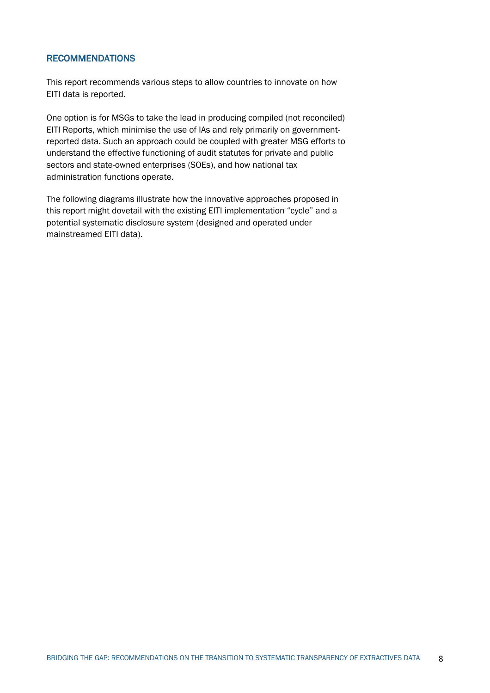#### RECOMMENDATIONS

This report recommends various steps to allow countries to innovate on how EITI data is reported.

One option is for MSGs to take the lead in producing compiled (not reconciled) EITI Reports, which minimise the use of IAs and rely primarily on governmentreported data. Such an approach could be coupled with greater MSG efforts to understand the effective functioning of audit statutes for private and public sectors and state-owned enterprises (SOEs), and how national tax administration functions operate.

The following diagrams illustrate how the innovative approaches proposed in this report might dovetail with the existing EITI implementation "cycle" and a potential systematic disclosure system (designed and operated under mainstreamed EITI data).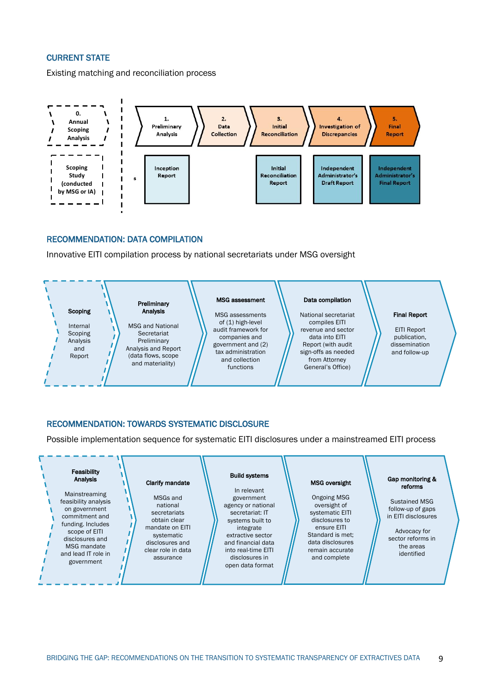#### CURRENT STATE

Existing matching and reconciliation process



#### RECOMMENDATION: DATA COMPILATION

Innovative EITI compilation process by national secretariats under MSG oversight



#### RECOMMENDATION: TOWARDS SYSTEMATIC DISCLOSURE

Possible implementation sequence for systematic EITI disclosures under a mainstreamed EITI process

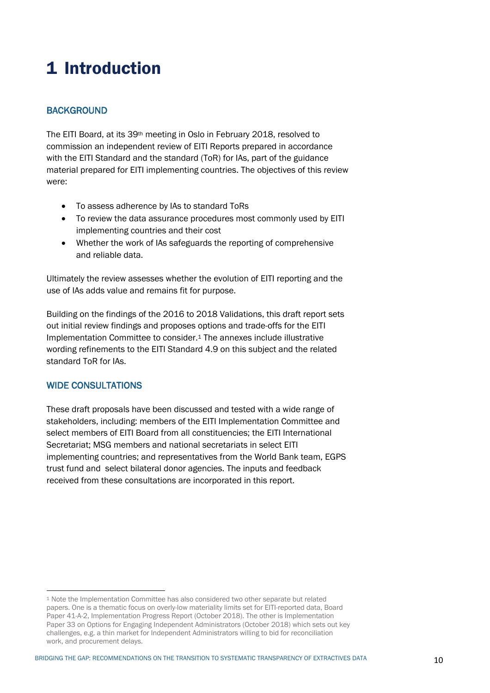# 1 Introduction

# **BACKGROUND**

The EITI Board, at its 39th meeting in Oslo in February 2018, resolved to commission an independent review of EITI Reports prepared in accordance with the EITI Standard and the standard (ToR) for IAs, part of the guidance material prepared for EITI implementing countries. The objectives of this review were:

- To assess adherence by IAs to standard ToRs
- To review the data assurance procedures most commonly used by EITI implementing countries and their cost
- Whether the work of IAs safeguards the reporting of comprehensive and reliable data.

Ultimately the review assesses whether the evolution of EITI reporting and the use of IAs adds value and remains fit for purpose.

Building on the findings of the 2016 to 2018 Validations, this draft report sets out initial review findings and proposes options and trade-offs for the EITI Implementation Committee to consider.1 The annexes include illustrative wording refinements to the EITI Standard 4.9 on this subject and the related standard ToR for IAs.

#### WIDE CONSULTATIONS

These draft proposals have been discussed and tested with a wide range of stakeholders, including: members of the EITI Implementation Committee and select members of EITI Board from all constituencies; the EITI International Secretariat; MSG members and national secretariats in select EITI implementing countries; and representatives from the World Bank team, EGPS trust fund and select bilateral donor agencies. The inputs and feedback received from these consultations are incorporated in this report.

<sup>1</sup> Note the Implementation Committee has also considered two other separate but related papers. One is a thematic focus on overly-low materiality limits set for EITI-reported data, Board Paper 41-A-2, Implementation Progress Report (October 2018). The other is Implementation Paper 33 on Options for Engaging Independent Administrators (October 2018) which sets out key challenges, e.g. a thin market for Independent Administrators willing to bid for reconciliation work, and procurement delays.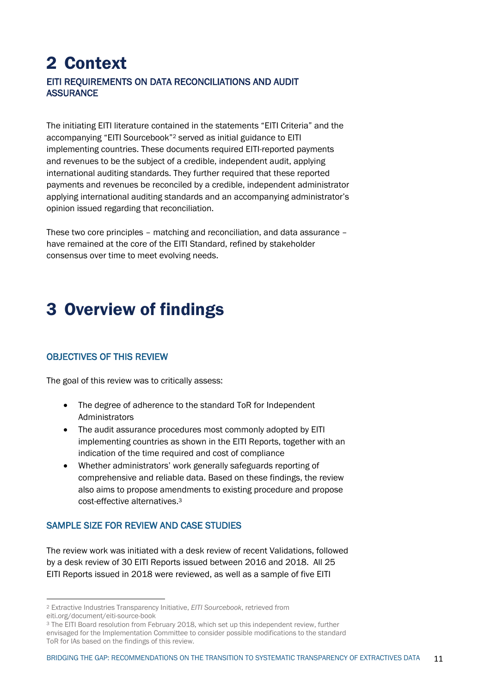# 2 Context EITI REQUIREMENTS ON DATA RECONCILIATIONS AND AUDIT **ASSURANCE**

The initiating EITI literature contained in the statements "EITI Criteria" and the accompanying "EITI Sourcebook"2 served as initial guidance to EITI implementing countries. These documents required EITI-reported payments and revenues to be the subject of a credible, independent audit, applying international auditing standards. They further required that these reported payments and revenues be reconciled by a credible, independent administrator applying international auditing standards and an accompanying administrator's opinion issued regarding that reconciliation.

These two core principles – matching and reconciliation, and data assurance – have remained at the core of the EITI Standard, refined by stakeholder consensus over time to meet evolving needs.

# 3 Overview of findings

# OBJECTIVES OF THIS REVIEW

The goal of this review was to critically assess:

- The degree of adherence to the standard ToR for Independent Administrators
- The audit assurance procedures most commonly adopted by EITI implementing countries as shown in the EITI Reports, together with an indication of the time required and cost of compliance
- Whether administrators' work generally safeguards reporting of comprehensive and reliable data. Based on these findings, the review also aims to propose amendments to existing procedure and propose cost-effective alternatives.3

# SAMPLE SIZE FOR REVIEW AND CASE STUDIES

The review work was initiated with a desk review of recent Validations, followed by a desk review of 30 EITI Reports issued between 2016 and 2018. All 25 EITI Reports issued in 2018 were reviewed, as well as a sample of five EITI

<sup>2</sup> Extractive Industries Transparency Initiative, *EITI Sourcebook*, retrieved from eiti.org/document/eiti-source-book

<sup>&</sup>lt;sup>3</sup> The EITI Board resolution from February 2018, which set up this independent review, further envisaged for the Implementation Committee to consider possible modifications to the standard ToR for IAs based on the findings of this review.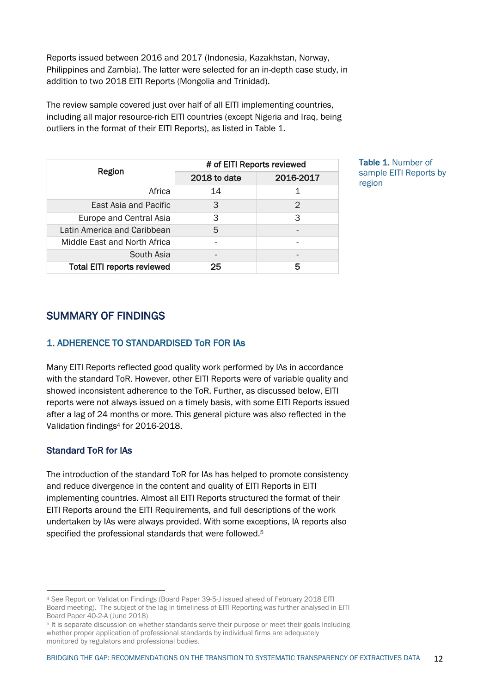Reports issued between 2016 and 2017 (Indonesia, Kazakhstan, Norway, Philippines and Zambia). The latter were selected for an in-depth case study, in addition to two 2018 EITI Reports (Mongolia and Trinidad).

The review sample covered just over half of all EITI implementing countries, including all major resource-rich EITI countries (except Nigeria and Iraq, being outliers in the format of their EITI Reports), as listed in Table 1.

|                                    | # of EITI Reports reviewed |           |  |
|------------------------------------|----------------------------|-----------|--|
| Region                             | 2018 to date               | 2016-2017 |  |
| Africa                             | 14                         |           |  |
| East Asia and Pacific              | 3                          | 2         |  |
| Europe and Central Asia            | 3                          | 3         |  |
| Latin America and Caribbean        | 5                          |           |  |
| Middle East and North Africa       |                            |           |  |
| South Asia                         |                            |           |  |
| <b>Total EITI reports reviewed</b> | 25                         | 5         |  |

Table 1. Number of sample EITI Reports by region

# SUMMARY OF FINDINGS

# 1. ADHERENCE TO STANDARDISED ToR FOR IAs

Many EITI Reports reflected good quality work performed by IAs in accordance with the standard ToR. However, other EITI Reports were of variable quality and showed inconsistent adherence to the ToR. Further, as discussed below, EITI reports were not always issued on a timely basis, with some EITI Reports issued after a lag of 24 months or more. This general picture was also reflected in the Validation findings4 for 2016-2018.

# Standard ToR for IAs

The introduction of the standard ToR for IAs has helped to promote consistency and reduce divergence in the content and quality of EITI Reports in EITI implementing countries. Almost all EITI Reports structured the format of their EITI Reports around the EITI Requirements, and full descriptions of the work undertaken by IAs were always provided. With some exceptions, IA reports also specified the professional standards that were followed.5

<sup>4</sup> See Report on Validation Findings (Board Paper 39-5-J issued ahead of February 2018 EITI Board meeting). The subject of the lag in timeliness of EITI Reporting was further analysed in EITI Board Paper 40-2-A (June 2018)

<sup>5</sup> It is separate discussion on whether standards serve their purpose or meet their goals including whether proper application of professional standards by individual firms are adequately monitored by regulators and professional bodies.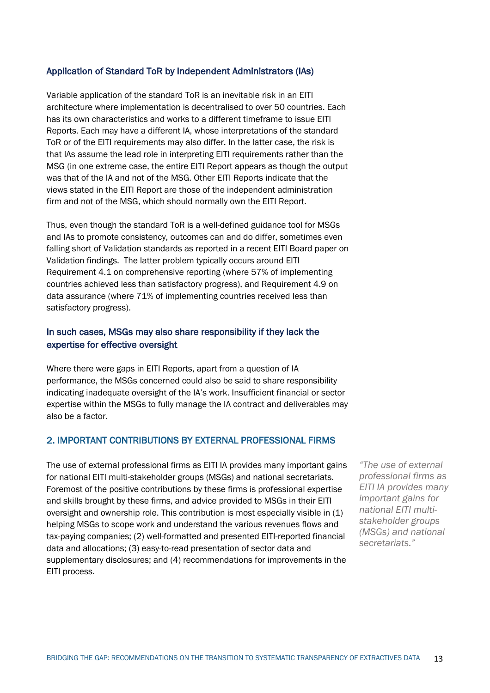#### Application of Standard ToR by Independent Administrators (IAs)

Variable application of the standard ToR is an inevitable risk in an EITI architecture where implementation is decentralised to over 50 countries. Each has its own characteristics and works to a different timeframe to issue EITI Reports. Each may have a different IA, whose interpretations of the standard ToR or of the EITI requirements may also differ. In the latter case, the risk is that IAs assume the lead role in interpreting EITI requirements rather than the MSG (in one extreme case, the entire EITI Report appears as though the output was that of the IA and not of the MSG. Other EITI Reports indicate that the views stated in the EITI Report are those of the independent administration firm and not of the MSG, which should normally own the EITI Report.

Thus, even though the standard ToR is a well-defined guidance tool for MSGs and IAs to promote consistency, outcomes can and do differ, sometimes even falling short of Validation standards as reported in a recent EITI Board paper on Validation findings. The latter problem typically occurs around EITI Requirement 4.1 on comprehensive reporting (where 57% of implementing countries achieved less than satisfactory progress), and Requirement 4.9 on data assurance (where 71% of implementing countries received less than satisfactory progress).

#### In such cases, MSGs may also share responsibility if they lack the expertise for effective oversight

Where there were gaps in EITI Reports, apart from a question of IA performance, the MSGs concerned could also be said to share responsibility indicating inadequate oversight of the IA's work. Insufficient financial or sector expertise within the MSGs to fully manage the IA contract and deliverables may also be a factor.

#### 2. IMPORTANT CONTRIBUTIONS BY EXTERNAL PROFESSIONAL FIRMS

The use of external professional firms as EITI IA provides many important gains for national EITI multi-stakeholder groups (MSGs) and national secretariats. Foremost of the positive contributions by these firms is professional expertise and skills brought by these firms, and advice provided to MSGs in their EITI oversight and ownership role. This contribution is most especially visible in (1) helping MSGs to scope work and understand the various revenues flows and tax-paying companies; (2) well-formatted and presented EITI-reported financial data and allocations; (3) easy-to-read presentation of sector data and supplementary disclosures; and (4) recommendations for improvements in the EITI process.

*"The use of external professional firms as EITI IA provides many important gains for national EITI multistakeholder groups (MSGs) and national secretariats."*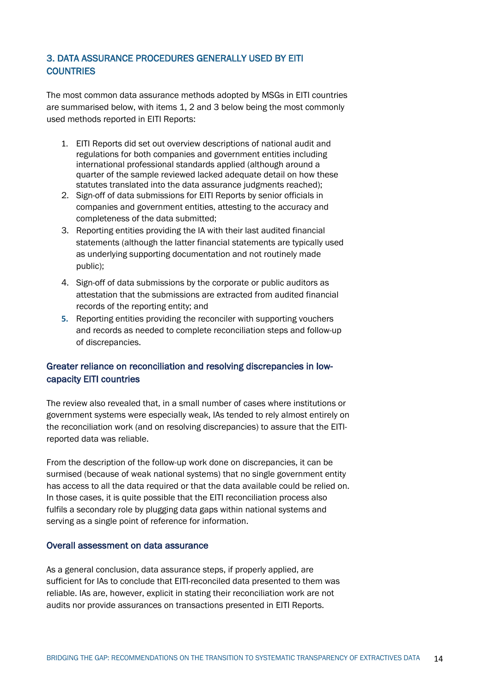# 3. DATA ASSURANCE PROCEDURES GENERALLY USED BY EITI **COUNTRIES**

The most common data assurance methods adopted by MSGs in EITI countries are summarised below, with items 1, 2 and 3 below being the most commonly used methods reported in EITI Reports:

- 1. EITI Reports did set out overview descriptions of national audit and regulations for both companies and government entities including international professional standards applied (although around a quarter of the sample reviewed lacked adequate detail on how these statutes translated into the data assurance judgments reached);
- 2. Sign-off of data submissions for EITI Reports by senior officials in companies and government entities, attesting to the accuracy and completeness of the data submitted;
- 3. Reporting entities providing the IA with their last audited financial statements (although the latter financial statements are typically used as underlying supporting documentation and not routinely made public);
- 4. Sign-off of data submissions by the corporate or public auditors as attestation that the submissions are extracted from audited financial records of the reporting entity; and
- **5.** Reporting entities providing the reconciler with supporting vouchers and records as needed to complete reconciliation steps and follow-up of discrepancies.

# Greater reliance on reconciliation and resolving discrepancies in lowcapacity EITI countries

The review also revealed that, in a small number of cases where institutions or government systems were especially weak, IAs tended to rely almost entirely on the reconciliation work (and on resolving discrepancies) to assure that the EITIreported data was reliable.

From the description of the follow-up work done on discrepancies, it can be surmised (because of weak national systems) that no single government entity has access to all the data required or that the data available could be relied on. In those cases, it is quite possible that the EITI reconciliation process also fulfils a secondary role by plugging data gaps within national systems and serving as a single point of reference for information.

#### Overall assessment on data assurance

As a general conclusion, data assurance steps, if properly applied, are sufficient for IAs to conclude that EITI-reconciled data presented to them was reliable. IAs are, however, explicit in stating their reconciliation work are not audits nor provide assurances on transactions presented in EITI Reports.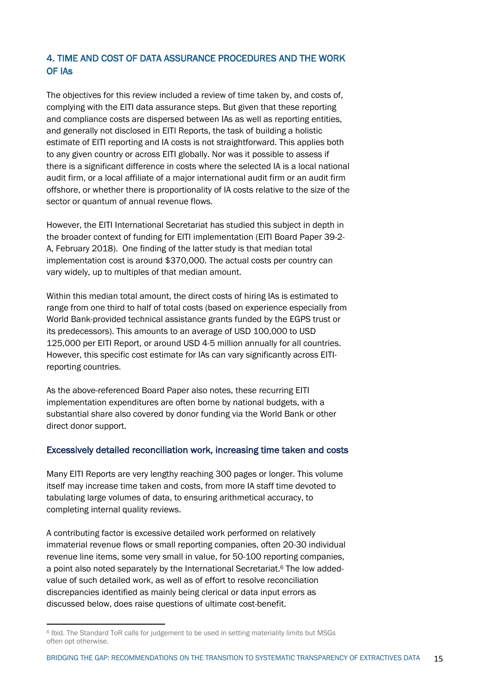# 4. TIME AND COST OF DATA ASSURANCE PROCEDURES AND THE WORK OF IAs

The objectives for this review included a review of time taken by, and costs of, complying with the EITI data assurance steps. But given that these reporting and compliance costs are dispersed between IAs as well as reporting entities, and generally not disclosed in EITI Reports, the task of building a holistic estimate of EITI reporting and IA costs is not straightforward. This applies both to any given country or across EITI globally. Nor was it possible to assess if there is a significant difference in costs where the selected IA is a local national audit firm, or a local affiliate of a major international audit firm or an audit firm offshore, or whether there is proportionality of IA costs relative to the size of the sector or quantum of annual revenue flows.

However, the EITI International Secretariat has studied this subject in depth in the broader context of funding for EITI implementation (EITI Board Paper 39-2- A, February 2018). One finding of the latter study is that median total implementation cost is around \$370,000. The actual costs per country can vary widely, up to multiples of that median amount.

Within this median total amount, the direct costs of hiring IAs is estimated to range from one third to half of total costs (based on experience especially from World Bank-provided technical assistance grants funded by the EGPS trust or its predecessors). This amounts to an average of USD 100,000 to USD 125,000 per EITI Report, or around USD 4-5 million annually for all countries. However, this specific cost estimate for IAs can vary significantly across EITIreporting countries.

As the above-referenced Board Paper also notes, these recurring EITI implementation expenditures are often borne by national budgets, with a substantial share also covered by donor funding via the World Bank or other direct donor support.

#### Excessively detailed reconciliation work, increasing time taken and costs

Many EITI Reports are very lengthy reaching 300 pages or longer. This volume itself may increase time taken and costs, from more IA staff time devoted to tabulating large volumes of data, to ensuring arithmetical accuracy, to completing internal quality reviews.

A contributing factor is excessive detailed work performed on relatively immaterial revenue flows or small reporting companies, often 20-30 individual revenue line items, some very small in value, for 50-100 reporting companies, a point also noted separately by the International Secretariat.6 The low addedvalue of such detailed work, as well as of effort to resolve reconciliation discrepancies identified as mainly being clerical or data input errors as discussed below, does raise questions of ultimate cost-benefit.

<sup>6</sup> Ibid. The Standard ToR calls for judgement to be used in setting materiality limits but MSGs often opt otherwise.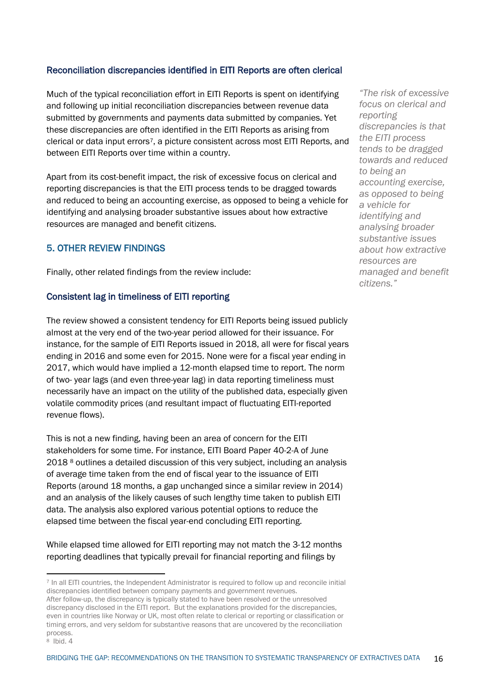### Reconciliation discrepancies identified in EITI Reports are often clerical

Much of the typical reconciliation effort in EITI Reports is spent on identifying and following up initial reconciliation discrepancies between revenue data submitted by governments and payments data submitted by companies. Yet these discrepancies are often identified in the EITI Reports as arising from clerical or data input errors7, a picture consistent across most EITI Reports, and between EITI Reports over time within a country.

Apart from its cost-benefit impact, the risk of excessive focus on clerical and reporting discrepancies is that the EITI process tends to be dragged towards and reduced to being an accounting exercise, as opposed to being a vehicle for identifying and analysing broader substantive issues about how extractive resources are managed and benefit citizens.

# 5. OTHER REVIEW FINDINGS

Finally, other related findings from the review include:

### Consistent lag in timeliness of EITI reporting

The review showed a consistent tendency for EITI Reports being issued publicly almost at the very end of the two-year period allowed for their issuance. For instance, for the sample of EITI Reports issued in 2018, all were for fiscal years ending in 2016 and some even for 2015. None were for a fiscal year ending in 2017, which would have implied a 12-month elapsed time to report. The norm of two- year lags (and even three-year lag) in data reporting timeliness must necessarily have an impact on the utility of the published data, especially given volatile commodity prices (and resultant impact of fluctuating EITI-reported revenue flows).

This is not a new finding, having been an area of concern for the EITI stakeholders for some time. For instance, EITI Board Paper 40-2-A of June 2018 <sup>8</sup> outlines a detailed discussion of this very subject, including an analysis of average time taken from the end of fiscal year to the issuance of EITI Reports (around 18 months, a gap unchanged since a similar review in 2014) and an analysis of the likely causes of such lengthy time taken to publish EITI data. The analysis also explored various potential options to reduce the elapsed time between the fiscal year-end concluding EITI reporting.

While elapsed time allowed for EITI reporting may not match the 3-12 months reporting deadlines that typically prevail for financial reporting and filings by

*"The risk of excessive focus on clerical and reporting discrepancies is that the EITI process tends to be dragged towards and reduced to being an accounting exercise, as opposed to being a vehicle for identifying and analysing broader substantive issues about how extractive resources are managed and benefit citizens."*

<sup>7</sup> In all EITI countries, the Independent Administrator is required to follow up and reconcile initial discrepancies identified between company payments and government revenues. After follow-up, the discrepancy is typically stated to have been resolved or the unresolved discrepancy disclosed in the EITI report. But the explanations provided for the discrepancies, even in countries like Norway or UK, most often relate to clerical or reporting or classification or timing errors, and very seldom for substantive reasons that are uncovered by the reconciliation process.

<sup>8</sup> Ibid. 4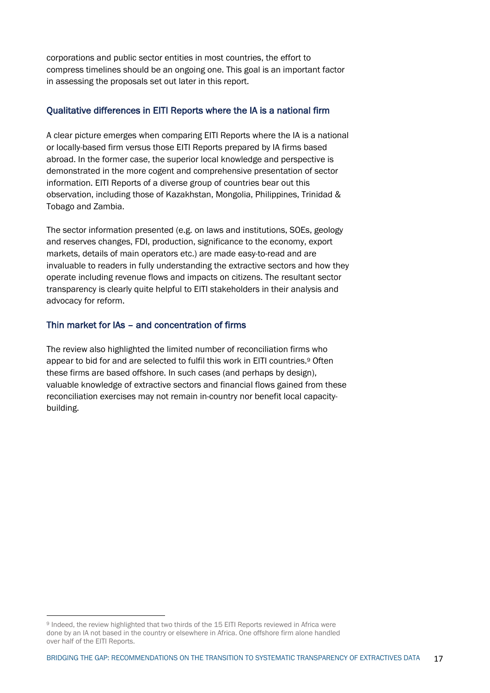corporations and public sector entities in most countries, the effort to compress timelines should be an ongoing one. This goal is an important factor in assessing the proposals set out later in this report.

#### Qualitative differences in EITI Reports where the IA is a national firm

A clear picture emerges when comparing EITI Reports where the IA is a national or locally-based firm versus those EITI Reports prepared by IA firms based abroad. In the former case, the superior local knowledge and perspective is demonstrated in the more cogent and comprehensive presentation of sector information. EITI Reports of a diverse group of countries bear out this observation, including those of Kazakhstan, Mongolia, Philippines, Trinidad & Tobago and Zambia.

The sector information presented (e.g. on laws and institutions, SOEs, geology and reserves changes, FDI, production, significance to the economy, export markets, details of main operators etc.) are made easy-to-read and are invaluable to readers in fully understanding the extractive sectors and how they operate including revenue flows and impacts on citizens. The resultant sector transparency is clearly quite helpful to EITI stakeholders in their analysis and advocacy for reform.

# Thin market for IAs – and concentration of firms

The review also highlighted the limited number of reconciliation firms who appear to bid for and are selected to fulfil this work in EITI countries.9 Often these firms are based offshore. In such cases (and perhaps by design), valuable knowledge of extractive sectors and financial flows gained from these reconciliation exercises may not remain in-country nor benefit local capacitybuilding.

<sup>9</sup> Indeed, the review highlighted that two thirds of the 15 EITI Reports reviewed in Africa were done by an IA not based in the country or elsewhere in Africa. One offshore firm alone handled over half of the EITI Reports.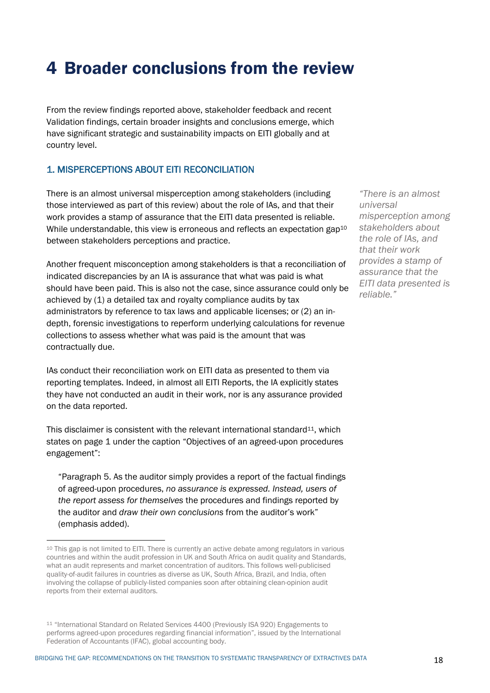# 4 Broader conclusions from the review

From the review findings reported above, stakeholder feedback and recent Validation findings, certain broader insights and conclusions emerge, which have significant strategic and sustainability impacts on EITI globally and at country level.

### 1. MISPERCEPTIONS ABOUT EITI RECONCILIATION

There is an almost universal misperception among stakeholders (including those interviewed as part of this review) about the role of IAs, and that their work provides a stamp of assurance that the EITI data presented is reliable. While understandable, this view is erroneous and reflects an expectation gap<sup>10</sup> between stakeholders perceptions and practice.

Another frequent misconception among stakeholders is that a reconciliation of indicated discrepancies by an IA is assurance that what was paid is what should have been paid. This is also not the case, since assurance could only be achieved by (1) a detailed tax and royalty compliance audits by tax administrators by reference to tax laws and applicable licenses; or (2) an indepth, forensic investigations to reperform underlying calculations for revenue collections to assess whether what was paid is the amount that was contractually due.

IAs conduct their reconciliation work on EITI data as presented to them via reporting templates. Indeed, in almost all EITI Reports, the IA explicitly states they have not conducted an audit in their work, nor is any assurance provided on the data reported.

This disclaimer is consistent with the relevant international standard $11$ , which states on page 1 under the caption "Objectives of an agreed-upon procedures engagement":

"Paragraph 5. As the auditor simply provides a report of the factual findings of agreed-upon procedures, *no assurance is expressed. Instead, users of the report assess for themselves* the procedures and findings reported by the auditor and *draw their own conclusions* from the auditor's work" (emphasis added).

*"There is an almost universal misperception among stakeholders about the role of IAs, and that their work provides a stamp of assurance that the EITI data presented is reliable."*

<sup>10</sup> This gap is not limited to EITI. There is currently an active debate among regulators in various countries and within the audit profession in UK and South Africa on audit quality and Standards, what an audit represents and market concentration of auditors. This follows well-publicised quality-of-audit failures in countries as diverse as UK, South Africa, Brazil, and India, often involving the collapse of publicly-listed companies soon after obtaining clean-opinion audit reports from their external auditors.

<sup>11</sup> "International Standard on Related Services 4400 (Previously ISA 920) Engagements to performs agreed-upon procedures regarding financial information", issued by the International Federation of Accountants (IFAC), global accounting body.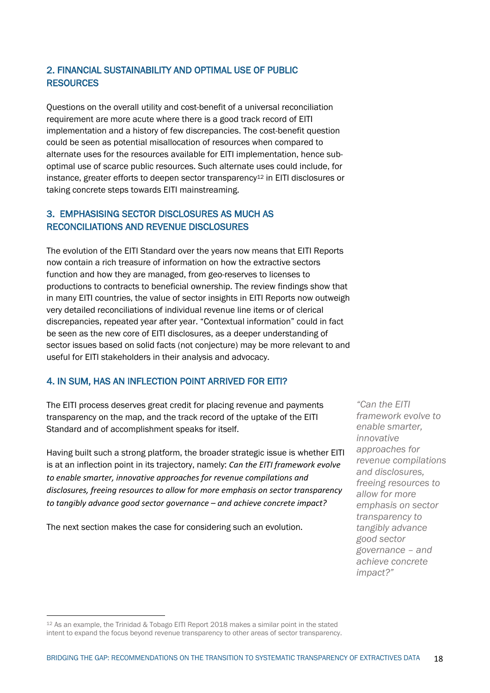# 2. FINANCIAL SUSTAINABILITY AND OPTIMAL USE OF PUBLIC **RESOURCES**

Questions on the overall utility and cost-benefit of a universal reconciliation requirement are more acute where there is a good track record of EITI implementation and a history of few discrepancies. The cost-benefit question could be seen as potential misallocation of resources when compared to alternate uses for the resources available for EITI implementation, hence suboptimal use of scarce public resources. Such alternate uses could include, for instance, greater efforts to deepen sector transparency<sup>12</sup> in EITI disclosures or taking concrete steps towards EITI mainstreaming.

# 3. EMPHASISING SECTOR DISCLOSURES AS MUCH AS RECONCILIATIONS AND REVENUE DISCLOSURES

The evolution of the EITI Standard over the years now means that EITI Reports now contain a rich treasure of information on how the extractive sectors function and how they are managed, from geo-reserves to licenses to productions to contracts to beneficial ownership. The review findings show that in many EITI countries, the value of sector insights in EITI Reports now outweigh very detailed reconciliations of individual revenue line items or of clerical discrepancies, repeated year after year. "Contextual information" could in fact be seen as the new core of EITI disclosures, as a deeper understanding of sector issues based on solid facts (not conjecture) may be more relevant to and useful for EITI stakeholders in their analysis and advocacy.

# 4. IN SUM, HAS AN INFLECTION POINT ARRIVED FOR EITI?

The EITI process deserves great credit for placing revenue and payments transparency on the map, and the track record of the uptake of the EITI Standard and of accomplishment speaks for itself.

Having built such a strong platform, the broader strategic issue is whether EITI is at an inflection point in its trajectory, namely: *Can the EITI framework evolve to enable smarter, innovative approaches for revenue compilations and disclosures, freeing resources to allow for more emphasis on sector transparency to tangibly advance good sector governance – and achieve concrete impact?*

The next section makes the case for considering such an evolution.

*"Can the EITI framework evolve to enable smarter, innovative approaches for revenue compilations and disclosures, freeing resources to allow for more emphasis on sector transparency to tangibly advance good sector governance – and achieve concrete impact?"*

<sup>12</sup> As an example, the Trinidad & Tobago EITI Report 2018 makes a similar point in the stated intent to expand the focus beyond revenue transparency to other areas of sector transparency.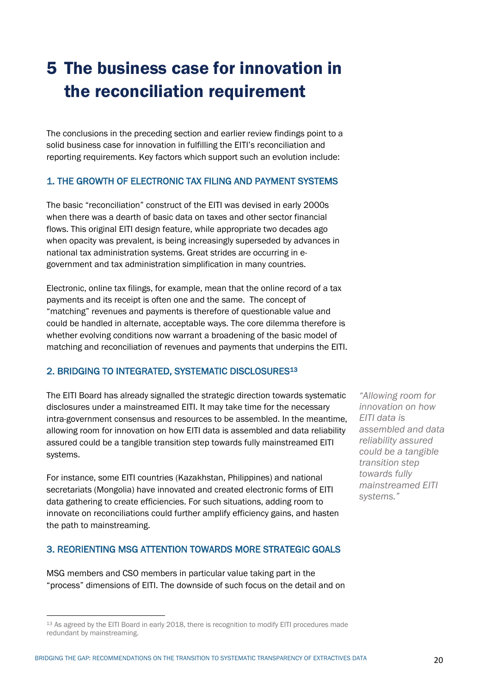# 5 The business case for innovation in the reconciliation requirement

The conclusions in the preceding section and earlier review findings point to a solid business case for innovation in fulfilling the EITI's reconciliation and reporting requirements. Key factors which support such an evolution include:

# 1. THE GROWTH OF ELECTRONIC TAX FILING AND PAYMENT SYSTEMS

The basic "reconciliation" construct of the EITI was devised in early 2000s when there was a dearth of basic data on taxes and other sector financial flows. This original EITI design feature, while appropriate two decades ago when opacity was prevalent, is being increasingly superseded by advances in national tax administration systems. Great strides are occurring in egovernment and tax administration simplification in many countries.

Electronic, online tax filings, for example, mean that the online record of a tax payments and its receipt is often one and the same. The concept of "matching" revenues and payments is therefore of questionable value and could be handled in alternate, acceptable ways. The core dilemma therefore is whether evolving conditions now warrant a broadening of the basic model of matching and reconciliation of revenues and payments that underpins the EITI.

# 2. BRIDGING TO INTEGRATED, SYSTEMATIC DISCLOSURES13

The EITI Board has already signalled the strategic direction towards systematic disclosures under a mainstreamed EITI. It may take time for the necessary intra-government consensus and resources to be assembled. In the meantime, allowing room for innovation on how EITI data is assembled and data reliability assured could be a tangible transition step towards fully mainstreamed EITI systems.

For instance, some EITI countries (Kazakhstan, Philippines) and national secretariats (Mongolia) have innovated and created electronic forms of EITI data gathering to create efficiencies. For such situations, adding room to innovate on reconciliations could further amplify efficiency gains, and hasten the path to mainstreaming.

#### 3. REORIENTING MSG ATTENTION TOWARDS MORE STRATEGIC GOALS

MSG members and CSO members in particular value taking part in the "process" dimensions of EITI. The downside of such focus on the detail and on

*"Allowing room for innovation on how EITI data is assembled and data reliability assured could be a tangible transition step towards fully mainstreamed EITI systems."*

<sup>13</sup> As agreed by the EITI Board in early 2018, there is recognition to modify EITI procedures made redundant by mainstreaming.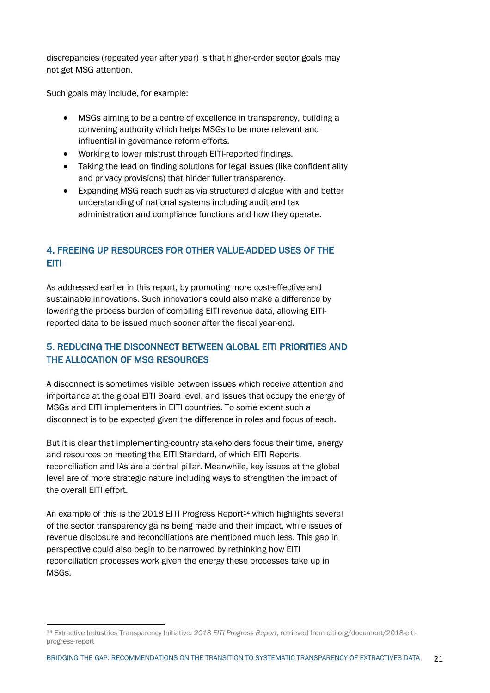discrepancies (repeated year after year) is that higher-order sector goals may not get MSG attention.

Such goals may include, for example:

- MSGs aiming to be a centre of excellence in transparency, building a convening authority which helps MSGs to be more relevant and influential in governance reform efforts.
- Working to lower mistrust through EITI-reported findings.
- Taking the lead on finding solutions for legal issues (like confidentiality and privacy provisions) that hinder fuller transparency.
- Expanding MSG reach such as via structured dialogue with and better understanding of national systems including audit and tax administration and compliance functions and how they operate.

# 4. FREEING UP RESOURCES FOR OTHER VALUE-ADDED USES OF THE EITI

As addressed earlier in this report, by promoting more cost-effective and sustainable innovations. Such innovations could also make a difference by lowering the process burden of compiling EITI revenue data, allowing EITIreported data to be issued much sooner after the fiscal year-end.

# 5. REDUCING THE DISCONNECT BETWEEN GLOBAL EITI PRIORITIES AND THE ALLOCATION OF MSG RESOURCES

A disconnect is sometimes visible between issues which receive attention and importance at the global EITI Board level, and issues that occupy the energy of MSGs and EITI implementers in EITI countries. To some extent such a disconnect is to be expected given the difference in roles and focus of each.

But it is clear that implementing-country stakeholders focus their time, energy and resources on meeting the EITI Standard, of which EITI Reports, reconciliation and IAs are a central pillar. Meanwhile, key issues at the global level are of more strategic nature including ways to strengthen the impact of the overall EITI effort.

An example of this is the 2018 EITI Progress Report<sup>14</sup> which highlights several of the sector transparency gains being made and their impact, while issues of revenue disclosure and reconciliations are mentioned much less. This gap in perspective could also begin to be narrowed by rethinking how EITI reconciliation processes work given the energy these processes take up in MSGs.

<sup>14</sup> Extractive Industries Transparency Initiative, *2018 EITI Progress Report*, retrieved from eiti.org/document/2018-eitiprogress-report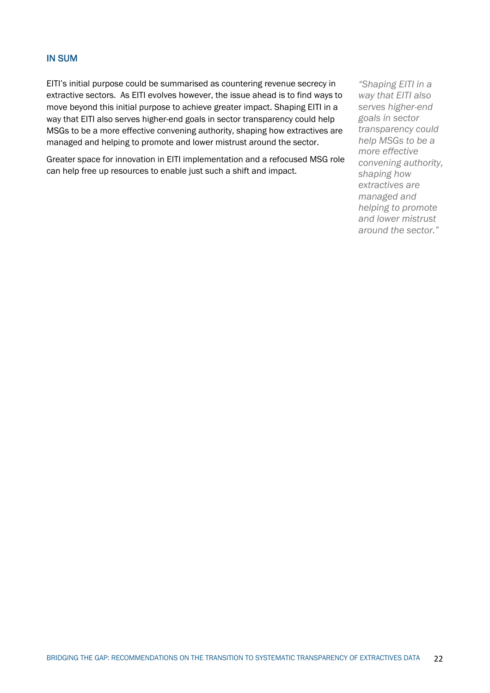#### IN SUM

EITI's initial purpose could be summarised as countering revenue secrecy in extractive sectors. As EITI evolves however, the issue ahead is to find ways to move beyond this initial purpose to achieve greater impact. Shaping EITI in a way that EITI also serves higher-end goals in sector transparency could help MSGs to be a more effective convening authority, shaping how extractives are managed and helping to promote and lower mistrust around the sector.

Greater space for innovation in EITI implementation and a refocused MSG role can help free up resources to enable just such a shift and impact.

*"Shaping EITI in a way that EITI also serves higher-end goals in sector transparency could help MSGs to be a more effective convening authority, shaping how extractives are managed and helping to promote and lower mistrust around the sector."*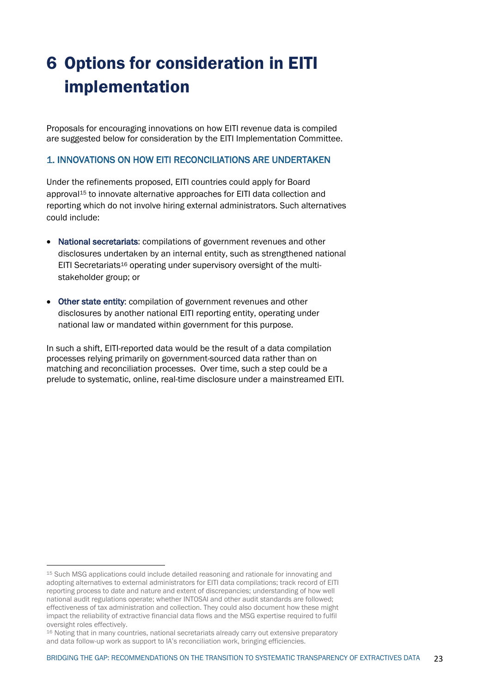# 6 Options for consideration in EITI implementation

Proposals for encouraging innovations on how EITI revenue data is compiled are suggested below for consideration by the EITI Implementation Committee.

#### 1. INNOVATIONS ON HOW EITI RECONCILIATIONS ARE UNDERTAKEN

Under the refinements proposed, EITI countries could apply for Board approval15 to innovate alternative approaches for EITI data collection and reporting which do not involve hiring external administrators. Such alternatives could include:

- National secretariats: compilations of government revenues and other disclosures undertaken by an internal entity, such as strengthened national EITI Secretariats<sup>16</sup> operating under supervisory oversight of the multistakeholder group; or
- Other state entity: compilation of government revenues and other disclosures by another national EITI reporting entity, operating under national law or mandated within government for this purpose.

In such a shift, EITI-reported data would be the result of a data compilation processes relying primarily on government-sourced data rather than on matching and reconciliation processes. Over time, such a step could be a prelude to systematic, online, real-time disclosure under a mainstreamed EITI.

<sup>15</sup> Such MSG applications could include detailed reasoning and rationale for innovating and adopting alternatives to external administrators for EITI data compilations; track record of EITI reporting process to date and nature and extent of discrepancies; understanding of how well national audit regulations operate; whether INTOSAI and other audit standards are followed; effectiveness of tax administration and collection. They could also document how these might impact the reliability of extractive financial data flows and the MSG expertise required to fulfil oversight roles effectively.

<sup>16</sup> Noting that in many countries, national secretariats already carry out extensive preparatory and data follow-up work as support to IA's reconciliation work, bringing efficiencies.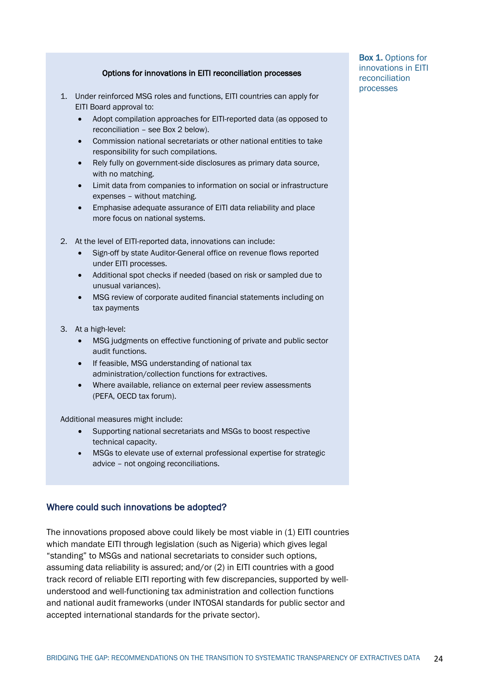#### Options for innovations in EITI reconciliation processes

- 1. Under reinforced MSG roles and functions, EITI countries can apply for EITI Board approval to:
	- Adopt compilation approaches for EITI-reported data (as opposed to reconciliation – see Box 2 below).
	- Commission national secretariats or other national entities to take responsibility for such compilations.
	- Rely fully on government-side disclosures as primary data source, with no matching.
	- Limit data from companies to information on social or infrastructure expenses – without matching.
	- Emphasise adequate assurance of EITI data reliability and place more focus on national systems.
- 2. At the level of EITI-reported data, innovations can include:
	- Sign-off by state Auditor-General office on revenue flows reported under EITI processes.
	- Additional spot checks if needed (based on risk or sampled due to unusual variances).
	- MSG review of corporate audited financial statements including on tax payments
- 3. At a high-level:
	- MSG judgments on effective functioning of private and public sector audit functions.
	- If feasible, MSG understanding of national tax administration/collection functions for extractives.
	- Where available, reliance on external peer review assessments (PEFA, OECD tax forum).

Additional measures might include:

- Supporting national secretariats and MSGs to boost respective technical capacity.
- MSGs to elevate use of external professional expertise for strategic advice – not ongoing reconciliations.

#### Where could such innovations be adopted?

The innovations proposed above could likely be most viable in (1) EITI countries which mandate EITI through legislation (such as Nigeria) which gives legal "standing" to MSGs and national secretariats to consider such options, assuming data reliability is assured; and/or (2) in EITI countries with a good track record of reliable EITI reporting with few discrepancies, supported by wellunderstood and well-functioning tax administration and collection functions and national audit frameworks (under INTOSAI standards for public sector and accepted international standards for the private sector).

Box 1. Options for innovations in EITI reconciliation processes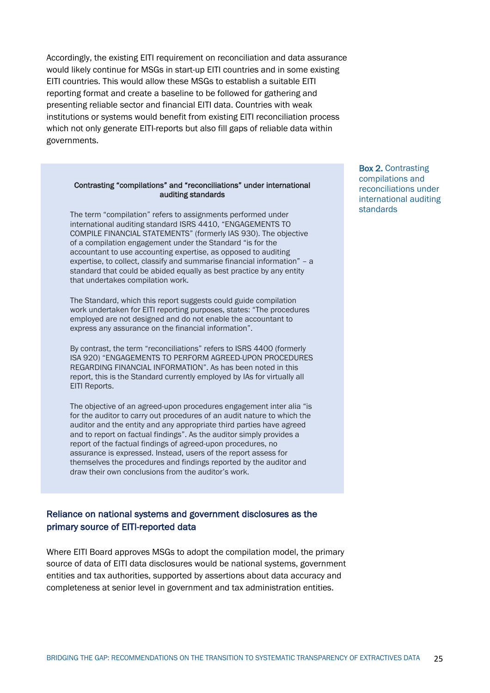Accordingly, the existing EITI requirement on reconciliation and data assurance would likely continue for MSGs in start-up EITI countries and in some existing EITI countries. This would allow these MSGs to establish a suitable EITI reporting format and create a baseline to be followed for gathering and presenting reliable sector and financial EITI data. Countries with weak institutions or systems would benefit from existing EITI reconciliation process which not only generate EITI-reports but also fill gaps of reliable data within governments.

#### Contrasting "compilations" and "reconciliations" under international auditing standards

The term "compilation" refers to assignments performed under international auditing standard ISRS 4410, "ENGAGEMENTS TO COMPILE FINANCIAL STATEMENTS" (formerly IAS 930). The objective of a compilation engagement under the Standard "is for the accountant to use accounting expertise, as opposed to auditing expertise, to collect, classify and summarise financial information" – a standard that could be abided equally as best practice by any entity that undertakes compilation work.

The Standard, which this report suggests could guide compilation work undertaken for EITI reporting purposes, states: "The procedures employed are not designed and do not enable the accountant to express any assurance on the financial information".

By contrast, the term "reconciliations" refers to ISRS 4400 (formerly ISA 920) "ENGAGEMENTS TO PERFORM AGREED-UPON PROCEDURES REGARDING FINANCIAL INFORMATION". As has been noted in this report, this is the Standard currently employed by IAs for virtually all EITI Reports.

The objective of an agreed-upon procedures engagement inter alia "is for the auditor to carry out procedures of an audit nature to which the auditor and the entity and any appropriate third parties have agreed and to report on factual findings". As the auditor simply provides a report of the factual findings of agreed-upon procedures, no assurance is expressed. Instead, users of the report assess for themselves the procedures and findings reported by the auditor and draw their own conclusions from the auditor's work.

# Reliance on national systems and government disclosures as the primary source of EITI-reported data

Where EITI Board approves MSGs to adopt the compilation model, the primary source of data of EITI data disclosures would be national systems, government entities and tax authorities, supported by assertions about data accuracy and completeness at senior level in government and tax administration entities.

Box 2. Contrasting compilations and reconciliations under international auditing standards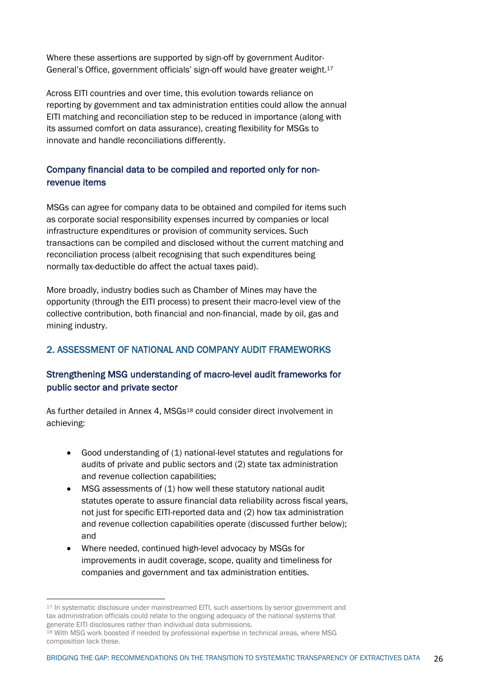Where these assertions are supported by sign-off by government Auditor-General's Office, government officials' sign-off would have greater weight.17

Across EITI countries and over time, this evolution towards reliance on reporting by government and tax administration entities could allow the annual EITI matching and reconciliation step to be reduced in importance (along with its assumed comfort on data assurance), creating flexibility for MSGs to innovate and handle reconciliations differently.

# Company financial data to be compiled and reported only for nonrevenue items

MSGs can agree for company data to be obtained and compiled for items such as corporate social responsibility expenses incurred by companies or local infrastructure expenditures or provision of community services. Such transactions can be compiled and disclosed without the current matching and reconciliation process (albeit recognising that such expenditures being normally tax-deductible do affect the actual taxes paid).

More broadly, industry bodies such as Chamber of Mines may have the opportunity (through the EITI process) to present their macro-level view of the collective contribution, both financial and non-financial, made by oil, gas and mining industry.

# 2. ASSESSMENT OF NATIONAL AND COMPANY AUDIT FRAMEWORKS

# Strengthening MSG understanding of macro-level audit frameworks for public sector and private sector

As further detailed in Annex 4, MSGs18 could consider direct involvement in achieving:

- Good understanding of (1) national-level statutes and regulations for audits of private and public sectors and (2) state tax administration and revenue collection capabilities;
- MSG assessments of (1) how well these statutory national audit statutes operate to assure financial data reliability across fiscal years, not just for specific EITI-reported data and (2) how tax administration and revenue collection capabilities operate (discussed further below); and
- Where needed, continued high-level advocacy by MSGs for improvements in audit coverage, scope, quality and timeliness for companies and government and tax administration entities.

<sup>17</sup> In systematic disclosure under mainstreamed EITI, such assertions by senior government and tax administration officials could relate to the ongoing adequacy of the national systems that generate EITI disclosures rather than individual data submissions.

<sup>18</sup> With MSG work boosted if needed by professional expertise in technical areas, where MSG composition lack these.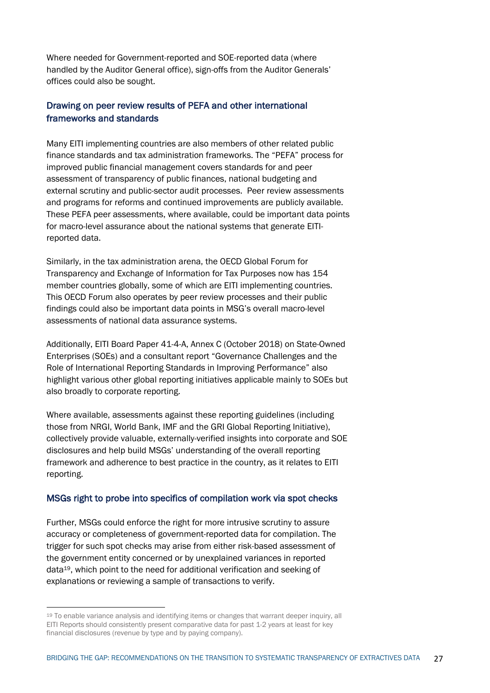Where needed for Government-reported and SOE-reported data (where handled by the Auditor General office), sign-offs from the Auditor Generals' offices could also be sought.

### Drawing on peer review results of PEFA and other international frameworks and standards

Many EITI implementing countries are also members of other related public finance standards and tax administration frameworks. The "PEFA" process for improved public financial management covers standards for and peer assessment of transparency of public finances, national budgeting and external scrutiny and public-sector audit processes. Peer review assessments and programs for reforms and continued improvements are publicly available. These PEFA peer assessments, where available, could be important data points for macro-level assurance about the national systems that generate EITIreported data.

Similarly, in the tax administration arena, the OECD Global Forum for Transparency and Exchange of Information for Tax Purposes now has 154 member countries globally, some of which are EITI implementing countries. This OECD Forum also operates by peer review processes and their public findings could also be important data points in MSG's overall macro-level assessments of national data assurance systems.

Additionally, EITI Board Paper 41-4-A, Annex C (October 2018) on State-Owned Enterprises (SOEs) and a consultant report "Governance Challenges and the Role of International Reporting Standards in Improving Performance" also highlight various other global reporting initiatives applicable mainly to SOEs but also broadly to corporate reporting.

Where available, assessments against these reporting guidelines (including those from NRGI, World Bank, IMF and the GRI Global Reporting Initiative), collectively provide valuable, externally-verified insights into corporate and SOE disclosures and help build MSGs' understanding of the overall reporting framework and adherence to best practice in the country, as it relates to EITI reporting.

#### MSGs right to probe into specifics of compilation work via spot checks

Further, MSGs could enforce the right for more intrusive scrutiny to assure accuracy or completeness of government-reported data for compilation. The trigger for such spot checks may arise from either risk-based assessment of the government entity concerned or by unexplained variances in reported data19, which point to the need for additional verification and seeking of explanations or reviewing a sample of transactions to verify.

<sup>&</sup>lt;sup>19</sup> To enable variance analysis and identifying items or changes that warrant deeper inquiry, all EITI Reports should consistently present comparative data for past 1-2 years at least for key financial disclosures (revenue by type and by paying company).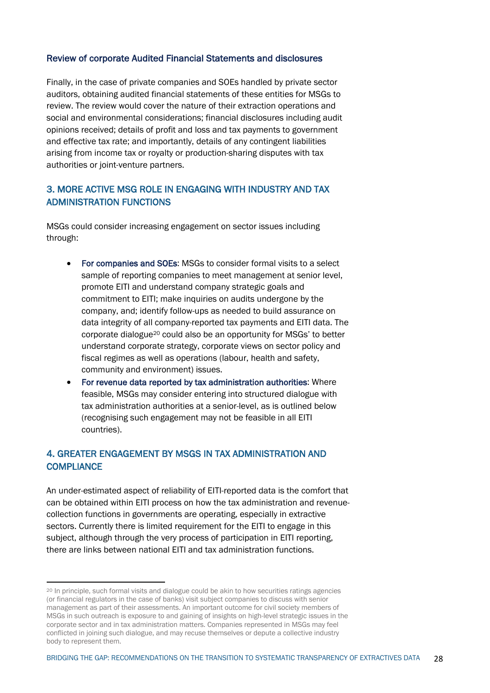#### Review of corporate Audited Financial Statements and disclosures

Finally, in the case of private companies and SOEs handled by private sector auditors, obtaining audited financial statements of these entities for MSGs to review. The review would cover the nature of their extraction operations and social and environmental considerations; financial disclosures including audit opinions received; details of profit and loss and tax payments to government and effective tax rate; and importantly, details of any contingent liabilities arising from income tax or royalty or production-sharing disputes with tax authorities or joint-venture partners.

# 3. MORE ACTIVE MSG ROLE IN ENGAGING WITH INDUSTRY AND TAX ADMINISTRATION FUNCTIONS

MSGs could consider increasing engagement on sector issues including through:

- For companies and SOEs: MSGs to consider formal visits to a select sample of reporting companies to meet management at senior level, promote EITI and understand company strategic goals and commitment to EITI; make inquiries on audits undergone by the company, and; identify follow-ups as needed to build assurance on data integrity of all company-reported tax payments and EITI data. The corporate dialogue20 could also be an opportunity for MSGs' to better understand corporate strategy, corporate views on sector policy and fiscal regimes as well as operations (labour, health and safety, community and environment) issues.
- For revenue data reported by tax administration authorities: Where feasible, MSGs may consider entering into structured dialogue with tax administration authorities at a senior-level, as is outlined below (recognising such engagement may not be feasible in all EITI countries).

# 4. GREATER ENGAGEMENT BY MSGS IN TAX ADMINISTRATION AND **COMPLIANCE**

An under-estimated aspect of reliability of EITI-reported data is the comfort that can be obtained within EITI process on how the tax administration and revenuecollection functions in governments are operating, especially in extractive sectors. Currently there is limited requirement for the EITI to engage in this subject, although through the very process of participation in EITI reporting, there are links between national EITI and tax administration functions.

<sup>20</sup> In principle, such formal visits and dialogue could be akin to how securities ratings agencies (or financial regulators in the case of banks) visit subject companies to discuss with senior management as part of their assessments. An important outcome for civil society members of MSGs in such outreach is exposure to and gaining of insights on high-level strategic issues in the corporate sector and in tax administration matters. Companies represented in MSGs may feel conflicted in joining such dialogue, and may recuse themselves or depute a collective industry body to represent them.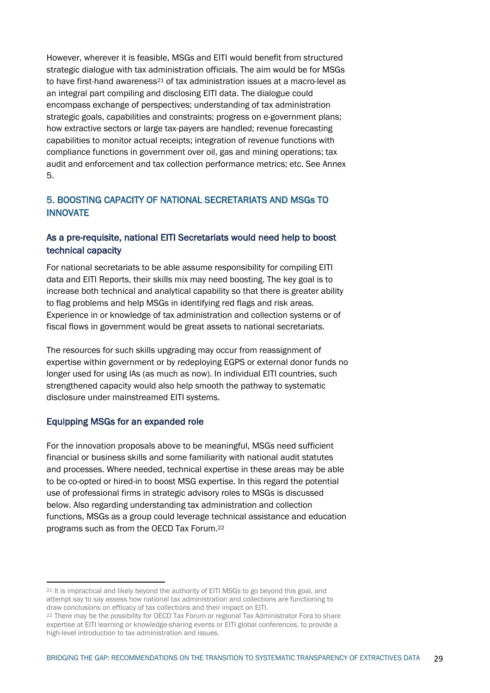However, wherever it is feasible, MSGs and EITI would benefit from structured strategic dialogue with tax administration officials. The aim would be for MSGs to have first-hand awareness<sup>21</sup> of tax administration issues at a macro-level as an integral part compiling and disclosing EITI data. The dialogue could encompass exchange of perspectives; understanding of tax administration strategic goals, capabilities and constraints; progress on e-government plans; how extractive sectors or large tax-payers are handled; revenue forecasting capabilities to monitor actual receipts; integration of revenue functions with compliance functions in government over oil, gas and mining operations; tax audit and enforcement and tax collection performance metrics; etc. See Annex 5.

# 5. BOOSTING CAPACITY OF NATIONAL SECRETARIATS AND MSGs TO INNOVATE

### As a pre-requisite, national EITI Secretariats would need help to boost technical capacity

For national secretariats to be able assume responsibility for compiling EITI data and EITI Reports, their skills mix may need boosting. The key goal is to increase both technical and analytical capability so that there is greater ability to flag problems and help MSGs in identifying red flags and risk areas. Experience in or knowledge of tax administration and collection systems or of fiscal flows in government would be great assets to national secretariats.

The resources for such skills upgrading may occur from reassignment of expertise within government or by redeploying EGPS or external donor funds no longer used for using IAs (as much as now). In individual EITI countries, such strengthened capacity would also help smooth the pathway to systematic disclosure under mainstreamed EITI systems.

#### Equipping MSGs for an expanded role

For the innovation proposals above to be meaningful, MSGs need sufficient financial or business skills and some familiarity with national audit statutes and processes. Where needed, technical expertise in these areas may be able to be co-opted or hired-in to boost MSG expertise. In this regard the potential use of professional firms in strategic advisory roles to MSGs is discussed below. Also regarding understanding tax administration and collection functions, MSGs as a group could leverage technical assistance and education programs such as from the OECD Tax Forum.22

<sup>&</sup>lt;sup>21</sup> It is impractical and likely beyond the authority of EITI MSGs to go beyond this goal, and attempt say to say assess how national tax administration and collections are functioning to draw conclusions on efficacy of tax collections and their impact on EITI.

<sup>22</sup> There may be the possibility for OECD Tax Forum or regional Tax Administrator Fora to share expertise at EITI learning or knowledge-sharing events or EITI global conferences, to provide a high-level introduction to tax administration and issues.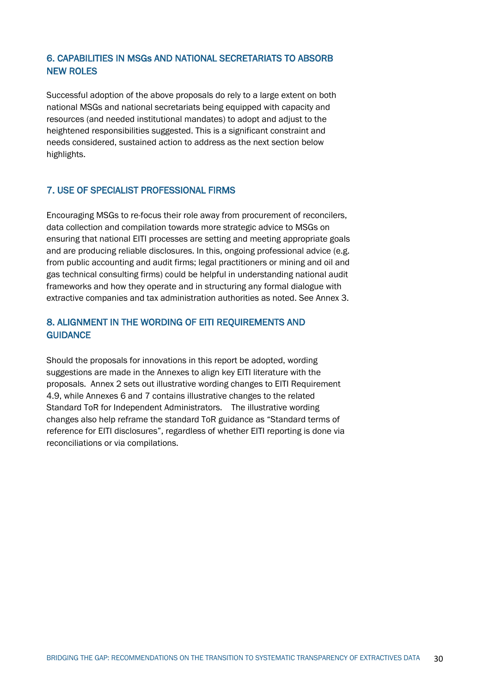# 6. CAPABILITIES IN MSGs AND NATIONAL SECRETARIATS TO ABSORB NEW ROLES

Successful adoption of the above proposals do rely to a large extent on both national MSGs and national secretariats being equipped with capacity and resources (and needed institutional mandates) to adopt and adjust to the heightened responsibilities suggested. This is a significant constraint and needs considered, sustained action to address as the next section below highlights.

### 7. USE OF SPECIALIST PROFESSIONAL FIRMS

Encouraging MSGs to re-focus their role away from procurement of reconcilers, data collection and compilation towards more strategic advice to MSGs on ensuring that national EITI processes are setting and meeting appropriate goals and are producing reliable disclosures. In this, ongoing professional advice (e.g. from public accounting and audit firms; legal practitioners or mining and oil and gas technical consulting firms) could be helpful in understanding national audit frameworks and how they operate and in structuring any formal dialogue with extractive companies and tax administration authorities as noted. See Annex 3.

### 8. ALIGNMENT IN THE WORDING OF EITI REQUIREMENTS AND **GUIDANCE**

Should the proposals for innovations in this report be adopted, wording suggestions are made in the Annexes to align key EITI literature with the proposals. Annex 2 sets out illustrative wording changes to EITI Requirement 4.9, while Annexes 6 and 7 contains illustrative changes to the related Standard ToR for Independent Administrators. The illustrative wording changes also help reframe the standard ToR guidance as "Standard terms of reference for EITI disclosures", regardless of whether EITI reporting is done via reconciliations or via compilations.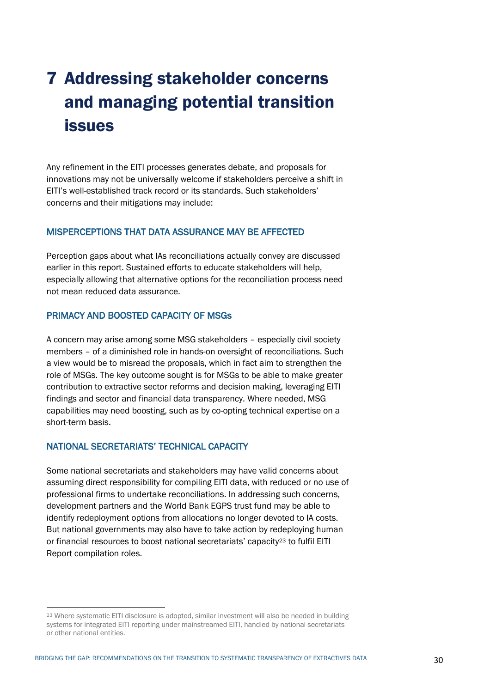# 7 Addressing stakeholder concerns and managing potential transition issues

Any refinement in the EITI processes generates debate, and proposals for innovations may not be universally welcome if stakeholders perceive a shift in EITI's well-established track record or its standards. Such stakeholders' concerns and their mitigations may include:

#### MISPERCEPTIONS THAT DATA ASSURANCE MAY BE AFFECTED

Perception gaps about what IAs reconciliations actually convey are discussed earlier in this report. Sustained efforts to educate stakeholders will help, especially allowing that alternative options for the reconciliation process need not mean reduced data assurance.

# PRIMACY AND BOOSTED CAPACITY OF MSGs

A concern may arise among some MSG stakeholders – especially civil society members – of a diminished role in hands-on oversight of reconciliations. Such a view would be to misread the proposals, which in fact aim to strengthen the role of MSGs. The key outcome sought is for MSGs to be able to make greater contribution to extractive sector reforms and decision making, leveraging EITI findings and sector and financial data transparency. Where needed, MSG capabilities may need boosting, such as by co-opting technical expertise on a short-term basis.

#### NATIONAL SECRETARIATS' TECHNICAL CAPACITY

Some national secretariats and stakeholders may have valid concerns about assuming direct responsibility for compiling EITI data, with reduced or no use of professional firms to undertake reconciliations. In addressing such concerns, development partners and the World Bank EGPS trust fund may be able to identify redeployment options from allocations no longer devoted to IA costs. But national governments may also have to take action by redeploying human or financial resources to boost national secretariats' capacity<sup>23</sup> to fulfil EITI Report compilation roles.

<sup>23</sup> Where systematic EITI disclosure is adopted, similar investment will also be needed in building systems for integrated EITI reporting under mainstreamed EITI, handled by national secretariats or other national entities.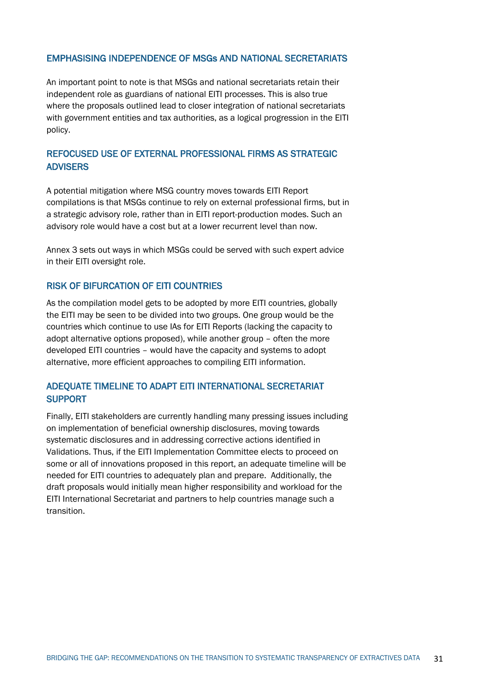#### EMPHASISING INDEPENDENCE OF MSGs AND NATIONAL SECRETARIATS

An important point to note is that MSGs and national secretariats retain their independent role as guardians of national EITI processes. This is also true where the proposals outlined lead to closer integration of national secretariats with government entities and tax authorities, as a logical progression in the EITI policy.

# REFOCUSED USE OF EXTERNAL PROFESSIONAL FIRMS AS STRATEGIC ADVISERS

A potential mitigation where MSG country moves towards EITI Report compilations is that MSGs continue to rely on external professional firms, but in a strategic advisory role, rather than in EITI report-production modes. Such an advisory role would have a cost but at a lower recurrent level than now.

Annex 3 sets out ways in which MSGs could be served with such expert advice in their EITI oversight role.

#### RISK OF BIFURCATION OF EITI COUNTRIES

As the compilation model gets to be adopted by more EITI countries, globally the EITI may be seen to be divided into two groups. One group would be the countries which continue to use IAs for EITI Reports (lacking the capacity to adopt alternative options proposed), while another group – often the more developed EITI countries – would have the capacity and systems to adopt alternative, more efficient approaches to compiling EITI information.

### ADEQUATE TIMELINE TO ADAPT EITI INTERNATIONAL SECRETARIAT SUPPORT

Finally, EITI stakeholders are currently handling many pressing issues including on implementation of beneficial ownership disclosures, moving towards systematic disclosures and in addressing corrective actions identified in Validations. Thus, if the EITI Implementation Committee elects to proceed on some or all of innovations proposed in this report, an adequate timeline will be needed for EITI countries to adequately plan and prepare. Additionally, the draft proposals would initially mean higher responsibility and workload for the EITI International Secretariat and partners to help countries manage such a transition.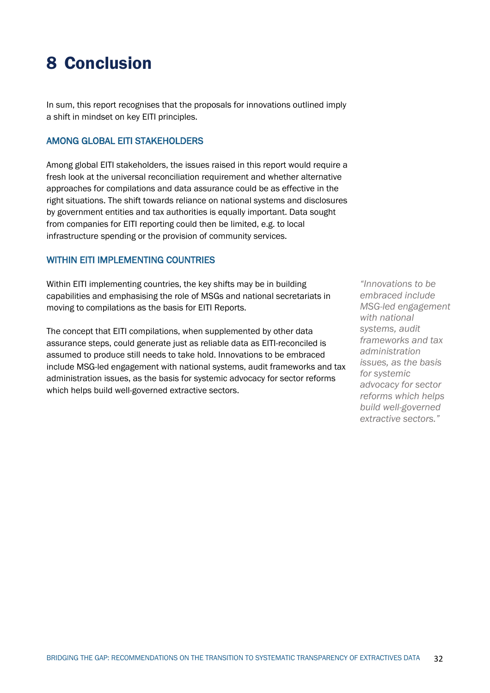# 8 Conclusion

In sum, this report recognises that the proposals for innovations outlined imply a shift in mindset on key EITI principles.

#### AMONG GLOBAL EITI STAKEHOLDERS

Among global EITI stakeholders, the issues raised in this report would require a fresh look at the universal reconciliation requirement and whether alternative approaches for compilations and data assurance could be as effective in the right situations. The shift towards reliance on national systems and disclosures by government entities and tax authorities is equally important. Data sought from companies for EITI reporting could then be limited, e.g. to local infrastructure spending or the provision of community services.

### WITHIN EITI IMPLEMENTING COUNTRIES

Within EITI implementing countries, the key shifts may be in building capabilities and emphasising the role of MSGs and national secretariats in moving to compilations as the basis for EITI Reports.

The concept that EITI compilations, when supplemented by other data assurance steps, could generate just as reliable data as EITI-reconciled is assumed to produce still needs to take hold. Innovations to be embraced include MSG-led engagement with national systems, audit frameworks and tax administration issues, as the basis for systemic advocacy for sector reforms which helps build well-governed extractive sectors.

*"Innovations to be embraced include MSG-led engagement with national systems, audit frameworks and tax administration issues, as the basis for systemic advocacy for sector reforms which helps build well-governed extractive sectors."*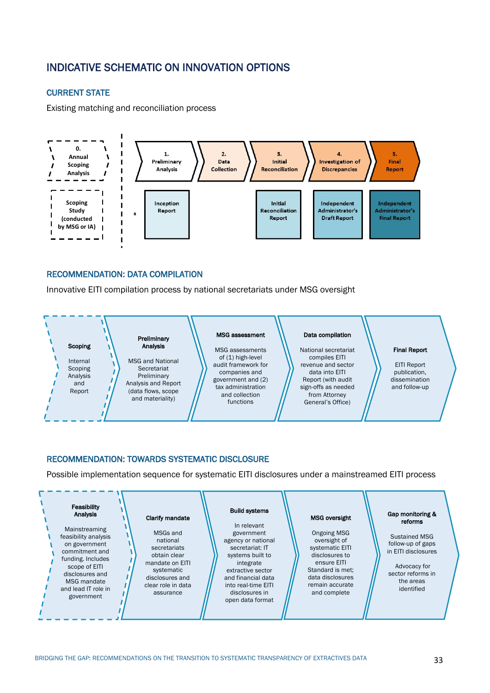# INDICATIVE SCHEMATIC ON INNOVATION OPTIONS

#### CURRENT STATE

Existing matching and reconciliation process



#### RECOMMENDATION: DATA COMPILATION

Innovative EITI compilation process by national secretariats under MSG oversight



#### RECOMMENDATION: TOWARDS SYSTEMATIC DISCLOSURE

Possible implementation sequence for systematic EITI disclosures under a mainstreamed EITI process

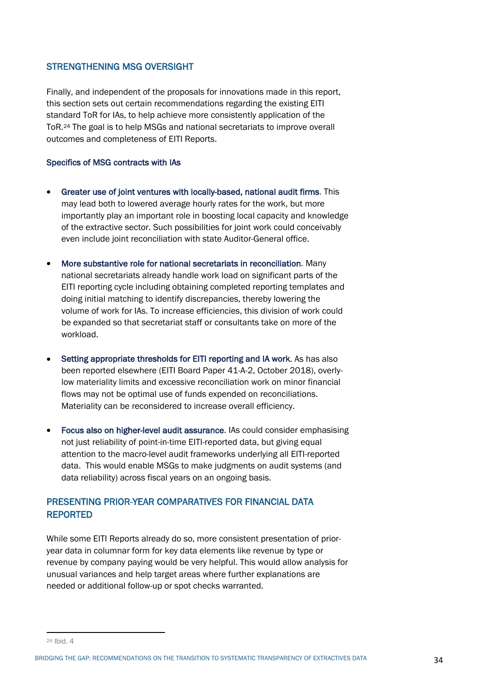#### STRENGTHENING MSG OVERSIGHT

Finally, and independent of the proposals for innovations made in this report, this section sets out certain recommendations regarding the existing EITI standard ToR for IAs, to help achieve more consistently application of the ToR.24 The goal is to help MSGs and national secretariats to improve overall outcomes and completeness of EITI Reports.

#### Specifics of MSG contracts with IAs

- Greater use of joint ventures with locally-based, national audit firms. This may lead both to lowered average hourly rates for the work, but more importantly play an important role in boosting local capacity and knowledge of the extractive sector. Such possibilities for joint work could conceivably even include joint reconciliation with state Auditor-General office.
- More substantive role for national secretariats in reconciliation. Many national secretariats already handle work load on significant parts of the EITI reporting cycle including obtaining completed reporting templates and doing initial matching to identify discrepancies, thereby lowering the volume of work for IAs. To increase efficiencies, this division of work could be expanded so that secretariat staff or consultants take on more of the workload.
- Setting appropriate thresholds for EITI reporting and IA work. As has also been reported elsewhere (EITI Board Paper 41-A-2, October 2018), overlylow materiality limits and excessive reconciliation work on minor financial flows may not be optimal use of funds expended on reconciliations. Materiality can be reconsidered to increase overall efficiency.
- Focus also on higher-level audit assurance. IAs could consider emphasising not just reliability of point-in-time EITI-reported data, but giving equal attention to the macro-level audit frameworks underlying all EITI-reported data. This would enable MSGs to make judgments on audit systems (and data reliability) across fiscal years on an ongoing basis.

# PRESENTING PRIOR-YEAR COMPARATIVES FOR FINANCIAL DATA REPORTED

While some EITI Reports already do so, more consistent presentation of prioryear data in columnar form for key data elements like revenue by type or revenue by company paying would be very helpful. This would allow analysis for unusual variances and help target areas where further explanations are needed or additional follow-up or spot checks warranted.

BRIDGING THE GAP: RECOMMENDATIONS ON THE TRANSITION TO SYSTEMATIC TRANSPARENCY OF EXTRACTIVES DATA 34

<sup>24</sup> Ihid  $\Delta$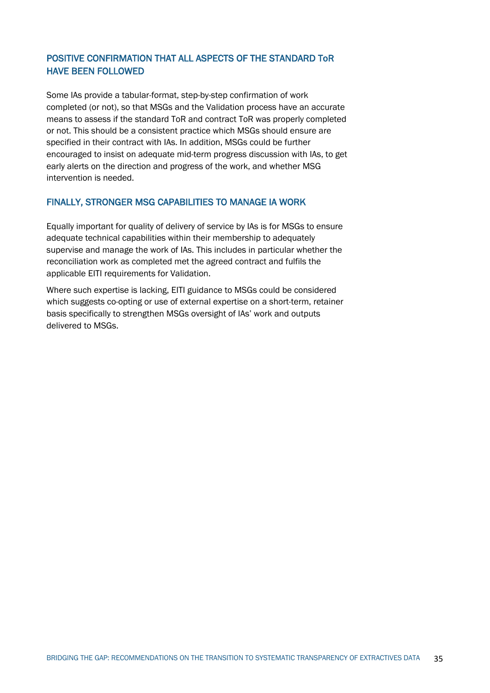# POSITIVE CONFIRMATION THAT ALL ASPECTS OF THE STANDARD ToR HAVE BEEN FOLLOWED

Some IAs provide a tabular-format, step-by-step confirmation of work completed (or not), so that MSGs and the Validation process have an accurate means to assess if the standard ToR and contract ToR was properly completed or not. This should be a consistent practice which MSGs should ensure are specified in their contract with IAs. In addition, MSGs could be further encouraged to insist on adequate mid-term progress discussion with IAs, to get early alerts on the direction and progress of the work, and whether MSG intervention is needed.

### FINALLY, STRONGER MSG CAPABILITIES TO MANAGE IA WORK

Equally important for quality of delivery of service by IAs is for MSGs to ensure adequate technical capabilities within their membership to adequately supervise and manage the work of IAs. This includes in particular whether the reconciliation work as completed met the agreed contract and fulfils the applicable EITI requirements for Validation.

Where such expertise is lacking, EITI guidance to MSGs could be considered which suggests co-opting or use of external expertise on a short-term, retainer basis specifically to strengthen MSGs oversight of IAs' work and outputs delivered to MSGs.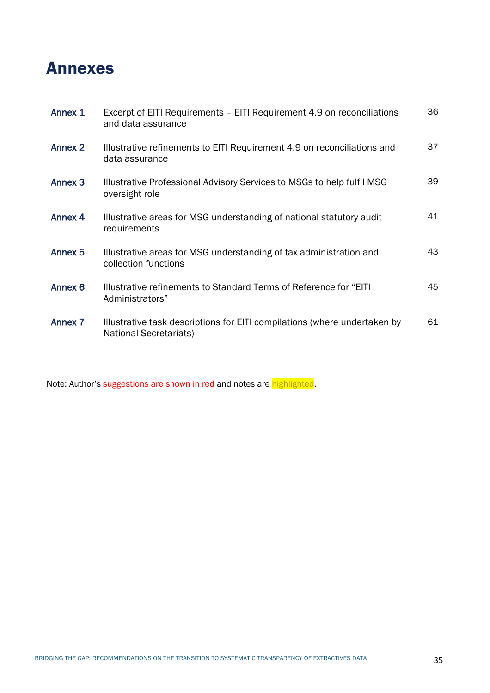## Annexes

| Annex 1            | Excerpt of EITI Requirements - EITI Requirement 4.9 on reconciliations<br>and data assurance               | 36 |
|--------------------|------------------------------------------------------------------------------------------------------------|----|
| Annex 2            | Illustrative refinements to EITI Requirement 4.9 on reconciliations and<br>data assurance                  | 37 |
| Annex <sub>3</sub> | Illustrative Professional Advisory Services to MSGs to help fulfil MSG<br>oversight role                   | 39 |
| Annex 4            | Illustrative areas for MSG understanding of national statutory audit<br>requirements                       | 41 |
| Annex <sub>5</sub> | Illustrative areas for MSG understanding of tax administration and<br>collection functions                 | 43 |
| Annex 6            | Illustrative refinements to Standard Terms of Reference for "EITI"<br>Administrators"                      | 45 |
| <b>Annex 7</b>     | Illustrative task descriptions for EITI compilations (where undertaken by<br><b>National Secretariats)</b> | 61 |

Note: Author's suggestions are shown in red and notes are highlighted.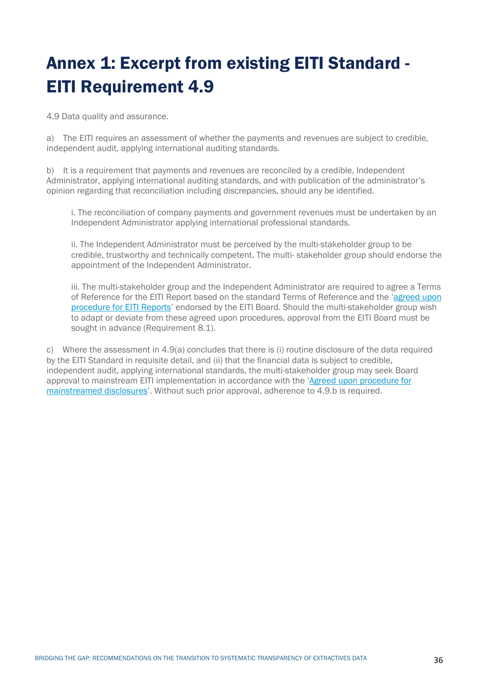# Annex 1: Excerpt from existing EITI Standard - EITI Requirement 4.9

4.9 Data quality and assurance.

a) The EITI requires an assessment of whether the payments and revenues are subject to credible, independent audit, applying international auditing standards.

b) It is a requirement that payments and revenues are reconciled by a credible, Independent Administrator, applying international auditing standards, and with publication of the administrator's opinion regarding that reconciliation including discrepancies, should any be identified.

i. The reconciliation of company payments and government revenues must be undertaken by an Independent Administrator applying international professional standards.

ii. The Independent Administrator must be perceived by the multi-stakeholder group to be credible, trustworthy and technically competent. The multi- stakeholder group should endorse the appointment of the Independent Administrator.

iii. The multi-stakeholder group and the Independent Administrator are required to agree a Terms of Reference for the EITI Report based on the standard Terms of Reference and the 'agreed upon procedure for EITI Reports' endorsed by the EITI Board. Should the multi-stakeholder group wish to adapt or deviate from these agreed upon procedures, approval from the EITI Board must be sought in advance (Requirement 8.1).

c) Where the assessment in 4.9(a) concludes that there is (i) routine disclosure of the data required by the EITI Standard in requisite detail, and (ii) that the financial data is subject to credible, independent audit, applying international standards, the multi-stakeholder group may seek Board approval to mainstream EITI implementation in accordance with the 'Agreed upon procedure for mainstreamed disclosures'. Without such prior approval, adherence to 4.9.b is required.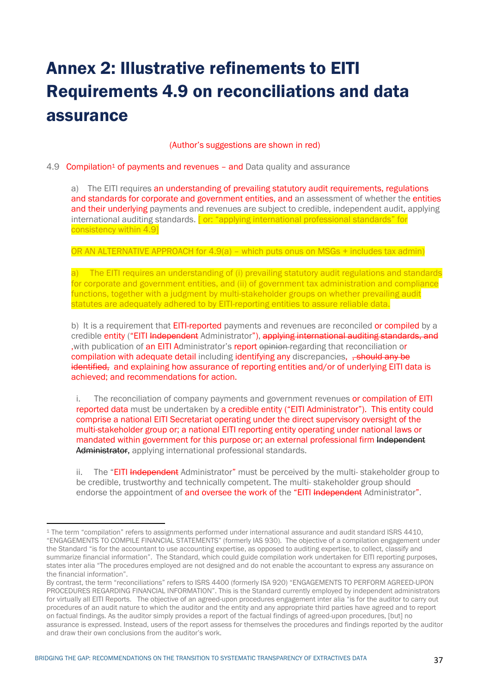## Annex 2: Illustrative refinements to EITI Requirements 4.9 on reconciliations and data assurance

(Author's suggestions are shown in red)

#### 4.9 Compilation1 of payments and revenues – and Data quality and assurance

a) The EITI requires an understanding of prevailing statutory audit requirements, regulations and standards for corporate and government entities, and an assessment of whether the entities and their underlying payments and revenues are subject to credible, independent audit, applying international auditing standards. [or: "applying international professional standards" for consistency within 4.9]

OR AN ALTERNATIVE APPROACH for 4.9(a) – which puts onus on MSGs + includes tax admin)

a) The EITI requires an understanding of (i) prevailing statutory audit regulations and standards for corporate and government entities, and (ii) of government tax administration and compliance functions, together with a judgment by multi-stakeholder groups on whether prevailing audit statutes are adequately adhered to by EITI-reporting entities to assure reliable data.

b) It is a requirement that **EITI-reported** payments and revenues are reconciled or compiled by a credible entity ("EITI Independent Administrator"), applying international auditing standards, and ,with publication of an EITI Administrator's report opinion regarding that reconciliation or compilation with adequate detail including identifying any discrepancies,  $\frac{1}{2}$ , should any be identified, and explaining how assurance of reporting entities and/or of underlying EITI data is achieved; and recommendations for action.

i. The reconciliation of company payments and government revenues or compilation of EITI reported data must be undertaken by a credible entity ("EITI Administrator"). This entity could comprise a national EITI Secretariat operating under the direct supervisory oversight of the multi-stakeholder group or; a national EITI reporting entity operating under national laws or mandated within government for this purpose or; an external professional firm Independent Administrator, applying international professional standards.

ii. The "EITI Independent Administrator" must be perceived by the multi-stakeholder group to be credible, trustworthy and technically competent. The multi- stakeholder group should endorse the appointment of and oversee the work of the "EITI Independent Administrator".

<sup>1</sup> The term "compilation" refers to assignments performed under international assurance and audit standard ISRS 4410, "ENGAGEMENTS TO COMPILE FINANCIAL STATEMENTS" (formerly IAS 930). The objective of a compilation engagement under the Standard "is for the accountant to use accounting expertise, as opposed to auditing expertise, to collect, classify and summarize financial information". The Standard, which could guide compilation work undertaken for EITI reporting purposes, states inter alia "The procedures employed are not designed and do not enable the accountant to express any assurance on the financial information".

By contrast, the term "reconciliations" refers to ISRS 4400 (formerly ISA 920) "ENGAGEMENTS TO PERFORM AGREED-UPON PROCEDURES REGARDING FINANCIAL INFORMATION". This is the Standard currently employed by independent administrators for virtually all EITI Reports. The objective of an agreed-upon procedures engagement inter alia "is for the auditor to carry out procedures of an audit nature to which the auditor and the entity and any appropriate third parties have agreed and to report on factual findings. As the auditor simply provides a report of the factual findings of agreed-upon procedures, [but] no assurance is expressed. Instead, users of the report assess for themselves the procedures and findings reported by the auditor and draw their own conclusions from the auditor's work.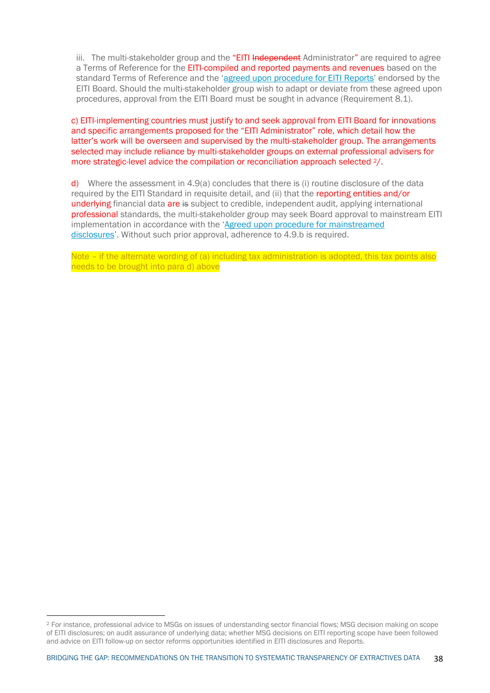iii. The multi-stakeholder group and the "EITI Independent Administrator" are required to agree a Terms of Reference for the EITI-compiled and reported payments and revenues based on the standard Terms of Reference and the 'agreed upon procedure for EITI Reports' endorsed by the EITI Board. Should the multi-stakeholder group wish to adapt or deviate from these agreed upon procedures, approval from the EITI Board must be sought in advance (Requirement 8.1).

c) EITI-implementing countries must justify to and seek approval from EITI Board for innovations and specific arrangements proposed for the "EITI Administrator" role, which detail how the latter's work will be overseen and supervised by the multi-stakeholder group. The arrangements selected may include reliance by multi-stakeholder groups on external professional advisers for more strategic-level advice the compilation or reconciliation approach selected 2/.

d) Where the assessment in 4.9(a) concludes that there is (i) routine disclosure of the data required by the EITI Standard in requisite detail, and (ii) that the reporting entities and/or underlying financial data are is subject to credible, independent audit, applying international professional standards, the multi-stakeholder group may seek Board approval to mainstream EITI implementation in accordance with the 'Agreed upon procedure for mainstreamed disclosures'. Without such prior approval, adherence to 4.9.b is required.

Note – if the alternate wording of (a) including tax administration is adopted, this tax points also needs to be brought into para d) above

<sup>2</sup> For instance, professional advice to MSGs on issues of understanding sector financial flows; MSG decision making on scope of EITI disclosures; on audit assurance of underlying data; whether MSG decisions on EITI reporting scope have been followed and advice on EITI follow-up on sector reforms opportunities identified in EITI disclosures and Reports.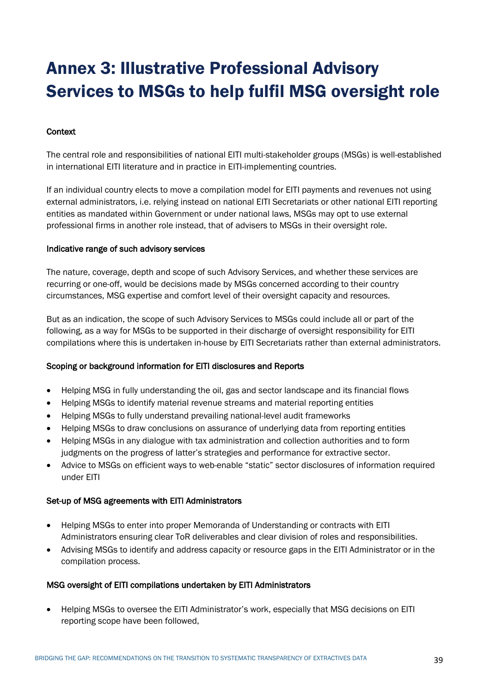## Annex 3: Illustrative Professional Advisory Services to MSGs to help fulfil MSG oversight role

## **Context**

The central role and responsibilities of national EITI multi-stakeholder groups (MSGs) is well-established in international EITI literature and in practice in EITI-implementing countries.

If an individual country elects to move a compilation model for EITI payments and revenues not using external administrators, i.e. relying instead on national EITI Secretariats or other national EITI reporting entities as mandated within Government or under national laws, MSGs may opt to use external professional firms in another role instead, that of advisers to MSGs in their oversight role.

#### Indicative range of such advisory services

The nature, coverage, depth and scope of such Advisory Services, and whether these services are recurring or one-off, would be decisions made by MSGs concerned according to their country circumstances, MSG expertise and comfort level of their oversight capacity and resources.

But as an indication, the scope of such Advisory Services to MSGs could include all or part of the following, as a way for MSGs to be supported in their discharge of oversight responsibility for EITI compilations where this is undertaken in-house by EITI Secretariats rather than external administrators.

#### Scoping or background information for EITI disclosures and Reports

- Helping MSG in fully understanding the oil, gas and sector landscape and its financial flows
- Helping MSGs to identify material revenue streams and material reporting entities
- Helping MSGs to fully understand prevailing national-level audit frameworks
- Helping MSGs to draw conclusions on assurance of underlying data from reporting entities
- Helping MSGs in any dialogue with tax administration and collection authorities and to form judgments on the progress of latter's strategies and performance for extractive sector.
- Advice to MSGs on efficient ways to web-enable "static" sector disclosures of information required under EITI

#### Set-up of MSG agreements with EITI Administrators

- Helping MSGs to enter into proper Memoranda of Understanding or contracts with EITI Administrators ensuring clear ToR deliverables and clear division of roles and responsibilities.
- Advising MSGs to identify and address capacity or resource gaps in the EITI Administrator or in the compilation process.

#### MSG oversight of EITI compilations undertaken by EITI Administrators

• Helping MSGs to oversee the EITI Administrator's work, especially that MSG decisions on EITI reporting scope have been followed,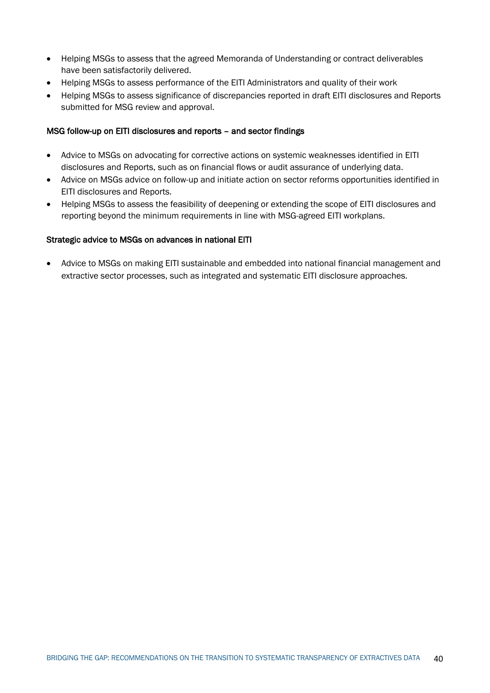- Helping MSGs to assess that the agreed Memoranda of Understanding or contract deliverables have been satisfactorily delivered.
- Helping MSGs to assess performance of the EITI Administrators and quality of their work
- Helping MSGs to assess significance of discrepancies reported in draft EITI disclosures and Reports submitted for MSG review and approval.

#### MSG follow-up on EITI disclosures and reports – and sector findings

- Advice to MSGs on advocating for corrective actions on systemic weaknesses identified in EITI disclosures and Reports, such as on financial flows or audit assurance of underlying data.
- Advice on MSGs advice on follow-up and initiate action on sector reforms opportunities identified in EITI disclosures and Reports.
- Helping MSGs to assess the feasibility of deepening or extending the scope of EITI disclosures and reporting beyond the minimum requirements in line with MSG-agreed EITI workplans.

#### Strategic advice to MSGs on advances in national EITI

• Advice to MSGs on making EITI sustainable and embedded into national financial management and extractive sector processes, such as integrated and systematic EITI disclosure approaches.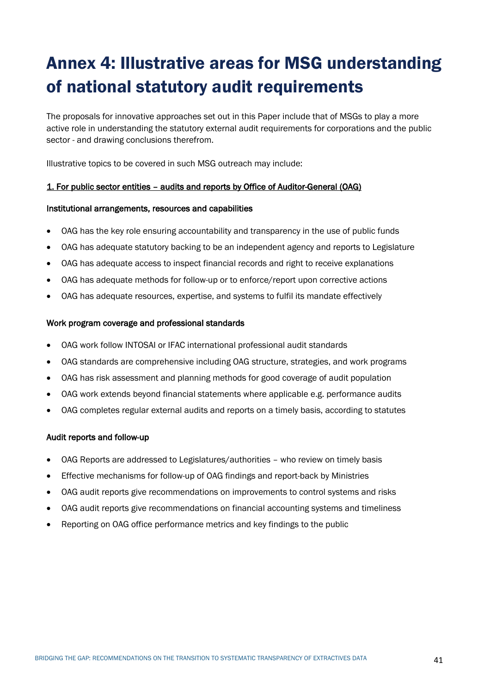# Annex 4: Illustrative areas for MSG understanding of national statutory audit requirements

The proposals for innovative approaches set out in this Paper include that of MSGs to play a more active role in understanding the statutory external audit requirements for corporations and the public sector - and drawing conclusions therefrom.

Illustrative topics to be covered in such MSG outreach may include:

## 1. For public sector entities – audits and reports by Office of Auditor-General (OAG)

#### Institutional arrangements, resources and capabilities

- OAG has the key role ensuring accountability and transparency in the use of public funds
- OAG has adequate statutory backing to be an independent agency and reports to Legislature
- OAG has adequate access to inspect financial records and right to receive explanations
- OAG has adequate methods for follow-up or to enforce/report upon corrective actions
- OAG has adequate resources, expertise, and systems to fulfil its mandate effectively

#### Work program coverage and professional standards

- OAG work follow INTOSAI or IFAC international professional audit standards
- OAG standards are comprehensive including OAG structure, strategies, and work programs
- OAG has risk assessment and planning methods for good coverage of audit population
- OAG work extends beyond financial statements where applicable e.g. performance audits
- OAG completes regular external audits and reports on a timely basis, according to statutes

#### Audit reports and follow-up

- OAG Reports are addressed to Legislatures/authorities who review on timely basis
- Effective mechanisms for follow-up of OAG findings and report-back by Ministries
- OAG audit reports give recommendations on improvements to control systems and risks
- OAG audit reports give recommendations on financial accounting systems and timeliness
- Reporting on OAG office performance metrics and key findings to the public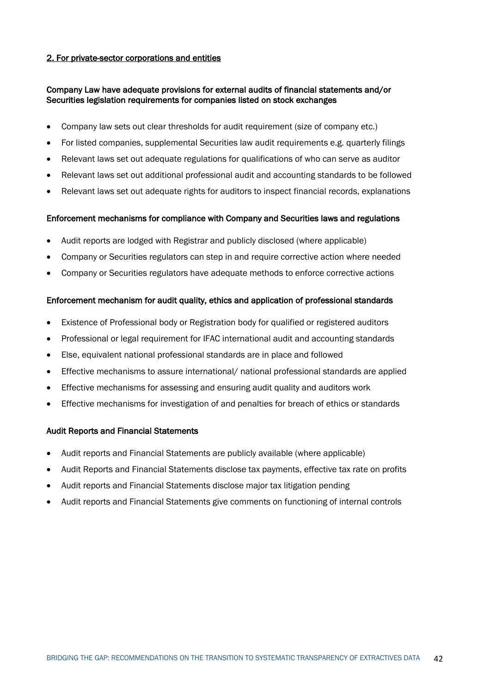## 2. For private-sector corporations and entities

## Company Law have adequate provisions for external audits of financial statements and/or Securities legislation requirements for companies listed on stock exchanges

- Company law sets out clear thresholds for audit requirement (size of company etc.)
- For listed companies, supplemental Securities law audit requirements e.g. quarterly filings
- Relevant laws set out adequate regulations for qualifications of who can serve as auditor
- Relevant laws set out additional professional audit and accounting standards to be followed
- Relevant laws set out adequate rights for auditors to inspect financial records, explanations

#### Enforcement mechanisms for compliance with Company and Securities laws and regulations

- Audit reports are lodged with Registrar and publicly disclosed (where applicable)
- Company or Securities regulators can step in and require corrective action where needed
- Company or Securities regulators have adequate methods to enforce corrective actions

## Enforcement mechanism for audit quality, ethics and application of professional standards

- Existence of Professional body or Registration body for qualified or registered auditors
- Professional or legal requirement for IFAC international audit and accounting standards
- Else, equivalent national professional standards are in place and followed
- Effective mechanisms to assure international/ national professional standards are applied
- Effective mechanisms for assessing and ensuring audit quality and auditors work
- Effective mechanisms for investigation of and penalties for breach of ethics or standards

#### Audit Reports and Financial Statements

- Audit reports and Financial Statements are publicly available (where applicable)
- Audit Reports and Financial Statements disclose tax payments, effective tax rate on profits
- Audit reports and Financial Statements disclose major tax litigation pending
- Audit reports and Financial Statements give comments on functioning of internal controls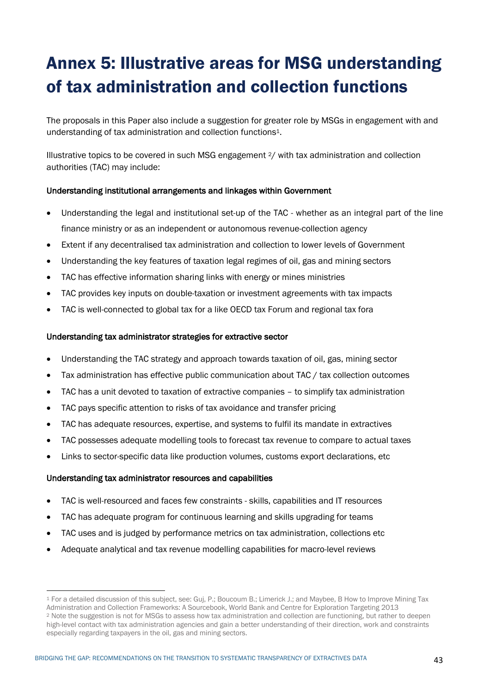# Annex 5: Illustrative areas for MSG understanding of tax administration and collection functions

The proposals in this Paper also include a suggestion for greater role by MSGs in engagement with and understanding of tax administration and collection functions1.

Illustrative topics to be covered in such MSG engagement 2/ with tax administration and collection authorities (TAC) may include:

## Understanding institutional arrangements and linkages within Government

- Understanding the legal and institutional set-up of the TAC whether as an integral part of the line finance ministry or as an independent or autonomous revenue-collection agency
- Extent if any decentralised tax administration and collection to lower levels of Government
- Understanding the key features of taxation legal regimes of oil, gas and mining sectors
- TAC has effective information sharing links with energy or mines ministries
- TAC provides key inputs on double-taxation or investment agreements with tax impacts
- TAC is well-connected to global tax for a like OECD tax Forum and regional tax fora

## Understanding tax administrator strategies for extractive sector

- Understanding the TAC strategy and approach towards taxation of oil, gas, mining sector
- Tax administration has effective public communication about TAC / tax collection outcomes
- TAC has a unit devoted to taxation of extractive companies to simplify tax administration
- TAC pays specific attention to risks of tax avoidance and transfer pricing
- TAC has adequate resources, expertise, and systems to fulfil its mandate in extractives
- TAC possesses adequate modelling tools to forecast tax revenue to compare to actual taxes
- Links to sector-specific data like production volumes, customs export declarations, etc

#### Understanding tax administrator resources and capabilities

- TAC is well-resourced and faces few constraints skills, capabilities and IT resources
- TAC has adequate program for continuous learning and skills upgrading for teams
- TAC uses and is judged by performance metrics on tax administration, collections etc
- Adequate analytical and tax revenue modelling capabilities for macro-level reviews

<sup>1</sup> For a detailed discussion of this subject, see: Guj, P.; Boucoum B.; Limerick J.; and Maybee, B How to Improve Mining Tax Administration and Collection Frameworks: A Sourcebook, World Bank and Centre for Exploration Targeting 2013 <sup>2</sup> Note the suggestion is not for MSGs to assess how tax administration and collection are functioning, but rather to deepen high-level contact with tax administration agencies and gain a better understanding of their direction, work and constraints especially regarding taxpayers in the oil, gas and mining sectors.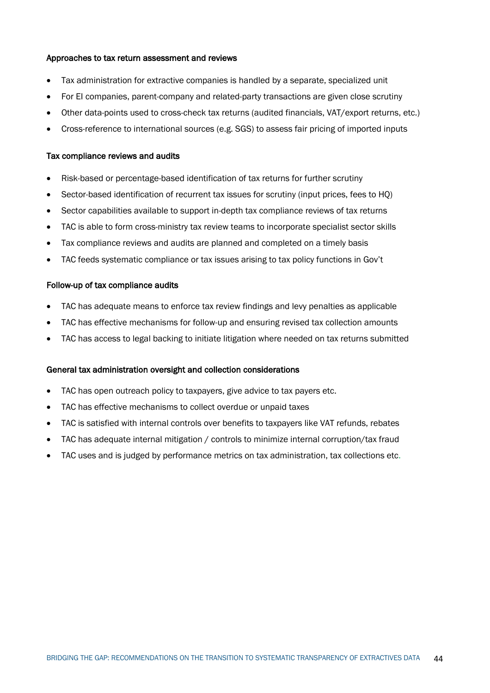#### Approaches to tax return assessment and reviews

- Tax administration for extractive companies is handled by a separate, specialized unit
- For EI companies, parent-company and related-party transactions are given close scrutiny
- Other data-points used to cross-check tax returns (audited financials, VAT/export returns, etc.)
- Cross-reference to international sources (e.g. SGS) to assess fair pricing of imported inputs

#### Tax compliance reviews and audits

- Risk-based or percentage-based identification of tax returns for further scrutiny
- Sector-based identification of recurrent tax issues for scrutiny (input prices, fees to HQ)
- Sector capabilities available to support in-depth tax compliance reviews of tax returns
- TAC is able to form cross-ministry tax review teams to incorporate specialist sector skills
- Tax compliance reviews and audits are planned and completed on a timely basis
- TAC feeds systematic compliance or tax issues arising to tax policy functions in Gov't

#### Follow-up of tax compliance audits

- TAC has adequate means to enforce tax review findings and levy penalties as applicable
- TAC has effective mechanisms for follow-up and ensuring revised tax collection amounts
- TAC has access to legal backing to initiate litigation where needed on tax returns submitted

#### General tax administration oversight and collection considerations

- TAC has open outreach policy to taxpayers, give advice to tax payers etc.
- TAC has effective mechanisms to collect overdue or unpaid taxes
- TAC is satisfied with internal controls over benefits to taxpayers like VAT refunds, rebates
- TAC has adequate internal mitigation / controls to minimize internal corruption/tax fraud
- TAC uses and is judged by performance metrics on tax administration, tax collections etc.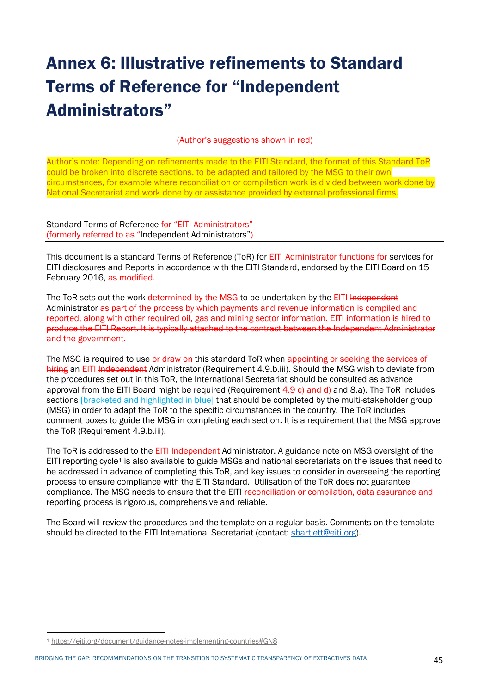# Annex 6: Illustrative refinements to Standard Terms of Reference for "Independent Administrators"

### (Author's suggestions shown in red)

Author's note: Depending on refinements made to the EITI Standard, the format of this Standard ToR could be broken into discrete sections, to be adapted and tailored by the MSG to their own circumstances, for example where reconciliation or compilation work is divided between work done by National Secretariat and work done by or assistance provided by external professional firms.

Standard Terms of Reference for "EITI Administrators" (formerly referred to as "Independent Administrators")

This document is a standard Terms of Reference (ToR) for EITI Administrator functions for services for EITI disclosures and Reports in accordance with the EITI Standard, endorsed by the EITI Board on 15 February 2016, as modified.

The ToR sets out the work determined by the MSG to be undertaken by the EITI Independent Administrator as part of the process by which payments and revenue information is compiled and reported, along with other required oil, gas and mining sector information. EITI information is hired to produce the EITI Report. It is typically attached to the contract between the Independent Administrator and the government.

The MSG is required to use or draw on this standard ToR when appointing or seeking the services of hiring an EITI Independent Administrator (Requirement 4.9.b.iii). Should the MSG wish to deviate from the procedures set out in this ToR, the International Secretariat should be consulted as advance approval from the EITI Board might be required (Requirement  $4.9$  c) and d) and 8.a). The ToR includes sections [bracketed and highlighted in blue] that should be completed by the multi-stakeholder group (MSG) in order to adapt the ToR to the specific circumstances in the country. The ToR includes comment boxes to guide the MSG in completing each section. It is a requirement that the MSG approve the ToR (Requirement 4.9.b.iii).

The ToR is addressed to the EITI Independent Administrator. A guidance note on MSG oversight of the EITI reporting cycle<sup>1</sup> is also available to guide MSGs and national secretariats on the issues that need to be addressed in advance of completing this ToR, and key issues to consider in overseeing the reporting process to ensure compliance with the EITI Standard. Utilisation of the ToR does not guarantee compliance. The MSG needs to ensure that the EITI reconciliation or compilation, data assurance and reporting process is rigorous, comprehensive and reliable.

The Board will review the procedures and the template on a regular basis. Comments on the template should be directed to the EITI International Secretariat (contact: sbartlett@eiti.org).

<sup>1</sup> https://eiti.org/document/guidance-notes-implementing-countries#GN8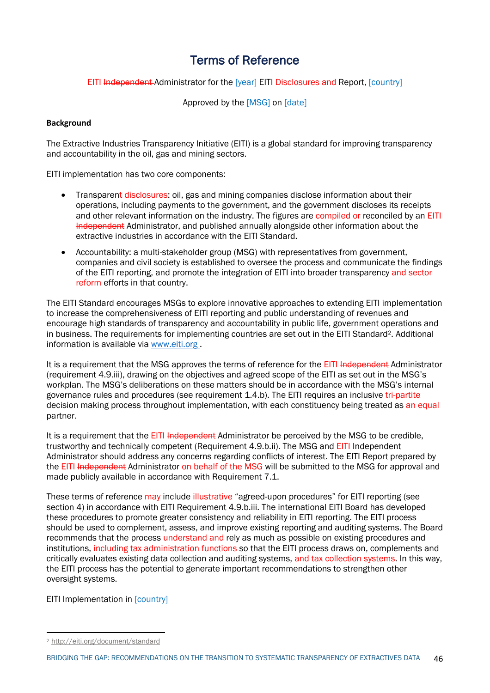## Terms of Reference

EITI Independent Administrator for the [year] EITI Disclosures and Report, [country]

Approved by the [MSG] on [date]

## **Background**

The Extractive Industries Transparency Initiative (EITI) is a global standard for improving transparency and accountability in the oil, gas and mining sectors.

EITI implementation has two core components:

- Transparent disclosures: oil, gas and mining companies disclose information about their operations, including payments to the government, and the government discloses its receipts and other relevant information on the industry. The figures are compiled or reconciled by an EITI Independent Administrator, and published annually alongside other information about the extractive industries in accordance with the EITI Standard.
- Accountability: a multi-stakeholder group (MSG) with representatives from government, companies and civil society is established to oversee the process and communicate the findings of the EITI reporting, and promote the integration of EITI into broader transparency and sector reform efforts in that country.

The EITI Standard encourages MSGs to explore innovative approaches to extending EITI implementation to increase the comprehensiveness of EITI reporting and public understanding of revenues and encourage high standards of transparency and accountability in public life, government operations and in business. The requirements for implementing countries are set out in the EITI Standard<sup>2</sup>. Additional information is available via www.eiti.org .

It is a requirement that the MSG approves the terms of reference for the EITI Independent Administrator (requirement 4.9.iii), drawing on the objectives and agreed scope of the EITI as set out in the MSG's workplan. The MSG's deliberations on these matters should be in accordance with the MSG's internal governance rules and procedures (see requirement 1.4.b). The EITI requires an inclusive tri-partite decision making process throughout implementation, with each constituency being treated as an equal partner.

It is a requirement that the EITI Independent Administrator be perceived by the MSG to be credible, trustworthy and technically competent (Requirement 4.9.b.ii). The MSG and EITI Independent Administrator should address any concerns regarding conflicts of interest. The EITI Report prepared by the EITI Independent Administrator on behalf of the MSG will be submitted to the MSG for approval and made publicly available in accordance with Requirement 7.1.

These terms of reference may include illustrative "agreed-upon procedures" for EITI reporting (see section 4) in accordance with EITI Requirement 4.9.b.iii. The international EITI Board has developed these procedures to promote greater consistency and reliability in EITI reporting. The EITI process should be used to complement, assess, and improve existing reporting and auditing systems. The Board recommends that the process understand and rely as much as possible on existing procedures and institutions, including tax administration functions so that the EITI process draws on, complements and critically evaluates existing data collection and auditing systems, and tax collection systems. In this way, the EITI process has the potential to generate important recommendations to strengthen other oversight systems.

EITI Implementation in [country]

<sup>2</sup> http://eiti.org/document/standard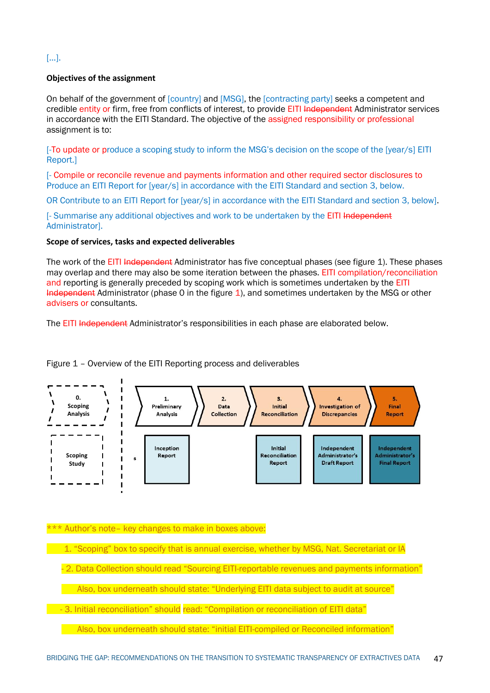## […].

## **Objectives of the assignment**

On behalf of the government of [country] and [MSG], the [contracting party] seeks a competent and credible entity or firm, free from conflicts of interest, to provide EITI Independent Administrator services in accordance with the EITI Standard. The objective of the assigned responsibility or professional assignment is to:

[-To update or produce a scoping study to inform the MSG's decision on the scope of the [year/s] EITI Report.]

[- Compile or reconcile revenue and payments information and other required sector disclosures to Produce an EITI Report for [year/s] in accordance with the EITI Standard and section 3, below.

OR Contribute to an EITI Report for [year/s] in accordance with the EITI Standard and section 3, below].

[- Summarise any additional objectives and work to be undertaken by the EITI Independent Administrator].

#### **Scope of services, tasks and expected deliverables**

The work of the EITI Independent Administrator has five conceptual phases (see figure 1). These phases may overlap and there may also be some iteration between the phases. EITI compilation/reconciliation and reporting is generally preceded by scoping work which is sometimes undertaken by the EITI Independent Administrator (phase 0 in the figure 1), and sometimes undertaken by the MSG or other advisers or consultants.

The EITI Independent Administrator's responsibilities in each phase are elaborated below.

Figure 1 – Overview of the EITI Reporting process and deliverables



\*\*\* Author's note– key changes to make in boxes above:

1. "Scoping" box to specify that is annual exercise, whether by MSG, Nat. Secretariat or IA

- 2. Data Collection should read "Sourcing EITI-reportable revenues and payments information"

Also, box underneath should state: "Underlying EITI data subject to audit at source"

- 3. Initial reconciliation" should read: "Compilation or reconciliation of EITI data"

Also, box underneath should state: "initial EITI-compiled or Reconciled information"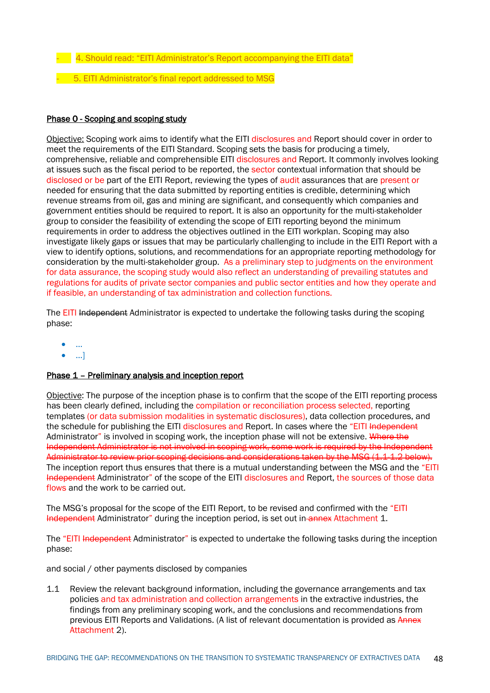- $-$  4. Should read: "EITI Administrator's Report accompanying the EITI data"
- 5. EITI Administrator's final report addressed to MSG

#### Phase 0 - Scoping and scoping study

Objective: Scoping work aims to identify what the EITI disclosures and Report should cover in order to meet the requirements of the EITI Standard. Scoping sets the basis for producing a timely, comprehensive, reliable and comprehensible EITI disclosures and Report. It commonly involves looking at issues such as the fiscal period to be reported, the sector contextual information that should be disclosed or be part of the EITI Report, reviewing the types of audit assurances that are present or needed for ensuring that the data submitted by reporting entities is credible, determining which revenue streams from oil, gas and mining are significant, and consequently which companies and government entities should be required to report. It is also an opportunity for the multi-stakeholder group to consider the feasibility of extending the scope of EITI reporting beyond the minimum requirements in order to address the objectives outlined in the EITI workplan. Scoping may also investigate likely gaps or issues that may be particularly challenging to include in the EITI Report with a view to identify options, solutions, and recommendations for an appropriate reporting methodology for consideration by the multi-stakeholder group. As a preliminary step to judgments on the environment for data assurance, the scoping study would also reflect an understanding of prevailing statutes and regulations for audits of private sector companies and public sector entities and how they operate and if feasible, an understanding of tax administration and collection functions.

The EITI Independent Administrator is expected to undertake the following tasks during the scoping phase:

- …
- …]

## Phase 1 – Preliminary analysis and inception report

Objective: The purpose of the inception phase is to confirm that the scope of the EITI reporting process has been clearly defined, including the compilation or reconciliation process selected, reporting templates (or data submission modalities in systematic disclosures), data collection procedures, and the schedule for publishing the EITI disclosures and Report. In cases where the "EITI Independent Administrator" is involved in scoping work, the inception phase will not be extensive. Where the Independent Administrator is not involved in scoping work, some work is required by the Independent Administrator to review prior scoping decisions and considerations taken by the MSG (1.1-1.2 below). The inception report thus ensures that there is a mutual understanding between the MSG and the "EITI Independent Administrator" of the scope of the EITI disclosures and Report, the sources of those data flows and the work to be carried out.

The MSG's proposal for the scope of the EITI Report, to be revised and confirmed with the "EITI Independent Administrator" during the inception period, is set out in annex Attachment 1.

The "EITI Independent Administrator" is expected to undertake the following tasks during the inception phase:

and social / other payments disclosed by companies

1.1 Review the relevant background information, including the governance arrangements and tax policies and tax administration and collection arrangements in the extractive industries, the findings from any preliminary scoping work, and the conclusions and recommendations from previous EITI Reports and Validations. (A list of relevant documentation is provided as Annex Attachment 2).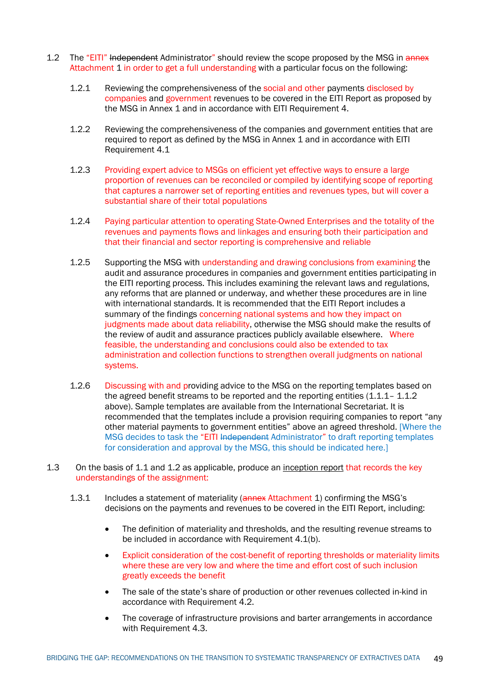- 1.2 The "EITI" Independent Administrator" should review the scope proposed by the MSG in annex Attachment 1 in order to get a full understanding with a particular focus on the following:
	- 1.2.1 Reviewing the comprehensiveness of the social and other payments disclosed by companies and government revenues to be covered in the EITI Report as proposed by the MSG in Annex 1 and in accordance with EITI Requirement 4.
	- 1.2.2 Reviewing the comprehensiveness of the companies and government entities that are required to report as defined by the MSG in Annex 1 and in accordance with EITI Requirement 4.1
	- 1.2.3 Providing expert advice to MSGs on efficient yet effective ways to ensure a large proportion of revenues can be reconciled or compiled by identifying scope of reporting that captures a narrower set of reporting entities and revenues types, but will cover a substantial share of their total populations
	- 1.2.4 Paying particular attention to operating State-Owned Enterprises and the totality of the revenues and payments flows and linkages and ensuring both their participation and that their financial and sector reporting is comprehensive and reliable
	- 1.2.5 Supporting the MSG with understanding and drawing conclusions from examining the audit and assurance procedures in companies and government entities participating in the EITI reporting process. This includes examining the relevant laws and regulations, any reforms that are planned or underway, and whether these procedures are in line with international standards. It is recommended that the EITI Report includes a summary of the findings concerning national systems and how they impact on judgments made about data reliability, otherwise the MSG should make the results of the review of audit and assurance practices publicly available elsewhere. Where feasible, the understanding and conclusions could also be extended to tax administration and collection functions to strengthen overall judgments on national systems.
	- 1.2.6 Discussing with and providing advice to the MSG on the reporting templates based on the agreed benefit streams to be reported and the reporting entities (1.1.1 – 1.1.2) above). Sample templates are available from the International Secretariat. It is recommended that the templates include a provision requiring companies to report "any other material payments to government entities" above an agreed threshold. [Where the MSG decides to task the "EITI Independent Administrator" to draft reporting templates for consideration and approval by the MSG, this should be indicated here.]
- 1.3 On the basis of 1.1 and 1.2 as applicable, produce an inception report that records the key understandings of the assignment:
	- 1.3.1 Includes a statement of materiality (annex Attachment 1) confirming the MSG's decisions on the payments and revenues to be covered in the EITI Report, including:
		- The definition of materiality and thresholds, and the resulting revenue streams to be included in accordance with Requirement 4.1(b).
		- Explicit consideration of the cost-benefit of reporting thresholds or materiality limits where these are very low and where the time and effort cost of such inclusion greatly exceeds the benefit
		- The sale of the state's share of production or other revenues collected in-kind in accordance with Requirement 4.2.
		- The coverage of infrastructure provisions and barter arrangements in accordance with Requirement 4.3.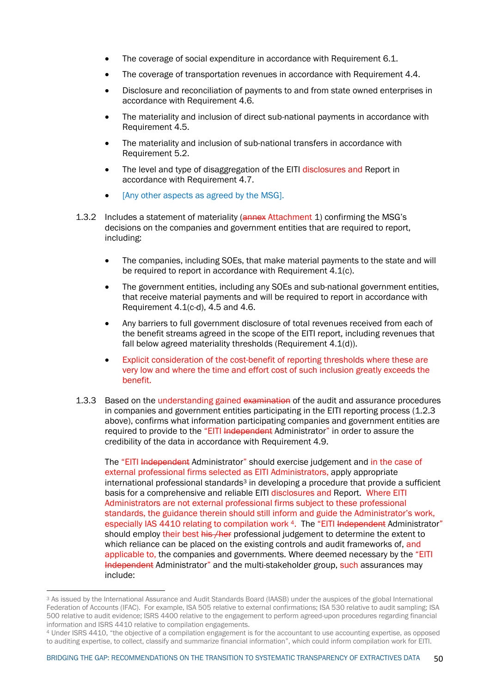- The coverage of social expenditure in accordance with Requirement 6.1.
- The coverage of transportation revenues in accordance with Requirement 4.4.
- Disclosure and reconciliation of payments to and from state owned enterprises in accordance with Requirement 4.6.
- The materiality and inclusion of direct sub-national payments in accordance with Requirement 4.5.
- The materiality and inclusion of sub-national transfers in accordance with Requirement 5.2.
- The level and type of disaggregation of the EITI disclosures and Report in accordance with Requirement 4.7.
- [Any other aspects as agreed by the MSG].
- 1.3.2 Includes a statement of materiality (**annex** Attachment 1) confirming the MSG's decisions on the companies and government entities that are required to report, including:
	- The companies, including SOEs, that make material payments to the state and will be required to report in accordance with Requirement 4.1(c).
	- The government entities, including any SOEs and sub-national government entities, that receive material payments and will be required to report in accordance with Requirement 4.1(c-d), 4.5 and 4.6.
	- Any barriers to full government disclosure of total revenues received from each of the benefit streams agreed in the scope of the EITI report, including revenues that fall below agreed materiality thresholds (Requirement 4.1(d)).
	- Explicit consideration of the cost-benefit of reporting thresholds where these are very low and where the time and effort cost of such inclusion greatly exceeds the benefit.
- 1.3.3 Based on the understanding gained examination of the audit and assurance procedures in companies and government entities participating in the EITI reporting process (1.2.3 above), confirms what information participating companies and government entities are required to provide to the "EITI Independent Administrator" in order to assure the credibility of the data in accordance with Requirement 4.9.

The "EITI Independent Administrator" should exercise judgement and in the case of external professional firms selected as EITI Administrators, apply appropriate international professional standards<sup>3</sup> in developing a procedure that provide a sufficient basis for a comprehensive and reliable EITI disclosures and Report. Where EITI Administrators are not external professional firms subject to these professional standards, the guidance therein should still inform and guide the Administrator's work, especially IAS 4410 relating to compilation work 4. The "EITI Independent Administrator" should employ their best his /her professional judgement to determine the extent to which reliance can be placed on the existing controls and audit frameworks of, and applicable to, the companies and governments. Where deemed necessary by the "EITI Independent Administrator" and the multi-stakeholder group, such assurances may include:

<sup>3</sup> As issued by the International Assurance and Audit Standards Board (IAASB) under the auspices of the global International Federation of Accounts (IFAC). For example, ISA 505 relative to external confirmations; ISA 530 relative to audit sampling; ISA 500 relative to audit evidence; ISRS 4400 relative to the engagement to perform agreed-upon procedures regarding financial information and ISRS 4410 relative to compilation engagements.

<sup>4</sup> Under ISRS 4410, "the objective of a compilation engagement is for the accountant to use accounting expertise, as opposed to auditing expertise, to collect, classify and summarize financial information", which could inform compilation work for EITI.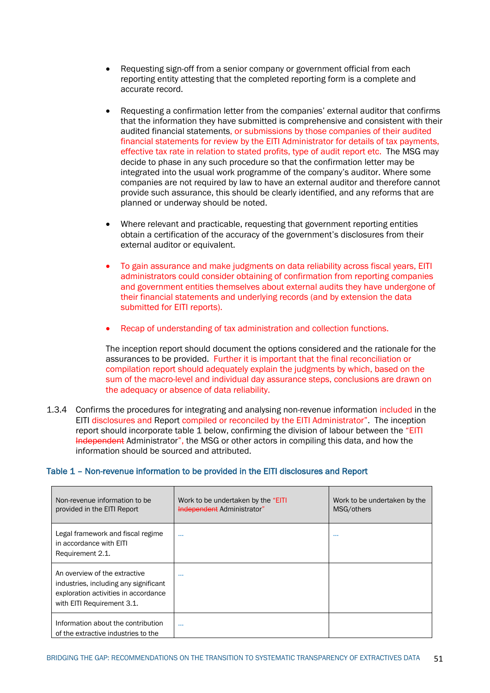- Requesting sign-off from a senior company or government official from each reporting entity attesting that the completed reporting form is a complete and accurate record.
- Requesting a confirmation letter from the companies' external auditor that confirms that the information they have submitted is comprehensive and consistent with their audited financial statements, or submissions by those companies of their audited financial statements for review by the EITI Administrator for details of tax payments, effective tax rate in relation to stated profits, type of audit report etc. The MSG may decide to phase in any such procedure so that the confirmation letter may be integrated into the usual work programme of the company's auditor. Where some companies are not required by law to have an external auditor and therefore cannot provide such assurance, this should be clearly identified, and any reforms that are planned or underway should be noted.
- Where relevant and practicable, requesting that government reporting entities obtain a certification of the accuracy of the government's disclosures from their external auditor or equivalent.
- To gain assurance and make judgments on data reliability across fiscal years, EITI administrators could consider obtaining of confirmation from reporting companies and government entities themselves about external audits they have undergone of their financial statements and underlying records (and by extension the data submitted for EITI reports).
- Recap of understanding of tax administration and collection functions.

The inception report should document the options considered and the rationale for the assurances to be provided. Further it is important that the final reconciliation or compilation report should adequately explain the judgments by which, based on the sum of the macro-level and individual day assurance steps, conclusions are drawn on the adequacy or absence of data reliability.

1.3.4 Confirms the procedures for integrating and analysing non-revenue information included in the EITI disclosures and Report compiled or reconciled by the EITI Administrator". The inception report should incorporate table 1 below, confirming the division of labour between the "EITI Independent Administrator", the MSG or other actors in compiling this data, and how the information should be sourced and attributed.

| Table 1 - Non-revenue information to be provided in the EITI disclosures and Report |  |
|-------------------------------------------------------------------------------------|--|
|                                                                                     |  |

| Non-revenue information to be<br>provided in the EITI Report                                                                                 | Work to be undertaken by the "EITI"<br>Independent Administrator" | Work to be undertaken by the<br>MSG/others |
|----------------------------------------------------------------------------------------------------------------------------------------------|-------------------------------------------------------------------|--------------------------------------------|
| Legal framework and fiscal regime<br>in accordance with EITI<br>Requirement 2.1.                                                             | $\cdots$                                                          | $\cdots$                                   |
| An overview of the extractive<br>industries, including any significant<br>exploration activities in accordance<br>with EITI Requirement 3.1. | $\cdots$                                                          |                                            |
| Information about the contribution<br>of the extractive industries to the                                                                    | $\cdots$                                                          |                                            |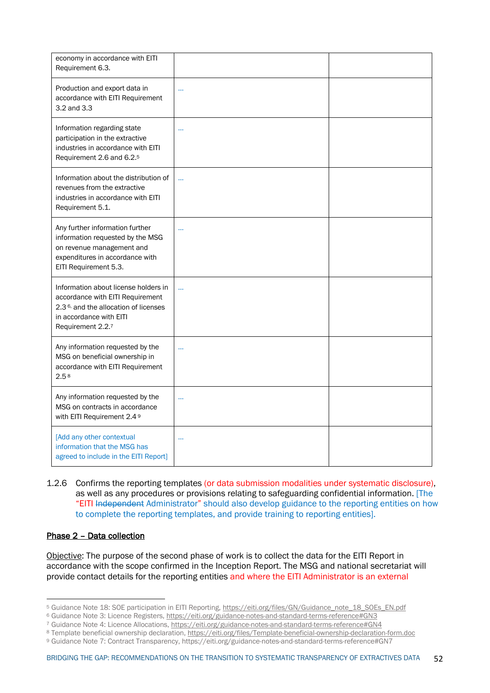| economy in accordance with EITI<br>Requirement 6.3.                                                                                                                          |           |  |
|------------------------------------------------------------------------------------------------------------------------------------------------------------------------------|-----------|--|
| Production and export data in<br>accordance with EITI Requirement<br>3.2 and 3.3                                                                                             |           |  |
| Information regarding state<br>participation in the extractive<br>industries in accordance with EITI<br>Requirement 2.6 and 6.2. <sup>5</sup>                                |           |  |
| Information about the distribution of<br>revenues from the extractive<br>industries in accordance with EITI<br>Requirement 5.1.                                              | $\ddotsc$ |  |
| Any further information further<br>information requested by the MSG<br>on revenue management and<br>expenditures in accordance with<br>EITI Requirement 5.3.                 |           |  |
| Information about license holders in<br>accordance with EITI Requirement<br>2.3 <sup>6,</sup> and the allocation of licenses<br>in accordance with EITI<br>Requirement 2.2.7 |           |  |
| Any information requested by the<br>MSG on beneficial ownership in<br>accordance with EITI Requirement<br>2.5 <sup>8</sup>                                                   |           |  |
| Any information requested by the<br>MSG on contracts in accordance<br>with EITI Requirement 2.4 9                                                                            |           |  |
| [Add any other contextual<br>information that the MSG has<br>agreed to include in the EITI Report]                                                                           |           |  |

1.2.6 Confirms the reporting templates (or data submission modalities under systematic disclosure), as well as any procedures or provisions relating to safeguarding confidential information. [The "EITI Independent Administrator" should also develop guidance to the reporting entities on how to complete the reporting templates, and provide training to reporting entities].

#### Phase 2 – Data collection

Objective: The purpose of the second phase of work is to collect the data for the EITI Report in accordance with the scope confirmed in the Inception Report. The MSG and national secretariat will provide contact details for the reporting entities and where the EITI Administrator is an external

<sup>5</sup> Guidance Note 18: SOE participation in EITI Reporting, https://eiti.org/files/GN/Guidance\_note\_18\_SOEs\_EN.pdf

<sup>6</sup> Guidance Note 3: Licence Registers, https://eiti.org/guidance-notes-and-standard-terms-reference#GN3

<sup>7</sup> Guidance Note 4: Licence Allocations, https://eiti.org/guidance-notes-and-standard-terms-reference#GN4

<sup>8</sup> Template beneficial ownership declaration, https://eiti.org/files/Template-beneficial-ownership-declaration-form.doc

<sup>9</sup> Guidance Note 7: Contract Transparency, https://eiti.org/guidance-notes-and-standard-terms-reference#GN7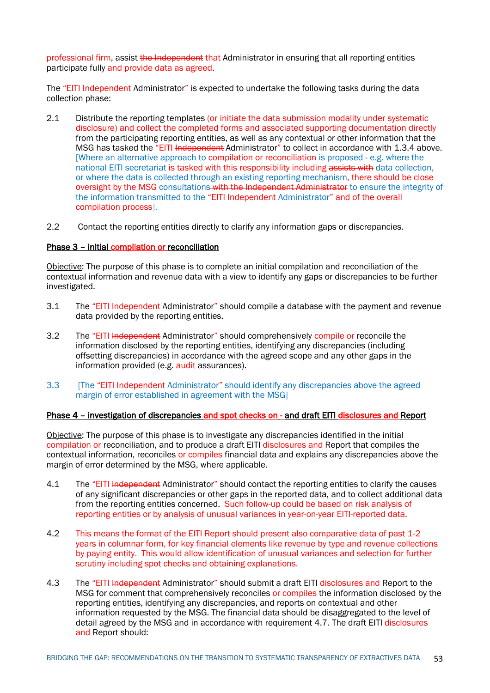professional firm, assist the Independent that Administrator in ensuring that all reporting entities participate fully and provide data as agreed.

The "EITI Independent Administrator" is expected to undertake the following tasks during the data collection phase:

- 2.1 Distribute the reporting templates (or initiate the data submission modality under systematic disclosure) and collect the completed forms and associated supporting documentation directly from the participating reporting entities, as well as any contextual or other information that the MSG has tasked the "EITI Independent Administrator" to collect in accordance with 1.3.4 above. [Where an alternative approach to compilation or reconciliation is proposed - e.g. where the national EITI secretariat is tasked with this responsibility including assists with data collection. or where the data is collected through an existing reporting mechanism, there should be close oversight by the MSG consultations with the Independent Administrator to ensure the integrity of the information transmitted to the "EITI Independent Administrator" and of the overall compilation process].
- 2.2 Contact the reporting entities directly to clarify any information gaps or discrepancies.

#### Phase 3 – initial compilation or reconciliation

Objective: The purpose of this phase is to complete an initial compilation and reconciliation of the contextual information and revenue data with a view to identify any gaps or discrepancies to be further investigated.

- 3.1 The "EITI Independent Administrator" should compile a database with the payment and revenue data provided by the reporting entities.
- 3.2 The "EITI Independent Administrator" should comprehensively compile or reconcile the information disclosed by the reporting entities, identifying any discrepancies (including offsetting discrepancies) in accordance with the agreed scope and any other gaps in the information provided (e.g. audit assurances).
- 3.3 [The "EITI Independent Administrator" should identify any discrepancies above the agreed margin of error established in agreement with the MSG]

#### Phase 4 – investigation of discrepancies and spot checks on - and draft EITI disclosures and Report

Objective: The purpose of this phase is to investigate any discrepancies identified in the initial compilation or reconciliation, and to produce a draft EITI disclosures and Report that compiles the contextual information, reconciles or compiles financial data and explains any discrepancies above the margin of error determined by the MSG, where applicable.

- 4.1 The "EITI Independent Administrator" should contact the reporting entities to clarify the causes of any significant discrepancies or other gaps in the reported data, and to collect additional data from the reporting entities concerned. Such follow-up could be based on risk analysis of reporting entities or by analysis of unusual variances in year-on-year EITI-reported data.
- 4.2 This means the format of the EITI Report should present also comparative data of past 1-2 years in columnar form, for key financial elements like revenue by type and revenue collections by paying entity. This would allow identification of unusual variances and selection for further scrutiny including spot checks and obtaining explanations.
- 4.3 The "EITI Independent Administrator" should submit a draft EITI disclosures and Report to the MSG for comment that comprehensively reconciles or compiles the information disclosed by the reporting entities, identifying any discrepancies, and reports on contextual and other information requested by the MSG. The financial data should be disaggregated to the level of detail agreed by the MSG and in accordance with requirement 4.7. The draft EITI disclosures and Report should: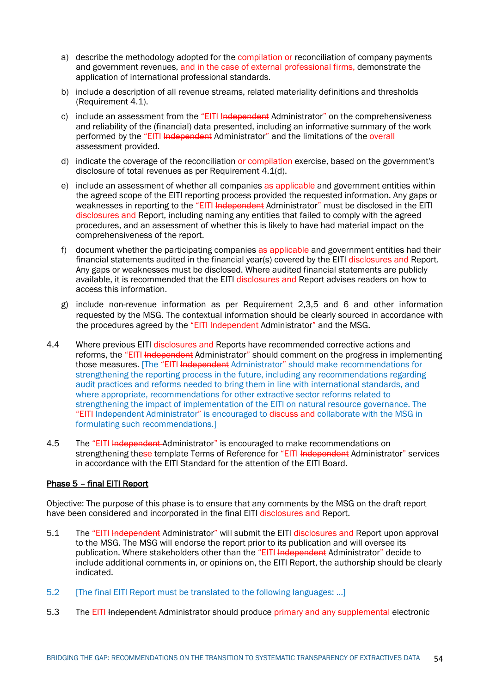- a) describe the methodology adopted for the compilation or reconciliation of company payments and government revenues, and in the case of external professional firms, demonstrate the application of international professional standards.
- b) include a description of all revenue streams, related materiality definitions and thresholds (Requirement 4.1).
- c) include an assessment from the "EITI Independent Administrator" on the comprehensiveness and reliability of the (financial) data presented, including an informative summary of the work performed by the "EITI Independent Administrator" and the limitations of the overall assessment provided.
- d) indicate the coverage of the reconciliation or compilation exercise, based on the government's disclosure of total revenues as per Requirement 4.1(d).
- e) include an assessment of whether all companies as applicable and government entities within the agreed scope of the EITI reporting process provided the requested information. Any gaps or weaknesses in reporting to the "EITI Independent Administrator" must be disclosed in the EITI disclosures and Report, including naming any entities that failed to comply with the agreed procedures, and an assessment of whether this is likely to have had material impact on the comprehensiveness of the report.
- f) document whether the participating companies as applicable and government entities had their financial statements audited in the financial year(s) covered by the EITI disclosures and Report. Any gaps or weaknesses must be disclosed. Where audited financial statements are publicly available, it is recommended that the EITI disclosures and Report advises readers on how to access this information.
- g) include non-revenue information as per Requirement 2,3,5 and 6 and other information requested by the MSG. The contextual information should be clearly sourced in accordance with the procedures agreed by the "EITI Independent Administrator" and the MSG.
- 4.4 Where previous EITI disclosures and Reports have recommended corrective actions and reforms, the "EITI Independent Administrator" should comment on the progress in implementing those measures. [The "EITI Independent Administrator" should make recommendations for strengthening the reporting process in the future, including any recommendations regarding audit practices and reforms needed to bring them in line with international standards, and where appropriate, recommendations for other extractive sector reforms related to strengthening the impact of implementation of the EITI on natural resource governance. The "EITI Independent Administrator" is encouraged to discuss and collaborate with the MSG in formulating such recommendations.]
- 4.5 The "EITI Independent-Administrator" is encouraged to make recommendations on strengthening these template Terms of Reference for "EITI Independent Administrator" services in accordance with the EITI Standard for the attention of the EITI Board.

## Phase 5 – final EITI Report

Objective: The purpose of this phase is to ensure that any comments by the MSG on the draft report have been considered and incorporated in the final EITI disclosures and Report.

- 5.1 The "EITI Independent Administrator" will submit the EITI disclosures and Report upon approval to the MSG. The MSG will endorse the report prior to its publication and will oversee its publication. Where stakeholders other than the "EITI Independent Administrator" decide to include additional comments in, or opinions on, the EITI Report, the authorship should be clearly indicated.
- 5.2 [The final EITI Report must be translated to the following languages: ...]
- 5.3 The EITI Independent Administrator should produce primary and any supplemental electronic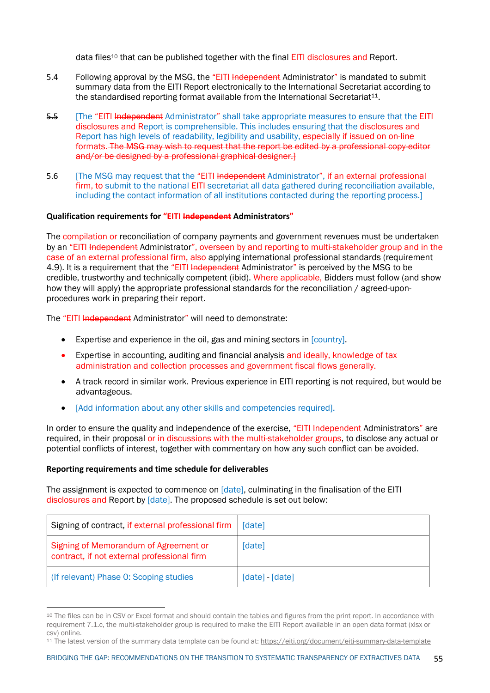data files<sup>10</sup> that can be published together with the final **EITI** disclosures and Report.

- 5.4 Following approval by the MSG, the "EITI Independent Administrator" is mandated to submit summary data from the EITI Report electronically to the International Secretariat according to the standardised reporting format available from the International Secretariat $11$ .
- 5.5 [The "EITI Independent Administrator" shall take appropriate measures to ensure that the EITI disclosures and Report is comprehensible. This includes ensuring that the disclosures and Report has high levels of readability, legibility and usability, especially if issued on on-line formats. The MSG may wish to request that the report be edited by a professional copy-editor and/or be designed by a professional graphical designer.]
- 5.6 [The MSG may request that the "EITI Independent Administrator", if an external professional firm, to submit to the national EITI secretariat all data gathered during reconciliation available, including the contact information of all institutions contacted during the reporting process.]

#### **Qualification requirements for "EITI Independent Administrators"**

The compilation or reconciliation of company payments and government revenues must be undertaken by an "EITI Independent Administrator", overseen by and reporting to multi-stakeholder group and in the case of an external professional firm, also applying international professional standards (requirement 4.9). It is a requirement that the "EITI Independent Administrator" is perceived by the MSG to be credible, trustworthy and technically competent (ibid). Where applicable, Bidders must follow (and show how they will apply) the appropriate professional standards for the reconciliation / agreed-uponprocedures work in preparing their report.

The "EITI Independent Administrator" will need to demonstrate:

- Expertise and experience in the oil, gas and mining sectors in [country].
- Expertise in accounting, auditing and financial analysis and ideally, knowledge of tax administration and collection processes and government fiscal flows generally.
- A track record in similar work. Previous experience in EITI reporting is not required, but would be advantageous.
- [Add information about any other skills and competencies required].

In order to ensure the quality and independence of the exercise, "EITI Independent Administrators" are required, in their proposal or in discussions with the multi-stakeholder groups, to disclose any actual or potential conflicts of interest, together with commentary on how any such conflict can be avoided.

#### **Reporting requirements and time schedule for deliverables**

The assignment is expected to commence on [date], culminating in the finalisation of the EITI disclosures and Report by [date]. The proposed schedule is set out below:

| Signing of contract, if external professional firm                                   | [date]           |
|--------------------------------------------------------------------------------------|------------------|
| Signing of Memorandum of Agreement or<br>contract, if not external professional firm | [date]           |
| (If relevant) Phase 0: Scoping studies                                               | $[date] -[date]$ |

<sup>10</sup> The files can be in CSV or Excel format and should contain the tables and figures from the print report. In accordance with requirement 7.1.c, the multi-stakeholder group is required to make the EITI Report available in an open data format (xlsx or csv) online.

<sup>11</sup> The latest version of the summary data template can be found at: https://eiti.org/document/eiti-summary-data-template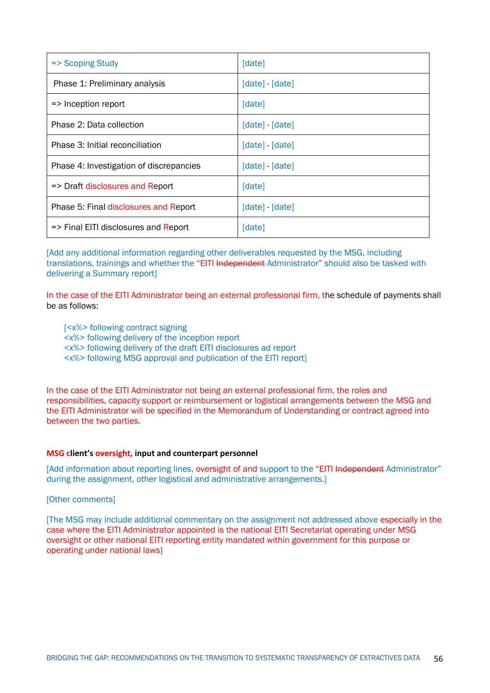| => Scoping Study                        | [date]          |
|-----------------------------------------|-----------------|
| Phase 1: Preliminary analysis           | [date] - [date] |
| $\Rightarrow$ Inception report          | [date]          |
| Phase 2: Data collection                | [date] - [date] |
| Phase 3: Initial reconciliation         | [date] - [date] |
| Phase 4: Investigation of discrepancies | [date] - [date] |
| => Draft disclosures and Report         | [date]          |
| Phase 5: Final disclosures and Report   | [date] - [date] |
| => Final EITI disclosures and Report    | [date]          |

[Add any additional information regarding other deliverables requested by the MSG, including translations, trainings and whether the "EITI Independent Administrator" should also be tasked with delivering a Summary report]

In the case of the EITI Administrator being an external professional firm, the schedule of payments shall be as follows:

[<x%> following contract signing

<x%> following delivery of the inception report

<x%> following delivery of the draft EITI disclosures ad report

<x%> following MSG approval and publication of the EITI report]

In the case of the EITI Administrator not being an external professional firm, the roles and responsibilities, capacity support or reimbursement or logistical arrangements between the MSG and the EITI Administrator will be specified in the Memorandum of Understanding or contract agreed into between the two parties.

#### **MSG client's oversight, input and counterpart personnel**

[Add information about reporting lines, oversight of and support to the "EITI Independent Administrator" during the assignment, other logistical and administrative arrangements.]

[Other comments]

[The MSG may include additional commentary on the assignment not addressed above especially in the case where the EITI Administrator appointed is the national EITI Secretariat operating under MSG oversight or other national EITI reporting entity mandated within government for this purpose or operating under national laws]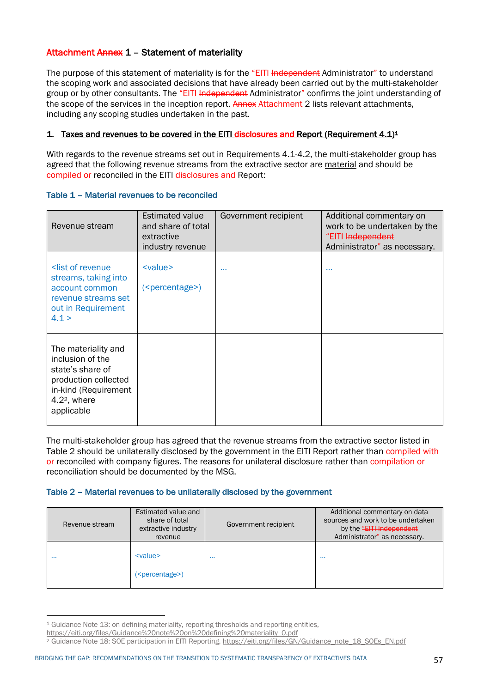## Attachment Annex 1 – Statement of materiality

The purpose of this statement of materiality is for the "EITI Independent Administrator" to understand the scoping work and associated decisions that have already been carried out by the multi-stakeholder group or by other consultants. The "EITI Independent Administrator" confirms the joint understanding of the scope of the services in the inception report. Annex Attachment 2 lists relevant attachments, including any scoping studies undertaken in the past.

## 1. Taxes and revenues to be covered in the EITI disclosures and Report (Requirement  $4.1$ )<sup>1</sup>

With regards to the revenue streams set out in Requirements 4.1-4.2, the multi-stakeholder group has agreed that the following revenue streams from the extractive sector are material and should be compiled or reconciled in the EITI disclosures and Report:

| Revenue stream                                                                                                                              | <b>Estimated value</b><br>and share of total<br>extractive<br>industry revenue | Government recipient | Additional commentary on<br>work to be undertaken by the<br>"EITI Independent<br>Administrator" as necessary. |
|---------------------------------------------------------------------------------------------------------------------------------------------|--------------------------------------------------------------------------------|----------------------|---------------------------------------------------------------------------------------------------------------|
| <list of="" revenue<br="">streams, taking into<br/>account common<br/>revenue streams set<br/>out in Requirement<br/>4.1 &gt;</list>        | $<$ value $>$<br>( <percentage>)</percentage>                                  |                      |                                                                                                               |
| The materiality and<br>inclusion of the<br>state's share of<br>production collected<br>in-kind (Requirement<br>$4.22$ , where<br>applicable |                                                                                |                      |                                                                                                               |

#### Table 1 – Material revenues to be reconciled

The multi-stakeholder group has agreed that the revenue streams from the extractive sector listed in Table 2 should be unilaterally disclosed by the government in the EITI Report rather than compiled with or reconciled with company figures. The reasons for unilateral disclosure rather than compilation or reconciliation should be documented by the MSG.

#### Table 2 – Material revenues to be unilaterally disclosed by the government

| Revenue stream | Estimated value and<br>share of total<br>extractive industry<br>revenue | Government recipient | Additional commentary on data<br>sources and work to be undertaken<br>by the "EITH Independent<br>Administrator" as necessary. |
|----------------|-------------------------------------------------------------------------|----------------------|--------------------------------------------------------------------------------------------------------------------------------|
| $\cdots$       | $<$ value $>$<br>( <percentage>)</percentage>                           | $\cdots$             | $\sim$ $\sim$ $\sim$                                                                                                           |

<sup>1</sup> Guidance Note 13: on defining materiality, reporting thresholds and reporting entities,

https://eiti.org/files/Guidance%20note%20on%20defining%20materiality\_0.pdf

<sup>&</sup>lt;sup>2</sup> Guidance Note 18: SOE participation in EITI Reporting, https://eiti.org/files/GN/Guidance\_note\_18\_SOEs\_EN.pdf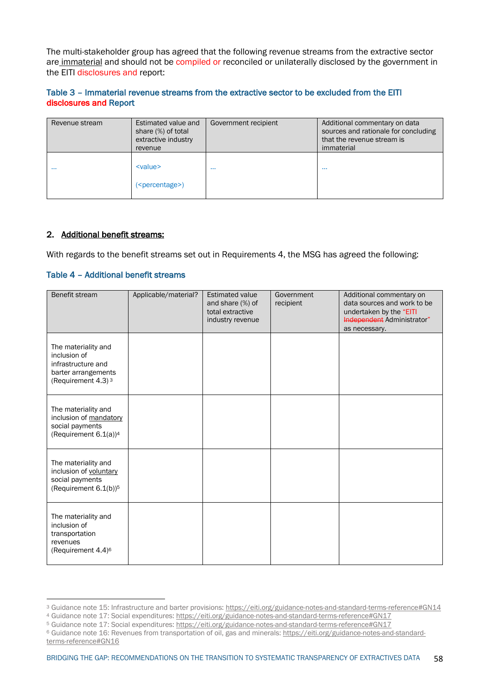The multi-stakeholder group has agreed that the following revenue streams from the extractive sector are immaterial and should not be compiled or reconciled or unilaterally disclosed by the government in the EITI disclosures and report:

### Table 3 – Immaterial revenue streams from the extractive sector to be excluded from the EITI disclosures and Report

| Revenue stream | Estimated value and<br>share (%) of total<br>extractive industry<br>revenue | Government recipient | Additional commentary on data<br>sources and rationale for concluding<br>that the revenue stream is<br>immaterial |
|----------------|-----------------------------------------------------------------------------|----------------------|-------------------------------------------------------------------------------------------------------------------|
| $\cdots$       | <value><br/>(<i>percentage</i>)</value>                                     | $\sim$ $\sim$ $\sim$ | $\cdots$                                                                                                          |

#### 2. Additional benefit streams:

With regards to the benefit streams set out in Requirements 4, the MSG has agreed the following:

#### Table 4 – Additional benefit streams

| Benefit stream                                                                                                     | Applicable/material? | <b>Estimated value</b><br>and share (%) of<br>total extractive<br>industry revenue | Government<br>recipient | Additional commentary on<br>data sources and work to be<br>undertaken by the "EITI<br>Independent Administrator"<br>as necessary. |
|--------------------------------------------------------------------------------------------------------------------|----------------------|------------------------------------------------------------------------------------|-------------------------|-----------------------------------------------------------------------------------------------------------------------------------|
| The materiality and<br>inclusion of<br>infrastructure and<br>barter arrangements<br>(Requirement 4.3) <sup>3</sup> |                      |                                                                                    |                         |                                                                                                                                   |
| The materiality and<br>inclusion of mandatory<br>social payments<br>(Requirement 6.1(a)) <sup>4</sup>              |                      |                                                                                    |                         |                                                                                                                                   |
| The materiality and<br>inclusion of voluntary<br>social payments<br>(Requirement 6.1(b)) <sup>5</sup>              |                      |                                                                                    |                         |                                                                                                                                   |
| The materiality and<br>inclusion of<br>transportation<br>revenues<br>(Requirement 4.4) <sup>6</sup>                |                      |                                                                                    |                         |                                                                                                                                   |

<sup>3</sup> Guidance note 15: Infrastructure and barter provisions: https://eiti.org/guidance-notes-and-standard-terms-reference#GN14

<sup>4</sup> Guidance note 17: Social expenditures: https://eiti.org/guidance-notes-and-standard-terms-reference#GN17

<sup>5</sup> Guidance note 17: Social expenditures: https://eiti.org/guidance-notes-and-standard-terms-reference#GN17

<sup>6</sup> Guidance note 16: Revenues from transportation of oil, gas and minerals: https://eiti.org/guidance-notes-and-standardterms-reference#GN16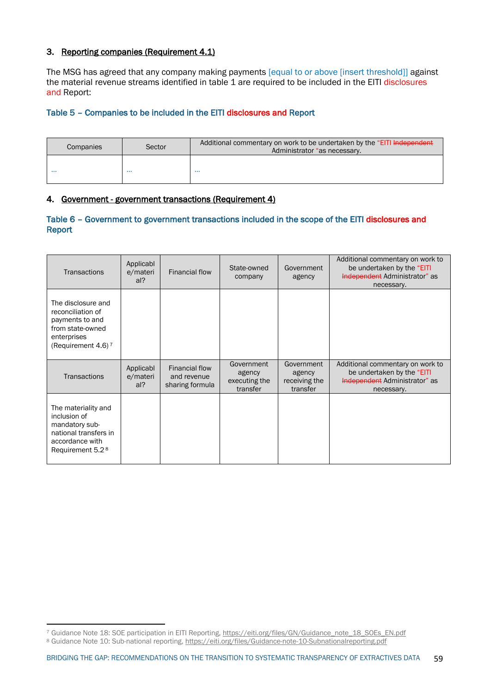## 3. Reporting companies (Requirement 4.1)

The MSG has agreed that any company making payments [equal to or above [insert threshold]] against the material revenue streams identified in table 1 are required to be included in the EITI disclosures and Report:

### Table 5 – Companies to be included in the EITI disclosures and Report

| Sector    |          | Additional commentary on work to be undertaken by the "EITI Independent" |
|-----------|----------|--------------------------------------------------------------------------|
| Companies |          | Administrator "as necessary.                                             |
| $\cdots$  | $\cdots$ | .                                                                        |

### 4. Government - government transactions (Requirement 4)

### Table 6 – Government to government transactions included in the scope of the EITI disclosures and Report

| <b>Transactions</b>                                                                                                               | Applicabl<br>e/materi<br>al? | Financial flow                                   | State-owned<br>company                            | Government<br>agency                              | Additional commentary on work to<br>be undertaken by the "EITI<br>Independent Administrator" as<br>necessary. |
|-----------------------------------------------------------------------------------------------------------------------------------|------------------------------|--------------------------------------------------|---------------------------------------------------|---------------------------------------------------|---------------------------------------------------------------------------------------------------------------|
| The disclosure and<br>reconciliation of<br>payments to and<br>from state-owned<br>enterprises<br>(Requirement 4.6) $7$            |                              |                                                  |                                                   |                                                   |                                                                                                               |
| <b>Transactions</b>                                                                                                               | Applicabl<br>e/materi<br>al? | Financial flow<br>and revenue<br>sharing formula | Government<br>agency<br>executing the<br>transfer | Government<br>agency<br>receiving the<br>transfer | Additional commentary on work to<br>be undertaken by the "EITI<br>Independent Administrator" as<br>necessary. |
| The materiality and<br>inclusion of<br>mandatory sub-<br>national transfers in<br>accordance with<br>Requirement 5.2 <sup>8</sup> |                              |                                                  |                                                   |                                                   |                                                                                                               |

<sup>7</sup> Guidance Note 18: SOE participation in EITI Reporting, https://eiti.org/files/GN/Guidance\_note\_18\_SOEs\_EN.pdf

<sup>8</sup> Guidance Note 10: Sub-national reporting, https://eiti.org/files/Guidance-note-10-Subnationalreporting.pdf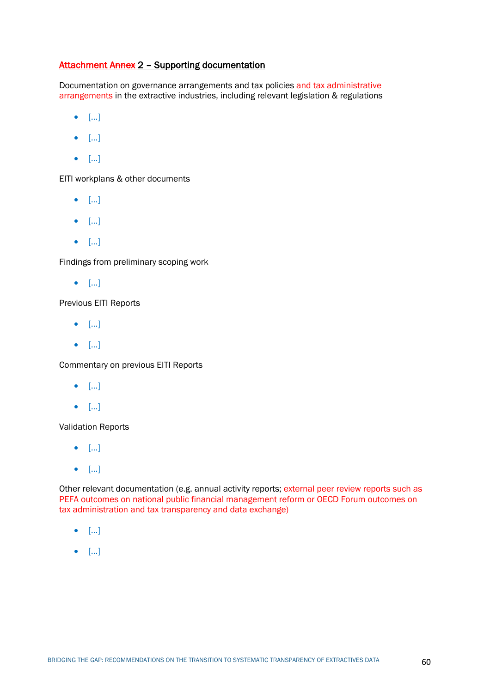## Attachment Annex 2 – Supporting documentation

Documentation on governance arrangements and tax policies and tax administrative arrangements in the extractive industries, including relevant legislation & regulations

- […]
- […]
- […]

EITI workplans & other documents

- […]
- […]
- […]

Findings from preliminary scoping work

• […]

Previous EITI Reports

- […]
- […]

Commentary on previous EITI Reports

- […]
- […]

Validation Reports

- […]
- […]

Other relevant documentation (e.g. annual activity reports; external peer review reports such as PEFA outcomes on national public financial management reform or OECD Forum outcomes on tax administration and tax transparency and data exchange)

- […]
- […]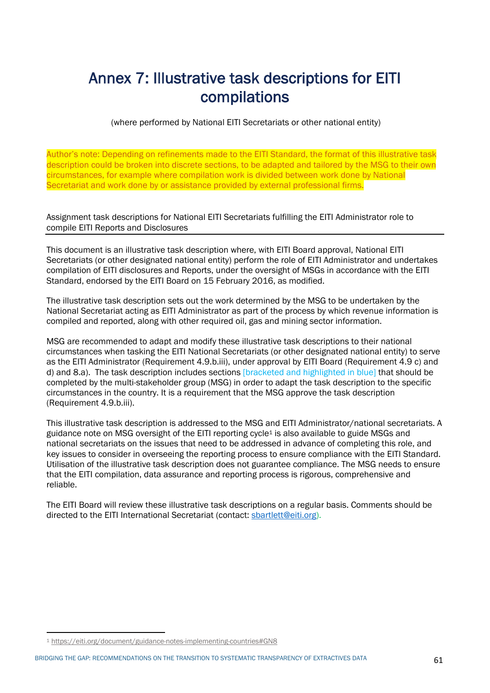## Annex 7: Illustrative task descriptions for EITI compilations

(where performed by National EITI Secretariats or other national entity)

Author's note: Depending on refinements made to the EITI Standard, the format of this illustrative task description could be broken into discrete sections, to be adapted and tailored by the MSG to their own circumstances, for example where compilation work is divided between work done by National Secretariat and work done by or assistance provided by external professional firms.

Assignment task descriptions for National EITI Secretariats fulfilling the EITI Administrator role to compile EITI Reports and Disclosures

This document is an illustrative task description where, with EITI Board approval, National EITI Secretariats (or other designated national entity) perform the role of EITI Administrator and undertakes compilation of EITI disclosures and Reports, under the oversight of MSGs in accordance with the EITI Standard, endorsed by the EITI Board on 15 February 2016, as modified.

The illustrative task description sets out the work determined by the MSG to be undertaken by the National Secretariat acting as EITI Administrator as part of the process by which revenue information is compiled and reported, along with other required oil, gas and mining sector information.

MSG are recommended to adapt and modify these illustrative task descriptions to their national circumstances when tasking the EITI National Secretariats (or other designated national entity) to serve as the EITI Administrator (Requirement 4.9.b.iii), under approval by EITI Board (Requirement 4.9 c) and d) and 8.a). The task description includes sections [bracketed and highlighted in blue] that should be completed by the multi-stakeholder group (MSG) in order to adapt the task description to the specific circumstances in the country. It is a requirement that the MSG approve the task description (Requirement 4.9.b.iii).

This illustrative task description is addressed to the MSG and EITI Administrator/national secretariats. A guidance note on MSG oversight of the EITI reporting cycle1 is also available to guide MSGs and national secretariats on the issues that need to be addressed in advance of completing this role, and key issues to consider in overseeing the reporting process to ensure compliance with the EITI Standard. Utilisation of the illustrative task description does not guarantee compliance. The MSG needs to ensure that the EITI compilation, data assurance and reporting process is rigorous, comprehensive and reliable.

The EITI Board will review these illustrative task descriptions on a regular basis. Comments should be directed to the EITI International Secretariat (contact: sbartlett@eiti.org).

<sup>1</sup> https://eiti.org/document/guidance-notes-implementing-countries#GN8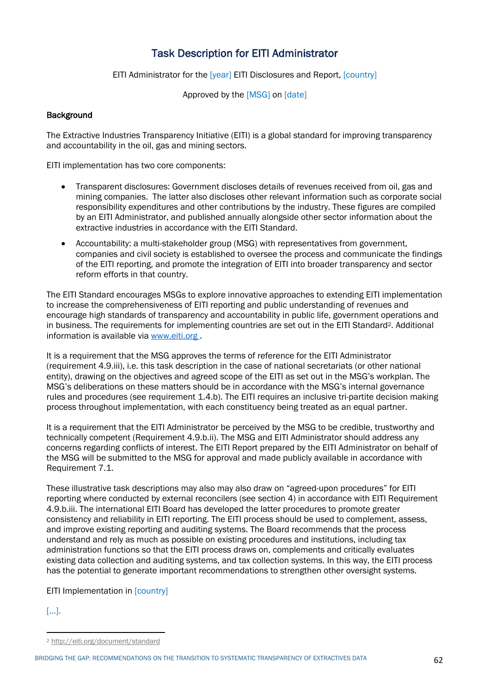## Task Description for EITI Administrator

EITI Administrator for the [year] EITI Disclosures and Report, [country]

Approved by the [MSG] on [date]

## **Background**

The Extractive Industries Transparency Initiative (EITI) is a global standard for improving transparency and accountability in the oil, gas and mining sectors.

EITI implementation has two core components:

- Transparent disclosures: Government discloses details of revenues received from oil, gas and mining companies. The latter also discloses other relevant information such as corporate social responsibility expenditures and other contributions by the industry. These figures are compiled by an EITI Administrator, and published annually alongside other sector information about the extractive industries in accordance with the EITI Standard.
- Accountability: a multi-stakeholder group (MSG) with representatives from government, companies and civil society is established to oversee the process and communicate the findings of the EITI reporting, and promote the integration of EITI into broader transparency and sector reform efforts in that country.

The EITI Standard encourages MSGs to explore innovative approaches to extending EITI implementation to increase the comprehensiveness of EITI reporting and public understanding of revenues and encourage high standards of transparency and accountability in public life, government operations and in business. The requirements for implementing countries are set out in the EITI Standard2. Additional information is available via www.eiti.org .

It is a requirement that the MSG approves the terms of reference for the EITI Administrator (requirement 4.9.iii), i.e. this task description in the case of national secretariats (or other national entity), drawing on the objectives and agreed scope of the EITI as set out in the MSG's workplan. The MSG's deliberations on these matters should be in accordance with the MSG's internal governance rules and procedures (see requirement 1.4.b). The EITI requires an inclusive tri-partite decision making process throughout implementation, with each constituency being treated as an equal partner.

It is a requirement that the EITI Administrator be perceived by the MSG to be credible, trustworthy and technically competent (Requirement 4.9.b.ii). The MSG and EITI Administrator should address any concerns regarding conflicts of interest. The EITI Report prepared by the EITI Administrator on behalf of the MSG will be submitted to the MSG for approval and made publicly available in accordance with Requirement 7.1.

These illustrative task descriptions may also may also draw on "agreed-upon procedures" for EITI reporting where conducted by external reconcilers (see section 4) in accordance with EITI Requirement 4.9.b.iii. The international EITI Board has developed the latter procedures to promote greater consistency and reliability in EITI reporting. The EITI process should be used to complement, assess, and improve existing reporting and auditing systems. The Board recommends that the process understand and rely as much as possible on existing procedures and institutions, including tax administration functions so that the EITI process draws on, complements and critically evaluates existing data collection and auditing systems, and tax collection systems. In this way, the EITI process has the potential to generate important recommendations to strengthen other oversight systems.

## EITI Implementation in [country]

## […].

<sup>2</sup> http://eiti.org/document/standard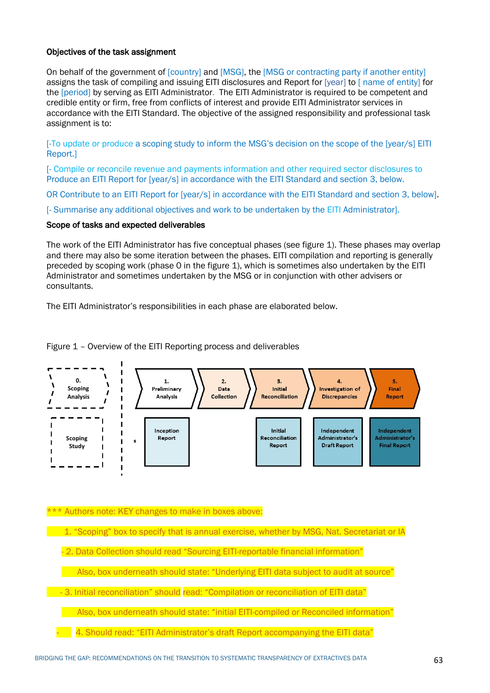#### Objectives of the task assignment

On behalf of the government of [country] and [MSG], the [MSG or contracting party if another entity] assigns the task of compiling and issuing EITI disclosures and Report for [year] to [ name of entity] for the [period] by serving as EITI Administrator. The EITI Administrator is required to be competent and credible entity or firm, free from conflicts of interest and provide EITI Administrator services in accordance with the EITI Standard. The objective of the assigned responsibility and professional task assignment is to:

[-To update or produce a scoping study to inform the MSG's decision on the scope of the [year/s] EITI Report.]

[- Compile or reconcile revenue and payments information and other required sector disclosures to Produce an EITI Report for [year/s] in accordance with the EITI Standard and section 3, below.

OR Contribute to an EITI Report for [year/s] in accordance with the EITI Standard and section 3, below].

[- Summarise any additional objectives and work to be undertaken by the EITI Administrator].

## Scope of tasks and expected deliverables

The work of the EITI Administrator has five conceptual phases (see figure 1). These phases may overlap and there may also be some iteration between the phases. EITI compilation and reporting is generally preceded by scoping work (phase 0 in the figure 1), which is sometimes also undertaken by the EITI Administrator and sometimes undertaken by the MSG or in conjunction with other advisers or consultants.

The EITI Administrator's responsibilities in each phase are elaborated below.

Figure 1 – Overview of the EITI Reporting process and deliverables



\*\*\* Authors note: KEY changes to make in boxes above:

1. "Scoping" box to specify that is annual exercise, whether by MSG, Nat. Secretariat or IA

2. Data Collection should read "Sourcing EITI-reportable financial information"

Also, box underneath should state: "Underlying EITI data subject to audit at source"

- 3. Initial reconciliation" should read: "Compilation or reconciliation of EITI data"

Also, box underneath should state: "initial EITI-compiled or Reconciled information"

4. Should read: "EITI Administrator's draft Report accompanying the EITI data"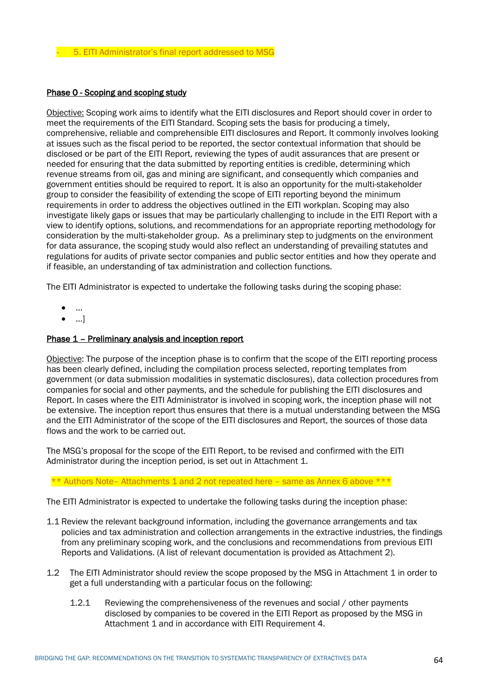## Phase 0 - Scoping and scoping study

Objective: Scoping work aims to identify what the EITI disclosures and Report should cover in order to meet the requirements of the EITI Standard. Scoping sets the basis for producing a timely, comprehensive, reliable and comprehensible EITI disclosures and Report. It commonly involves looking at issues such as the fiscal period to be reported, the sector contextual information that should be disclosed or be part of the EITI Report, reviewing the types of audit assurances that are present or needed for ensuring that the data submitted by reporting entities is credible, determining which revenue streams from oil, gas and mining are significant, and consequently which companies and government entities should be required to report. It is also an opportunity for the multi-stakeholder group to consider the feasibility of extending the scope of EITI reporting beyond the minimum requirements in order to address the objectives outlined in the EITI workplan. Scoping may also investigate likely gaps or issues that may be particularly challenging to include in the EITI Report with a view to identify options, solutions, and recommendations for an appropriate reporting methodology for consideration by the multi-stakeholder group. As a preliminary step to judgments on the environment for data assurance, the scoping study would also reflect an understanding of prevailing statutes and regulations for audits of private sector companies and public sector entities and how they operate and if feasible, an understanding of tax administration and collection functions.

The EITI Administrator is expected to undertake the following tasks during the scoping phase:

- …
- …]

#### Phase 1 - Preliminary analysis and inception report

Objective: The purpose of the inception phase is to confirm that the scope of the EITI reporting process has been clearly defined, including the compilation process selected, reporting templates from government (or data submission modalities in systematic disclosures), data collection procedures from companies for social and other payments, and the schedule for publishing the EITI disclosures and Report. In cases where the EITI Administrator is involved in scoping work, the inception phase will not be extensive. The inception report thus ensures that there is a mutual understanding between the MSG and the EITI Administrator of the scope of the EITI disclosures and Report, the sources of those data flows and the work to be carried out.

The MSG's proposal for the scope of the EITI Report, to be revised and confirmed with the EITI Administrator during the inception period, is set out in Attachment 1.

\*\* Authors Note– Attachments 1 and 2 not repeated here – same as Annex 6 above \*\*\*

The EITI Administrator is expected to undertake the following tasks during the inception phase:

- 1.1 Review the relevant background information, including the governance arrangements and tax policies and tax administration and collection arrangements in the extractive industries, the findings from any preliminary scoping work, and the conclusions and recommendations from previous EITI Reports and Validations. (A list of relevant documentation is provided as Attachment 2).
- 1.2 The EITI Administrator should review the scope proposed by the MSG in Attachment 1 in order to get a full understanding with a particular focus on the following:
	- 1.2.1 Reviewing the comprehensiveness of the revenues and social / other payments disclosed by companies to be covered in the EITI Report as proposed by the MSG in Attachment 1 and in accordance with EITI Requirement 4.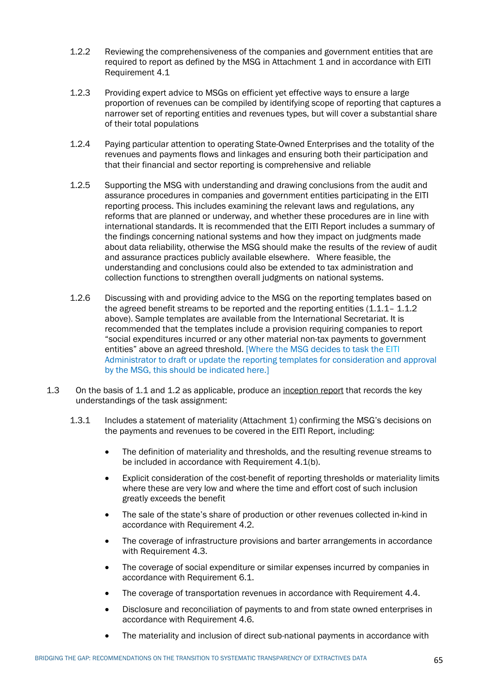- 1.2.2 Reviewing the comprehensiveness of the companies and government entities that are required to report as defined by the MSG in Attachment 1 and in accordance with EITI Requirement 4.1
- 1.2.3 Providing expert advice to MSGs on efficient yet effective ways to ensure a large proportion of revenues can be compiled by identifying scope of reporting that captures a narrower set of reporting entities and revenues types, but will cover a substantial share of their total populations
- 1.2.4 Paying particular attention to operating State-Owned Enterprises and the totality of the revenues and payments flows and linkages and ensuring both their participation and that their financial and sector reporting is comprehensive and reliable
- 1.2.5 Supporting the MSG with understanding and drawing conclusions from the audit and assurance procedures in companies and government entities participating in the EITI reporting process. This includes examining the relevant laws and regulations, any reforms that are planned or underway, and whether these procedures are in line with international standards. It is recommended that the EITI Report includes a summary of the findings concerning national systems and how they impact on judgments made about data reliability, otherwise the MSG should make the results of the review of audit and assurance practices publicly available elsewhere. Where feasible, the understanding and conclusions could also be extended to tax administration and collection functions to strengthen overall judgments on national systems.
- 1.2.6 Discussing with and providing advice to the MSG on the reporting templates based on the agreed benefit streams to be reported and the reporting entities  $(1.1.1 - 1.1.2)$ above). Sample templates are available from the International Secretariat. It is recommended that the templates include a provision requiring companies to report "social expenditures incurred or any other material non-tax payments to government entities" above an agreed threshold. [Where the MSG decides to task the EITI Administrator to draft or update the reporting templates for consideration and approval by the MSG, this should be indicated here.]
- 1.3 On the basis of 1.1 and 1.2 as applicable, produce an inception report that records the key understandings of the task assignment:
	- 1.3.1 Includes a statement of materiality (Attachment 1) confirming the MSG's decisions on the payments and revenues to be covered in the EITI Report, including:
		- The definition of materiality and thresholds, and the resulting revenue streams to be included in accordance with Requirement 4.1(b).
		- Explicit consideration of the cost-benefit of reporting thresholds or materiality limits where these are very low and where the time and effort cost of such inclusion greatly exceeds the benefit
		- The sale of the state's share of production or other revenues collected in-kind in accordance with Requirement 4.2.
		- The coverage of infrastructure provisions and barter arrangements in accordance with Requirement 4.3.
		- The coverage of social expenditure or similar expenses incurred by companies in accordance with Requirement 6.1.
		- The coverage of transportation revenues in accordance with Requirement 4.4.
		- Disclosure and reconciliation of payments to and from state owned enterprises in accordance with Requirement 4.6.
		- The materiality and inclusion of direct sub-national payments in accordance with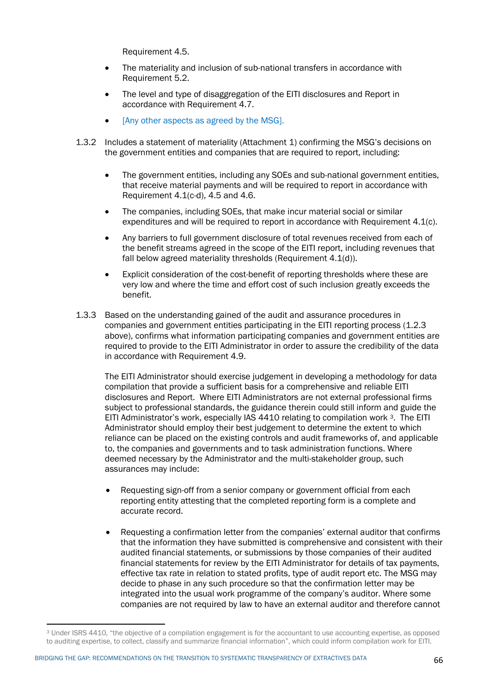Requirement 4.5.

- The materiality and inclusion of sub-national transfers in accordance with Requirement 5.2.
- The level and type of disaggregation of the EITI disclosures and Report in accordance with Requirement 4.7.
- [Any other aspects as agreed by the MSG].
- 1.3.2 Includes a statement of materiality (Attachment 1) confirming the MSG's decisions on the government entities and companies that are required to report, including:
	- The government entities, including any SOEs and sub-national government entities, that receive material payments and will be required to report in accordance with Requirement 4.1(c-d), 4.5 and 4.6.
	- The companies, including SOEs, that make incur material social or similar expenditures and will be required to report in accordance with Requirement 4.1(c).
	- Any barriers to full government disclosure of total revenues received from each of the benefit streams agreed in the scope of the EITI report, including revenues that fall below agreed materiality thresholds (Requirement 4.1(d)).
	- Explicit consideration of the cost-benefit of reporting thresholds where these are very low and where the time and effort cost of such inclusion greatly exceeds the benefit.
- 1.3.3 Based on the understanding gained of the audit and assurance procedures in companies and government entities participating in the EITI reporting process (1.2.3 above), confirms what information participating companies and government entities are required to provide to the EITI Administrator in order to assure the credibility of the data in accordance with Requirement 4.9.

The EITI Administrator should exercise judgement in developing a methodology for data compilation that provide a sufficient basis for a comprehensive and reliable EITI disclosures and Report. Where EITI Administrators are not external professional firms subject to professional standards, the guidance therein could still inform and guide the EITI Administrator's work, especially IAS 4410 relating to compilation work 3. The EITI Administrator should employ their best judgement to determine the extent to which reliance can be placed on the existing controls and audit frameworks of, and applicable to, the companies and governments and to task administration functions. Where deemed necessary by the Administrator and the multi-stakeholder group, such assurances may include:

- Requesting sign-off from a senior company or government official from each reporting entity attesting that the completed reporting form is a complete and accurate record.
- Requesting a confirmation letter from the companies' external auditor that confirms that the information they have submitted is comprehensive and consistent with their audited financial statements, or submissions by those companies of their audited financial statements for review by the EITI Administrator for details of tax payments, effective tax rate in relation to stated profits, type of audit report etc. The MSG may decide to phase in any such procedure so that the confirmation letter may be integrated into the usual work programme of the company's auditor. Where some companies are not required by law to have an external auditor and therefore cannot

<sup>3</sup> Under ISRS 4410, "the objective of a compilation engagement is for the accountant to use accounting expertise, as opposed to auditing expertise, to collect, classify and summarize financial information", which could inform compilation work for EITI.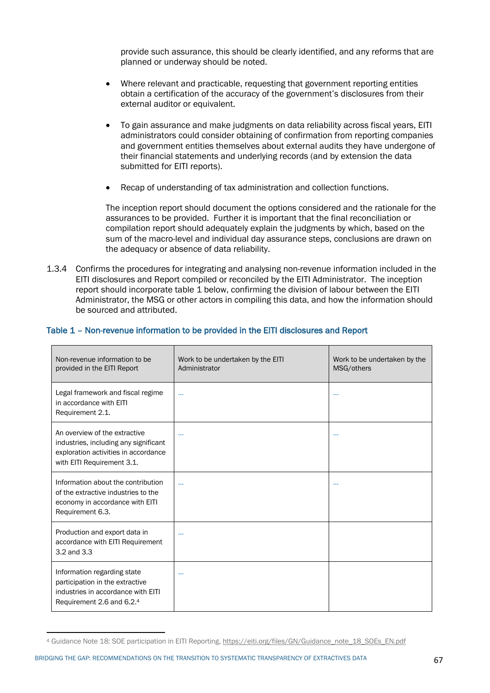provide such assurance, this should be clearly identified, and any reforms that are planned or underway should be noted.

- Where relevant and practicable, requesting that government reporting entities obtain a certification of the accuracy of the government's disclosures from their external auditor or equivalent.
- To gain assurance and make judgments on data reliability across fiscal years, EITI administrators could consider obtaining of confirmation from reporting companies and government entities themselves about external audits they have undergone of their financial statements and underlying records (and by extension the data submitted for EITI reports).
- Recap of understanding of tax administration and collection functions.

The inception report should document the options considered and the rationale for the assurances to be provided. Further it is important that the final reconciliation or compilation report should adequately explain the judgments by which, based on the sum of the macro-level and individual day assurance steps, conclusions are drawn on the adequacy or absence of data reliability.

1.3.4 Confirms the procedures for integrating and analysing non-revenue information included in the EITI disclosures and Report compiled or reconciled by the EITI Administrator. The inception report should incorporate table 1 below, confirming the division of labour between the EITI Administrator, the MSG or other actors in compiling this data, and how the information should be sourced and attributed.

## Table 1 – Non-revenue information to be provided in the EITI disclosures and Report

| Non-revenue information to be<br>provided in the EITI Report                                                                                 | Work to be undertaken by the EITI<br>Administrator | Work to be undertaken by the<br>MSG/others |
|----------------------------------------------------------------------------------------------------------------------------------------------|----------------------------------------------------|--------------------------------------------|
| Legal framework and fiscal regime<br>in accordance with EITI<br>Requirement 2.1.                                                             | $\cdots$                                           | $\cdots$                                   |
| An overview of the extractive<br>industries, including any significant<br>exploration activities in accordance<br>with EITI Requirement 3.1. | $\cdots$                                           | $\cdots$                                   |
| Information about the contribution<br>of the extractive industries to the<br>economy in accordance with EITI<br>Requirement 6.3.             | $\ddotsc$                                          | $\cdots$                                   |
| Production and export data in<br>accordance with EITI Requirement<br>3.2 and 3.3                                                             | $\cdots$                                           |                                            |
| Information regarding state<br>participation in the extractive<br>industries in accordance with EITI<br>Requirement 2.6 and 6.2.4            | $\cdots$                                           |                                            |

<sup>4</sup> Guidance Note 18: SOE participation in EITI Reporting, https://eiti.org/files/GN/Guidance\_note\_18\_SOEs\_EN.pdf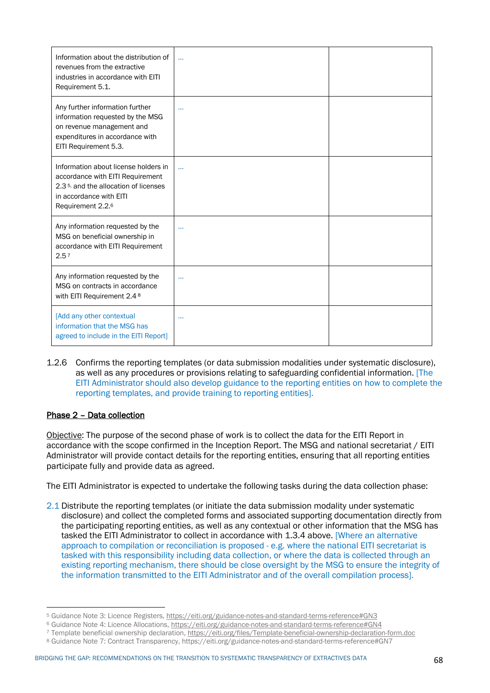| Information about the distribution of<br>revenues from the extractive<br>industries in accordance with EITI<br>Requirement 5.1.                                              | $\ddotsc$ |  |
|------------------------------------------------------------------------------------------------------------------------------------------------------------------------------|-----------|--|
| Any further information further<br>information requested by the MSG<br>on revenue management and<br>expenditures in accordance with<br>EITI Requirement 5.3.                 | $\cdots$  |  |
| Information about license holders in<br>accordance with EITI Requirement<br>2.3 <sup>5,</sup> and the allocation of licenses<br>in accordance with EITI<br>Requirement 2.2.6 | $\ddotsc$ |  |
| Any information requested by the<br>MSG on beneficial ownership in<br>accordance with EITI Requirement<br>2.57                                                               | $\cdots$  |  |
| Any information requested by the<br>MSG on contracts in accordance<br>with EITI Requirement 2.4 8                                                                            |           |  |
| [Add any other contextual<br>information that the MSG has<br>agreed to include in the EITI Report]                                                                           | $\cdots$  |  |

1.2.6 Confirms the reporting templates (or data submission modalities under systematic disclosure), as well as any procedures or provisions relating to safeguarding confidential information. [The EITI Administrator should also develop guidance to the reporting entities on how to complete the reporting templates, and provide training to reporting entities].

## Phase 2 – Data collection

Objective: The purpose of the second phase of work is to collect the data for the EITI Report in accordance with the scope confirmed in the Inception Report. The MSG and national secretariat / EITI Administrator will provide contact details for the reporting entities, ensuring that all reporting entities participate fully and provide data as agreed.

The EITI Administrator is expected to undertake the following tasks during the data collection phase:

2.1 Distribute the reporting templates (or initiate the data submission modality under systematic disclosure) and collect the completed forms and associated supporting documentation directly from the participating reporting entities, as well as any contextual or other information that the MSG has tasked the EITI Administrator to collect in accordance with 1.3.4 above. [Where an alternative approach to compilation or reconciliation is proposed - e.g. where the national EITI secretariat is tasked with this responsibility including data collection, or where the data is collected through an existing reporting mechanism, there should be close oversight by the MSG to ensure the integrity of the information transmitted to the EITI Administrator and of the overall compilation process].

<sup>5</sup> Guidance Note 3: Licence Registers, https://eiti.org/guidance-notes-and-standard-terms-reference#GN3

<sup>6</sup> Guidance Note 4: Licence Allocations, https://eiti.org/guidance-notes-and-standard-terms-reference#GN4

<sup>7</sup> Template beneficial ownership declaration, https://eiti.org/files/Template-beneficial-ownership-declaration-form.doc

<sup>8</sup> Guidance Note 7: Contract Transparency, https://eiti.org/guidance-notes-and-standard-terms-reference#GN7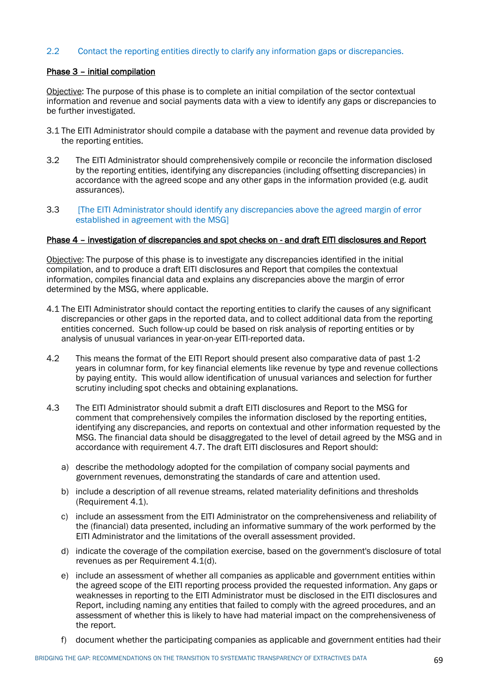## 2.2 Contact the reporting entities directly to clarify any information gaps or discrepancies.

## Phase 3 – initial compilation

Objective: The purpose of this phase is to complete an initial compilation of the sector contextual information and revenue and social payments data with a view to identify any gaps or discrepancies to be further investigated.

- 3.1 The EITI Administrator should compile a database with the payment and revenue data provided by the reporting entities.
- 3.2 The EITI Administrator should comprehensively compile or reconcile the information disclosed by the reporting entities, identifying any discrepancies (including offsetting discrepancies) in accordance with the agreed scope and any other gaps in the information provided (e.g. audit assurances).
- 3.3 [The EITI Administrator should identify any discrepancies above the agreed margin of error established in agreement with the MSG]

#### Phase 4 – investigation of discrepancies and spot checks on - and draft EITI disclosures and Report

Objective: The purpose of this phase is to investigate any discrepancies identified in the initial compilation, and to produce a draft EITI disclosures and Report that compiles the contextual information, compiles financial data and explains any discrepancies above the margin of error determined by the MSG, where applicable.

- 4.1 The EITI Administrator should contact the reporting entities to clarify the causes of any significant discrepancies or other gaps in the reported data, and to collect additional data from the reporting entities concerned. Such follow-up could be based on risk analysis of reporting entities or by analysis of unusual variances in year-on-year EITI-reported data.
- 4.2 This means the format of the EITI Report should present also comparative data of past 1-2 years in columnar form, for key financial elements like revenue by type and revenue collections by paying entity. This would allow identification of unusual variances and selection for further scrutiny including spot checks and obtaining explanations.
- 4.3 The EITI Administrator should submit a draft EITI disclosures and Report to the MSG for comment that comprehensively compiles the information disclosed by the reporting entities, identifying any discrepancies, and reports on contextual and other information requested by the MSG. The financial data should be disaggregated to the level of detail agreed by the MSG and in accordance with requirement 4.7. The draft EITI disclosures and Report should:
	- a) describe the methodology adopted for the compilation of company social payments and government revenues, demonstrating the standards of care and attention used.
	- b) include a description of all revenue streams, related materiality definitions and thresholds (Requirement 4.1).
	- c) include an assessment from the EITI Administrator on the comprehensiveness and reliability of the (financial) data presented, including an informative summary of the work performed by the EITI Administrator and the limitations of the overall assessment provided.
	- d) indicate the coverage of the compilation exercise, based on the government's disclosure of total revenues as per Requirement 4.1(d).
	- e) include an assessment of whether all companies as applicable and government entities within the agreed scope of the EITI reporting process provided the requested information. Any gaps or weaknesses in reporting to the EITI Administrator must be disclosed in the EITI disclosures and Report, including naming any entities that failed to comply with the agreed procedures, and an assessment of whether this is likely to have had material impact on the comprehensiveness of the report.
	- f) document whether the participating companies as applicable and government entities had their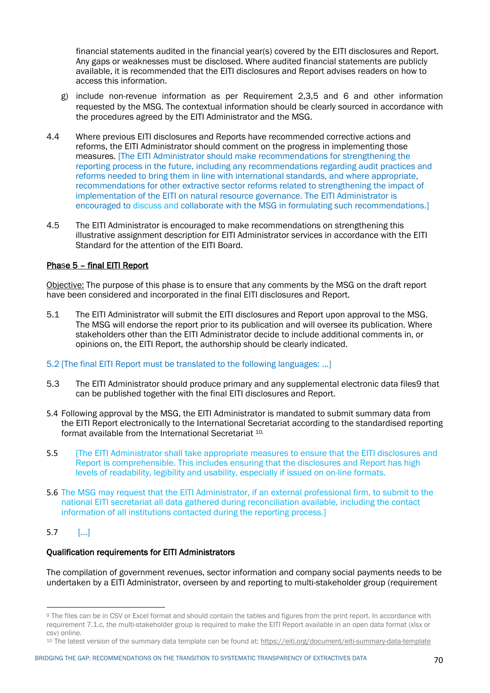financial statements audited in the financial year(s) covered by the EITI disclosures and Report. Any gaps or weaknesses must be disclosed. Where audited financial statements are publicly available, it is recommended that the EITI disclosures and Report advises readers on how to access this information.

- g) include non-revenue information as per Requirement 2,3,5 and 6 and other information requested by the MSG. The contextual information should be clearly sourced in accordance with the procedures agreed by the EITI Administrator and the MSG.
- 4.4 Where previous EITI disclosures and Reports have recommended corrective actions and reforms, the EITI Administrator should comment on the progress in implementing those measures. [The EITI Administrator should make recommendations for strengthening the reporting process in the future, including any recommendations regarding audit practices and reforms needed to bring them in line with international standards, and where appropriate, recommendations for other extractive sector reforms related to strengthening the impact of implementation of the EITI on natural resource governance. The EITI Administrator is encouraged to discuss and collaborate with the MSG in formulating such recommendations.]
- 4.5 The EITI Administrator is encouraged to make recommendations on strengthening this illustrative assignment description for EITI Administrator services in accordance with the EITI Standard for the attention of the EITI Board.

## Phase 5 – final EITI Report

Objective: The purpose of this phase is to ensure that any comments by the MSG on the draft report have been considered and incorporated in the final EITI disclosures and Report.

- 5.1 The EITI Administrator will submit the EITI disclosures and Report upon approval to the MSG. The MSG will endorse the report prior to its publication and will oversee its publication. Where stakeholders other than the EITI Administrator decide to include additional comments in, or opinions on, the EITI Report, the authorship should be clearly indicated.
- 5.2 [The final EITI Report must be translated to the following languages: …]
- 5.3 The EITI Administrator should produce primary and any supplemental electronic data files9 that can be published together with the final EITI disclosures and Report.
- 5.4 Following approval by the MSG, the EITI Administrator is mandated to submit summary data from the EITI Report electronically to the International Secretariat according to the standardised reporting format available from the International Secretariat 10.
- 5.5 [The EITI Administrator shall take appropriate measures to ensure that the EITI disclosures and Report is comprehensible. This includes ensuring that the disclosures and Report has high levels of readability, legibility and usability, especially if issued on on-line formats.
- 5.6 The MSG may request that the EITI Administrator, if an external professional firm, to submit to the national EITI secretariat all data gathered during reconciliation available, including the contact information of all institutions contacted during the reporting process.]

## 5.7 […]

#### Qualification requirements for EITI Administrators

The compilation of government revenues, sector information and company social payments needs to be undertaken by a EITI Administrator, overseen by and reporting to multi-stakeholder group (requirement

<sup>9</sup> The files can be in CSV or Excel format and should contain the tables and figures from the print report. In accordance with requirement 7.1.c, the multi-stakeholder group is required to make the EITI Report available in an open data format (xlsx or csv) online.

<sup>10</sup> The latest version of the summary data template can be found at: https://eiti.org/document/eiti-summary-data-template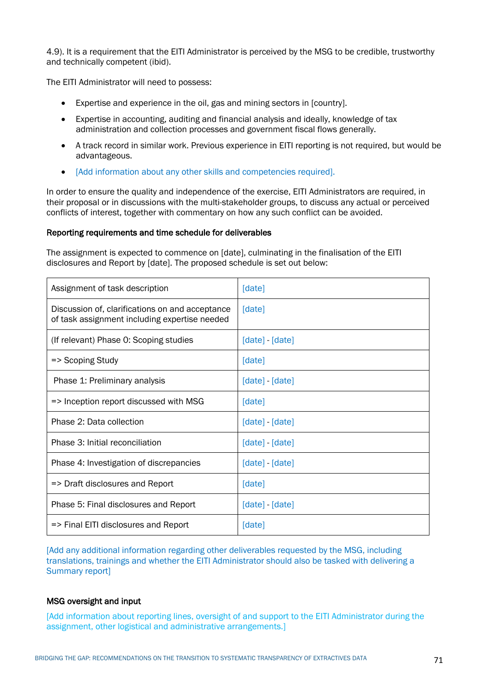4.9). It is a requirement that the EITI Administrator is perceived by the MSG to be credible, trustworthy and technically competent (ibid).

The EITI Administrator will need to possess:

- Expertise and experience in the oil, gas and mining sectors in [country].
- Expertise in accounting, auditing and financial analysis and ideally, knowledge of tax administration and collection processes and government fiscal flows generally.
- A track record in similar work. Previous experience in EITI reporting is not required, but would be advantageous.
- [Add information about any other skills and competencies required].

In order to ensure the quality and independence of the exercise, EITI Administrators are required, in their proposal or in discussions with the multi-stakeholder groups, to discuss any actual or perceived conflicts of interest, together with commentary on how any such conflict can be avoided.

## Reporting requirements and time schedule for deliverables

The assignment is expected to commence on [date], culminating in the finalisation of the EITI disclosures and Report by [date]. The proposed schedule is set out below:

| Assignment of task description                                                                   | [date]          |
|--------------------------------------------------------------------------------------------------|-----------------|
| Discussion of, clarifications on and acceptance<br>of task assignment including expertise needed | [date]          |
| (If relevant) Phase 0: Scoping studies                                                           | [date] - [date] |
| => Scoping Study                                                                                 | [date]          |
| Phase 1: Preliminary analysis                                                                    | [date] - [date] |
| => Inception report discussed with MSG                                                           | [date]          |
| Phase 2: Data collection                                                                         | [date] - [date] |
| Phase 3: Initial reconciliation                                                                  | [date] - [date] |
| Phase 4: Investigation of discrepancies                                                          | [date] - [date] |
| => Draft disclosures and Report                                                                  | [date]          |
| Phase 5: Final disclosures and Report                                                            | [date] - [date] |
| => Final EITI disclosures and Report                                                             | [date]          |

[Add any additional information regarding other deliverables requested by the MSG, including translations, trainings and whether the EITI Administrator should also be tasked with delivering a Summary report]

## MSG oversight and input

[Add information about reporting lines, oversight of and support to the EITI Administrator during the assignment, other logistical and administrative arrangements.]